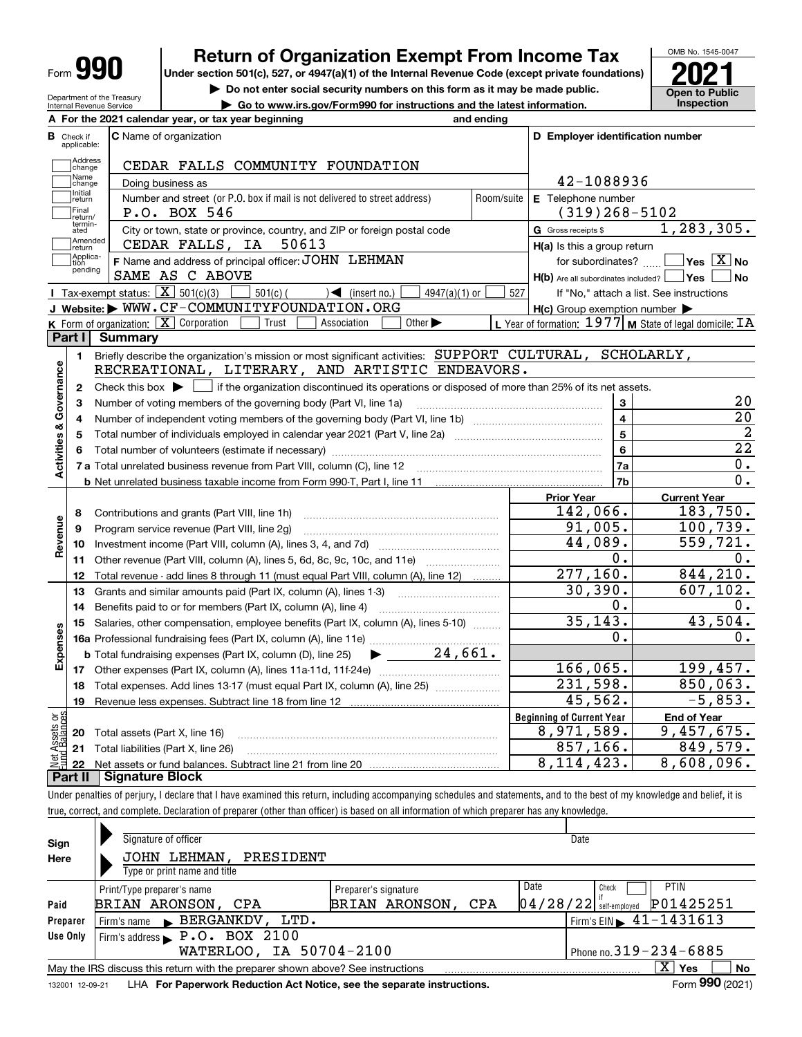| Form |  |
|------|--|
|------|--|

**A**

# **Return of Organization Exempt From Income Tax**

Under section 501(c), 527, or 4947(a)(1) of the Internal Revenue Code (except private foundations) **2021** 

**| Do not enter social security numbers on this form as it may be made public.**

Department of the Treasury Internal Revenue Service **| Go to www.irs.gov/Form990 for instructions and the latest information. Inspection For the 2021 calendar year, or tax year beginning and ending**

| в                       |                         | For the zoz I calendar year, or tax year beginning                                                                                                  | anu chumu  |                                                           |                                                             |
|-------------------------|-------------------------|-----------------------------------------------------------------------------------------------------------------------------------------------------|------------|-----------------------------------------------------------|-------------------------------------------------------------|
|                         | Check if<br>applicable: | <b>C</b> Name of organization                                                                                                                       |            | D Employer identification number                          |                                                             |
|                         | Address<br>change       | CEDAR FALLS COMMUNITY FOUNDATION                                                                                                                    |            |                                                           |                                                             |
|                         | -<br> Name<br> change   | Doing business as                                                                                                                                   |            | 42-1088936                                                |                                                             |
|                         | Initial<br>return       | Number and street (or P.O. box if mail is not delivered to street address)                                                                          | Room/suite | E Telephone number                                        |                                                             |
|                         | Final<br>return/        | P.O. BOX 546                                                                                                                                        |            | $(319)$ 268-5102                                          |                                                             |
|                         | termin-<br>ated         | City or town, state or province, country, and ZIP or foreign postal code                                                                            |            | G Gross receipts \$                                       | 1, 283, 305.                                                |
|                         | Amended<br> return      | CEDAR FALLS, IA<br>50613                                                                                                                            |            | $H(a)$ is this a group return                             |                                                             |
|                         | Applica-<br>tion        | F Name and address of principal officer: JOHN LEHMAN                                                                                                |            | for subordinates? $\frac{1}{2}$                           | $\sqrt{\mathsf{Yes}\mathord{\;\mathbb{X}}\,}$ No            |
|                         | pending                 | SAME AS C ABOVE                                                                                                                                     |            | $H(b)$ Are all subordinates included? $\vert$ Yes $\vert$ | ∣No                                                         |
|                         |                         | <b>I</b> Tax-exempt status: $\overline{X}$ 501(c)(3)<br>$501(c)$ (<br>$\leq$ (insert no.)<br>4947(a)(1) or                                          | 527        |                                                           | If "No," attach a list. See instructions                    |
|                         |                         | J Website: WWW.CF-COMMUNITYFOUNDATION.ORG                                                                                                           |            | $H(c)$ Group exemption number $\blacktriangleright$       |                                                             |
|                         |                         | K Form of organization: $\boxed{\mathbf{X}}$ Corporation<br>Trust<br>Association<br>Other $\blacktriangleright$                                     |            |                                                           | L Year of formation: $1977$ M State of legal domicile: $IA$ |
|                         | Part I                  | Summary                                                                                                                                             |            |                                                           |                                                             |
|                         | 1.                      | Briefly describe the organization's mission or most significant activities: SUPPORT CULTURAL, SCHOLARLY,                                            |            |                                                           |                                                             |
|                         |                         | RECREATIONAL, LITERARY, AND ARTISTIC ENDEAVORS.                                                                                                     |            |                                                           |                                                             |
| Activities & Governance | 2                       | Check this box $\blacktriangleright$ $\blacksquare$ if the organization discontinued its operations or disposed of more than 25% of its net assets. |            |                                                           |                                                             |
|                         | З                       | Number of voting members of the governing body (Part VI, line 1a)                                                                                   |            | 3                                                         | 20                                                          |
|                         | 4                       |                                                                                                                                                     |            | $\overline{\mathbf{4}}$                                   | $\overline{20}$                                             |
|                         | 5                       |                                                                                                                                                     |            | $5\overline{5}$                                           | $\overline{2}$                                              |
|                         |                         |                                                                                                                                                     |            | $6\overline{6}$                                           | $\overline{22}$                                             |
|                         |                         |                                                                                                                                                     |            | 7a                                                        | 0.                                                          |
|                         |                         |                                                                                                                                                     |            | 7 <sub>b</sub>                                            | 0.                                                          |
|                         |                         |                                                                                                                                                     |            | <b>Prior Year</b>                                         | <b>Current Year</b>                                         |
|                         | 8                       | Contributions and grants (Part VIII, line 1h)                                                                                                       |            | 142,066.                                                  | 183,750.                                                    |
| Revenue                 | 9                       | Program service revenue (Part VIII, line 2g)                                                                                                        |            | 91,005.                                                   | 100, 739.                                                   |
|                         | 10                      |                                                                                                                                                     |            |                                                           |                                                             |
|                         | 11                      |                                                                                                                                                     |            | 44,089.                                                   | 559,721.                                                    |
|                         |                         | Other revenue (Part VIII, column (A), lines 5, 6d, 8c, 9c, 10c, and 11e)                                                                            |            | $\overline{0}$ .                                          | Ο.                                                          |
|                         | 12                      | Total revenue - add lines 8 through 11 (must equal Part VIII, column (A), line 12)                                                                  |            | 277,160.                                                  | 844, 210.                                                   |
|                         | 13                      | Grants and similar amounts paid (Part IX, column (A), lines 1-3)                                                                                    |            | 30, 390.                                                  | 607, 102.                                                   |
|                         | 14                      |                                                                                                                                                     |            | 0.                                                        | 0.                                                          |
|                         | 15                      | Salaries, other compensation, employee benefits (Part IX, column (A), lines 5-10)                                                                   |            | 35, 143.                                                  | 43,504.                                                     |
|                         |                         |                                                                                                                                                     |            | $0$ .                                                     | О.                                                          |
|                         |                         | $\blacktriangleright$ $\frac{24}{1661}.$<br><b>b</b> Total fundraising expenses (Part IX, column (D), line 25)                                      |            |                                                           |                                                             |
| Expenses                | 17                      |                                                                                                                                                     |            | 166,065.                                                  | 199,457.                                                    |
|                         | 18                      | Total expenses. Add lines 13-17 (must equal Part IX, column (A), line 25)                                                                           |            | 231,598.                                                  | 850,063.                                                    |
|                         | 19                      |                                                                                                                                                     |            | 45,562.                                                   | $-5,853.$                                                   |
| ăğ                      |                         |                                                                                                                                                     |            | <b>Beginning of Current Year</b>                          | <b>End of Year</b>                                          |
|                         |                         | 20 Total assets (Part X, line 16)                                                                                                                   |            | 8,971,589.                                                | 9,457,675.                                                  |
| ssets<br>Baise          |                         | 21 Total liabilities (Part X, line 26)                                                                                                              |            | 857, 166.<br>8, 114, 423.                                 | 849,579.<br>8,608,096.                                      |

Under penalties of perjury, I declare that I have examined this return, including accompanying schedules and statements, and to the best of my knowledge and belief, it is true, correct, and complete. Declaration of preparer (other than officer) is based on all information of which preparer has any knowledge.

| Sign     | Signature of officer                                                            |                              | Date                     |                                             |  |  |  |  |  |  |
|----------|---------------------------------------------------------------------------------|------------------------------|--------------------------|---------------------------------------------|--|--|--|--|--|--|
| Here     | JOHN LEHMAN,<br>PRESIDENT                                                       |                              |                          |                                             |  |  |  |  |  |  |
|          | Type or print name and title                                                    |                              |                          |                                             |  |  |  |  |  |  |
|          | Print/Type preparer's name                                                      | Date                         | <b>PTIN</b><br>Check     |                                             |  |  |  |  |  |  |
| Paid     | BRIAN ARONSON, CPA                                                              | BRIAN ARONSON,<br><b>CPA</b> | $04/28/22$ self-employed | P01425251                                   |  |  |  |  |  |  |
| Preparer | Firm's name BERGANKDV,<br>LTD.                                                  |                              |                          | Firm's EIN $\blacktriangleright$ 41-1431613 |  |  |  |  |  |  |
| Use Only | Firm's address $\blacktriangleright$ P.O. BOX 2100                              |                              |                          |                                             |  |  |  |  |  |  |
|          | WATERLOO, IA 50704-2100<br>Phone no. $319 - 234 - 6885$                         |                              |                          |                                             |  |  |  |  |  |  |
|          | May the IRS discuss this return with the preparer shown above? See instructions |                              |                          | ΧI<br><b>No</b><br>Yes                      |  |  |  |  |  |  |
|          | LUA For Donoruork Doduction Act Notice, see the concrete instructions           |                              |                          | $F_{\text{arm}}$ 990 (2021)                 |  |  |  |  |  |  |

132001 12-09-21 LHA **For Paperwork Reduction Act Notice, see the separate instructions. Form 990 (2021)** 

**990**

OMB No. 1545-0047

**Open to Public**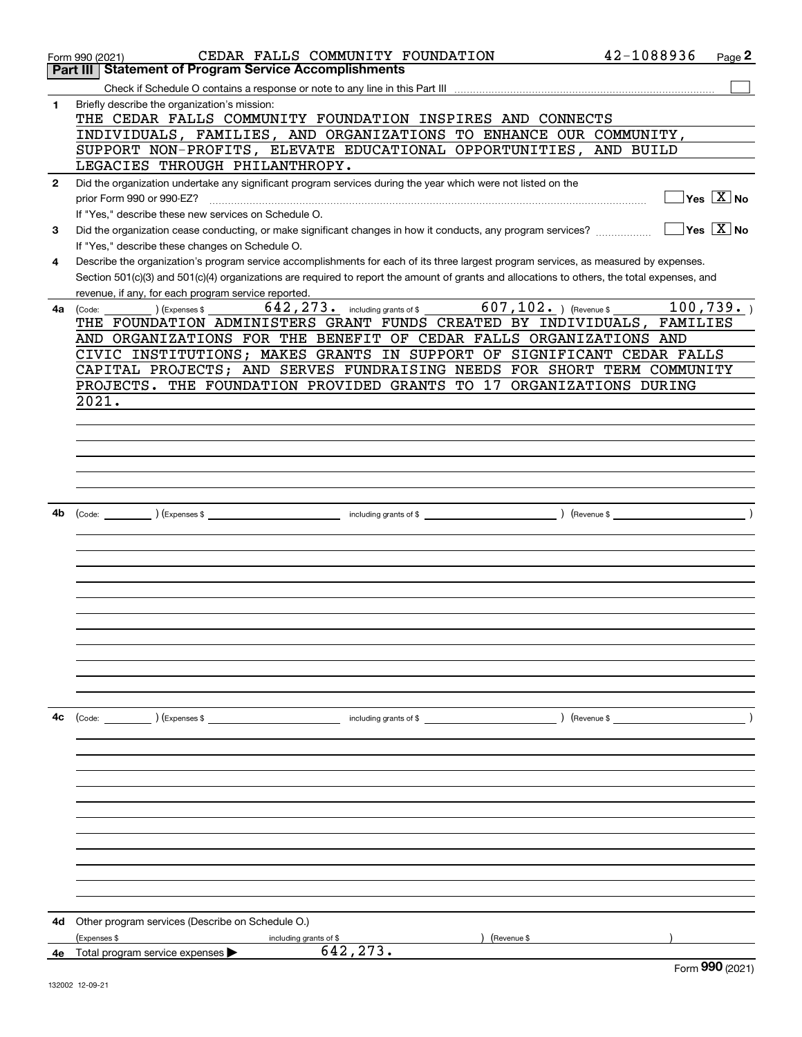|              | CEDAR FALLS COMMUNITY FOUNDATION<br>Form 990 (2021)                                                                                          | 42-1088936    | Page 2                                 |
|--------------|----------------------------------------------------------------------------------------------------------------------------------------------|---------------|----------------------------------------|
|              | <b>Statement of Program Service Accomplishments</b><br>Part III                                                                              |               |                                        |
|              |                                                                                                                                              |               |                                        |
| 1            | Briefly describe the organization's mission:                                                                                                 |               |                                        |
|              | THE CEDAR FALLS COMMUNITY FOUNDATION INSPIRES AND CONNECTS                                                                                   |               |                                        |
|              | INDIVIDUALS, FAMILIES, AND ORGANIZATIONS TO ENHANCE OUR COMMUNITY,<br>SUPPORT NON-PROFITS, ELEVATE EDUCATIONAL OPPORTUNITIES, AND BUILD      |               |                                        |
|              | LEGACIES THROUGH PHILANTHROPY.                                                                                                               |               |                                        |
| $\mathbf{2}$ | Did the organization undertake any significant program services during the year which were not listed on the                                 |               |                                        |
|              | prior Form 990 or 990-EZ?                                                                                                                    |               | $Yes \quad X \quad No$                 |
|              | If "Yes," describe these new services on Schedule O.                                                                                         |               |                                        |
| 3            | Did the organization cease conducting, or make significant changes in how it conducts, any program services?                                 |               | $\sqrt{}$ Yes $\sqrt{}$ X $\sqrt{}$ No |
|              | If "Yes," describe these changes on Schedule O.                                                                                              |               |                                        |
| 4            | Describe the organization's program service accomplishments for each of its three largest program services, as measured by expenses.         |               |                                        |
|              | Section 501(c)(3) and 501(c)(4) organizations are required to report the amount of grants and allocations to others, the total expenses, and |               |                                        |
|              | revenue, if any, for each program service reported.                                                                                          |               |                                        |
| 4a           | $\overline{607, 102}$ . ) (Revenue \$<br>642, 273. including grants of \$<br>(Express \$<br>(Code:                                           |               | 100, 739.                              |
|              | THE FOUNDATION ADMINISTERS GRANT FUNDS CREATED BY INDIVIDUALS, FAMILIES                                                                      |               |                                        |
|              | AND ORGANIZATIONS FOR THE BENEFIT OF CEDAR FALLS ORGANIZATIONS AND                                                                           |               |                                        |
|              | CIVIC INSTITUTIONS; MAKES GRANTS IN SUPPORT OF SIGNIFICANT CEDAR FALLS                                                                       |               |                                        |
|              | CAPITAL PROJECTS; AND SERVES FUNDRAISING NEEDS FOR SHORT TERM COMMUNITY                                                                      |               |                                        |
|              | PROJECTS. THE FOUNDATION PROVIDED GRANTS TO 17 ORGANIZATIONS DURING                                                                          |               |                                        |
|              | 2021.                                                                                                                                        |               |                                        |
|              |                                                                                                                                              |               |                                        |
|              |                                                                                                                                              |               |                                        |
|              |                                                                                                                                              |               |                                        |
|              |                                                                                                                                              |               |                                        |
|              |                                                                                                                                              |               |                                        |
|              |                                                                                                                                              |               |                                        |
| 4b           |                                                                                                                                              |               |                                        |
|              |                                                                                                                                              |               |                                        |
|              |                                                                                                                                              |               |                                        |
|              |                                                                                                                                              |               |                                        |
|              |                                                                                                                                              |               |                                        |
|              |                                                                                                                                              |               |                                        |
|              |                                                                                                                                              |               |                                        |
|              |                                                                                                                                              |               |                                        |
|              |                                                                                                                                              |               |                                        |
|              |                                                                                                                                              |               |                                        |
|              |                                                                                                                                              |               |                                        |
|              |                                                                                                                                              |               |                                        |
| 4с           | (Code: ) (Expenses \$<br>including grants of \$                                                                                              | ) (Revenue \$ |                                        |
|              |                                                                                                                                              |               |                                        |
|              |                                                                                                                                              |               |                                        |
|              |                                                                                                                                              |               |                                        |
|              |                                                                                                                                              |               |                                        |
|              |                                                                                                                                              |               |                                        |
|              |                                                                                                                                              |               |                                        |
|              |                                                                                                                                              |               |                                        |
|              |                                                                                                                                              |               |                                        |
|              |                                                                                                                                              |               |                                        |
|              |                                                                                                                                              |               |                                        |
|              |                                                                                                                                              |               |                                        |
|              |                                                                                                                                              |               |                                        |
| 4d           | Other program services (Describe on Schedule O.)                                                                                             |               |                                        |
|              | (Expenses \$<br>Revenue \$<br>including grants of \$<br>642,273.                                                                             |               |                                        |
|              | 4e Total program service expenses >                                                                                                          |               | Form 990 (2021)                        |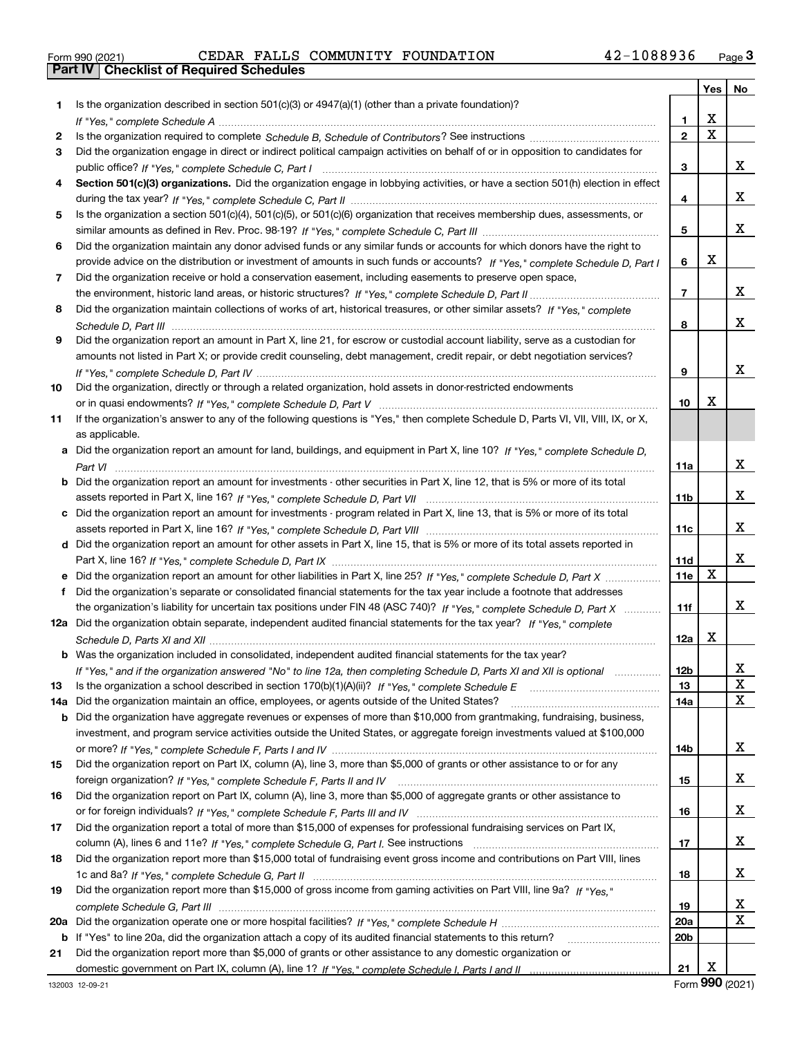|  | Form 990 (2021) |
|--|-----------------|

Form 990 (2021) CEDAR FALLS COMMUNITY FOUNDATION 4 2-1 0 8 8 9 3 6 <sub>Page</sub> 3<br>**Part IV | Checklist of Required Schedules** 

|     |                                                                                                                                                                                                                                                                |                 | Yes         | No               |
|-----|----------------------------------------------------------------------------------------------------------------------------------------------------------------------------------------------------------------------------------------------------------------|-----------------|-------------|------------------|
| 1.  | Is the organization described in section $501(c)(3)$ or $4947(a)(1)$ (other than a private foundation)?                                                                                                                                                        |                 |             |                  |
|     |                                                                                                                                                                                                                                                                | 1.              | X           |                  |
| 2   |                                                                                                                                                                                                                                                                | $\overline{2}$  | $\mathbf x$ |                  |
| 3   | Did the organization engage in direct or indirect political campaign activities on behalf of or in opposition to candidates for                                                                                                                                |                 |             |                  |
|     |                                                                                                                                                                                                                                                                | 3               |             | x                |
| 4   | Section 501(c)(3) organizations. Did the organization engage in lobbying activities, or have a section 501(h) election in effect                                                                                                                               |                 |             |                  |
|     |                                                                                                                                                                                                                                                                | 4               |             | х                |
| 5   | Is the organization a section 501(c)(4), 501(c)(5), or 501(c)(6) organization that receives membership dues, assessments, or                                                                                                                                   |                 |             |                  |
|     |                                                                                                                                                                                                                                                                | 5               |             | х                |
| 6   | Did the organization maintain any donor advised funds or any similar funds or accounts for which donors have the right to                                                                                                                                      |                 |             |                  |
|     | provide advice on the distribution or investment of amounts in such funds or accounts? If "Yes," complete Schedule D, Part I                                                                                                                                   | 6               | X           |                  |
| 7   | Did the organization receive or hold a conservation easement, including easements to preserve open space,                                                                                                                                                      |                 |             |                  |
|     |                                                                                                                                                                                                                                                                | 7               |             | х                |
| 8   | Did the organization maintain collections of works of art, historical treasures, or other similar assets? If "Yes," complete                                                                                                                                   |                 |             |                  |
|     |                                                                                                                                                                                                                                                                | 8               |             | х                |
| 9   | Did the organization report an amount in Part X, line 21, for escrow or custodial account liability, serve as a custodian for                                                                                                                                  |                 |             |                  |
|     | amounts not listed in Part X; or provide credit counseling, debt management, credit repair, or debt negotiation services?                                                                                                                                      |                 |             |                  |
|     |                                                                                                                                                                                                                                                                | 9               |             | х                |
| 10  | Did the organization, directly or through a related organization, hold assets in donor-restricted endowments                                                                                                                                                   |                 |             |                  |
|     |                                                                                                                                                                                                                                                                | 10              | X           |                  |
| 11  | If the organization's answer to any of the following questions is "Yes," then complete Schedule D, Parts VI, VII, VIII, IX, or X,                                                                                                                              |                 |             |                  |
|     | as applicable.                                                                                                                                                                                                                                                 |                 |             |                  |
|     | a Did the organization report an amount for land, buildings, and equipment in Part X, line 10? If "Yes." complete Schedule D.                                                                                                                                  |                 |             |                  |
|     |                                                                                                                                                                                                                                                                | <b>11a</b>      |             | х                |
|     | <b>b</b> Did the organization report an amount for investments - other securities in Part X, line 12, that is 5% or more of its total                                                                                                                          |                 |             |                  |
|     |                                                                                                                                                                                                                                                                | 11 <sub>b</sub> |             | х                |
|     | c Did the organization report an amount for investments - program related in Part X, line 13, that is 5% or more of its total                                                                                                                                  |                 |             |                  |
|     |                                                                                                                                                                                                                                                                | 11c             |             | х                |
|     | d Did the organization report an amount for other assets in Part X, line 15, that is 5% or more of its total assets reported in                                                                                                                                |                 |             | x                |
|     |                                                                                                                                                                                                                                                                | 11d             | $\mathbf X$ |                  |
|     | e Did the organization report an amount for other liabilities in Part X, line 25? If "Yes," complete Schedule D, Part X                                                                                                                                        | <b>11e</b>      |             |                  |
| f   | Did the organization's separate or consolidated financial statements for the tax year include a footnote that addresses                                                                                                                                        |                 |             | x                |
|     | the organization's liability for uncertain tax positions under FIN 48 (ASC 740)? If "Yes," complete Schedule D, Part X                                                                                                                                         | 11f             |             |                  |
|     | 12a Did the organization obtain separate, independent audited financial statements for the tax year? If "Yes," complete                                                                                                                                        |                 | X           |                  |
|     | <b>b</b> Was the organization included in consolidated, independent audited financial statements for the tax year?                                                                                                                                             | 12a             |             |                  |
|     |                                                                                                                                                                                                                                                                |                 |             |                  |
|     | If "Yes," and if the organization answered "No" to line 12a, then completing Schedule D, Parts XI and XII is optional                                                                                                                                          | 12b<br>13       |             | ᅀ<br>$\mathbf X$ |
| 13  | Is the organization a school described in section $170(b)(1)(A)(ii)?$ If "Yes," complete Schedule E<br>Did the organization maintain an office, employees, or agents outside of the United States?                                                             | 14a             |             | х                |
| 14a |                                                                                                                                                                                                                                                                |                 |             |                  |
|     | <b>b</b> Did the organization have aggregate revenues or expenses of more than \$10,000 from grantmaking, fundraising, business,<br>investment, and program service activities outside the United States, or aggregate foreign investments valued at \$100,000 |                 |             |                  |
|     |                                                                                                                                                                                                                                                                | 14b             |             | х                |
| 15  | Did the organization report on Part IX, column (A), line 3, more than \$5,000 of grants or other assistance to or for any                                                                                                                                      |                 |             |                  |
|     |                                                                                                                                                                                                                                                                | 15              |             | x                |
| 16  | Did the organization report on Part IX, column (A), line 3, more than \$5,000 of aggregate grants or other assistance to                                                                                                                                       |                 |             |                  |
|     |                                                                                                                                                                                                                                                                | 16              |             | x                |
| 17  | Did the organization report a total of more than \$15,000 of expenses for professional fundraising services on Part IX,                                                                                                                                        |                 |             |                  |
|     |                                                                                                                                                                                                                                                                | 17              |             | x                |
| 18  | Did the organization report more than \$15,000 total of fundraising event gross income and contributions on Part VIII, lines                                                                                                                                   |                 |             |                  |
|     |                                                                                                                                                                                                                                                                | 18              |             | х                |
| 19  | Did the organization report more than \$15,000 of gross income from gaming activities on Part VIII, line 9a? If "Yes."                                                                                                                                         |                 |             |                  |
|     |                                                                                                                                                                                                                                                                | 19              |             | х                |
|     |                                                                                                                                                                                                                                                                | 20a             |             | X                |
|     | b If "Yes" to line 20a, did the organization attach a copy of its audited financial statements to this return?                                                                                                                                                 | 20 <sub>b</sub> |             |                  |
| 21  | Did the organization report more than \$5,000 of grants or other assistance to any domestic organization or                                                                                                                                                    |                 |             |                  |
|     |                                                                                                                                                                                                                                                                | 21              | X           |                  |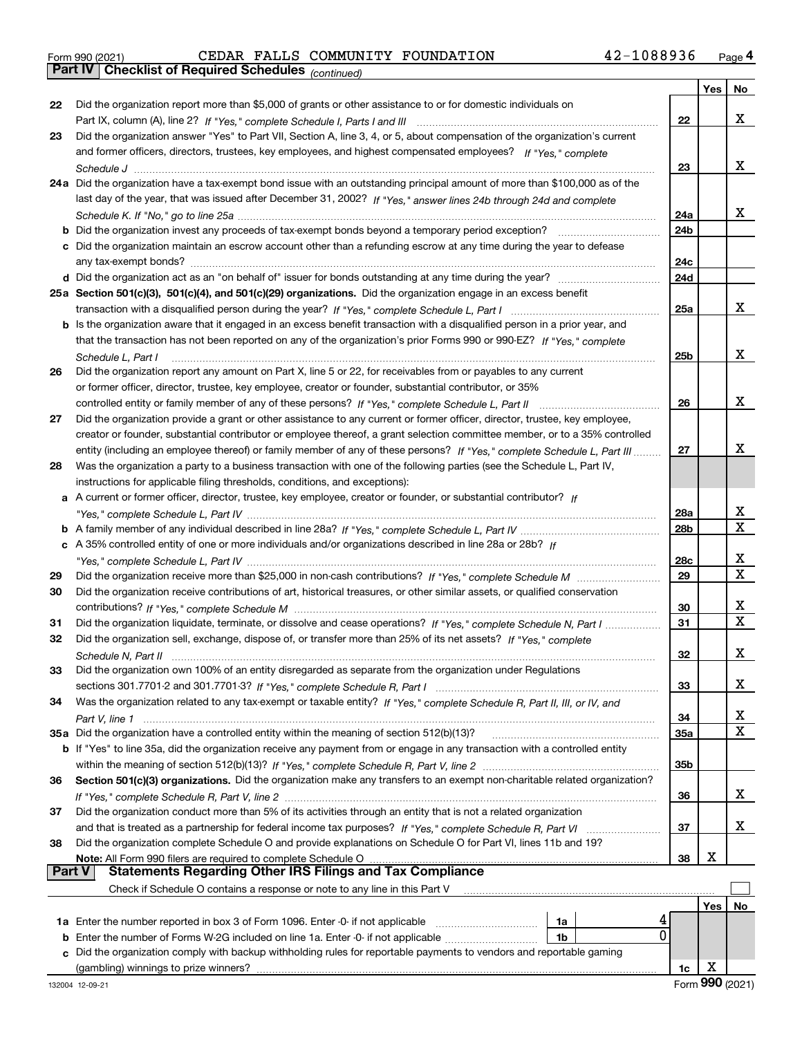|  | Form 990 (2021) |
|--|-----------------|
|  |                 |

|               |                                                                                                                              |                 | Yes | No                           |
|---------------|------------------------------------------------------------------------------------------------------------------------------|-----------------|-----|------------------------------|
| 22            | Did the organization report more than \$5,000 of grants or other assistance to or for domestic individuals on                |                 |     |                              |
|               |                                                                                                                              | 22              |     | x                            |
| 23            | Did the organization answer "Yes" to Part VII, Section A, line 3, 4, or 5, about compensation of the organization's current  |                 |     |                              |
|               | and former officers, directors, trustees, key employees, and highest compensated employees? If "Yes," complete               |                 |     |                              |
|               |                                                                                                                              | 23              |     | x                            |
|               | 24a Did the organization have a tax-exempt bond issue with an outstanding principal amount of more than \$100,000 as of the  |                 |     |                              |
|               | last day of the year, that was issued after December 31, 2002? If "Yes," answer lines 24b through 24d and complete           |                 |     |                              |
|               |                                                                                                                              | 24a             |     | x                            |
|               | <b>b</b> Did the organization invest any proceeds of tax-exempt bonds beyond a temporary period exception?                   | 24 <sub>b</sub> |     |                              |
|               | c Did the organization maintain an escrow account other than a refunding escrow at any time during the year to defease       |                 |     |                              |
|               |                                                                                                                              | 24c             |     |                              |
|               |                                                                                                                              | 24d             |     |                              |
|               | 25a Section 501(c)(3), 501(c)(4), and 501(c)(29) organizations. Did the organization engage in an excess benefit             |                 |     |                              |
|               |                                                                                                                              | 25a             |     | x                            |
|               | b Is the organization aware that it engaged in an excess benefit transaction with a disqualified person in a prior year, and |                 |     |                              |
|               | that the transaction has not been reported on any of the organization's prior Forms 990 or 990-EZ? If "Yes," complete        |                 |     |                              |
|               | Schedule L, Part I                                                                                                           | 25b             |     | x                            |
| 26            | Did the organization report any amount on Part X, line 5 or 22, for receivables from or payables to any current              |                 |     |                              |
|               | or former officer, director, trustee, key employee, creator or founder, substantial contributor, or 35%                      |                 |     |                              |
|               | controlled entity or family member of any of these persons? If "Yes," complete Schedule L, Part II                           | 26              |     | x                            |
| 27            | Did the organization provide a grant or other assistance to any current or former officer, director, trustee, key employee,  |                 |     |                              |
|               | creator or founder, substantial contributor or employee thereof, a grant selection committee member, or to a 35% controlled  |                 |     |                              |
|               | entity (including an employee thereof) or family member of any of these persons? If "Yes," complete Schedule L, Part III     | 27              |     | x                            |
| 28            | Was the organization a party to a business transaction with one of the following parties (see the Schedule L, Part IV,       |                 |     |                              |
|               | instructions for applicable filing thresholds, conditions, and exceptions):                                                  |                 |     |                              |
|               | a A current or former officer, director, trustee, key employee, creator or founder, or substantial contributor? If           |                 |     |                              |
|               |                                                                                                                              | 28a             |     | x<br>$\overline{\mathtt{x}}$ |
|               |                                                                                                                              | 28 <sub>b</sub> |     |                              |
|               | c A 35% controlled entity of one or more individuals and/or organizations described in line 28a or 28b? If                   |                 |     | x                            |
|               |                                                                                                                              | 28c<br>29       |     | $\mathbf X$                  |
| 29            |                                                                                                                              |                 |     |                              |
| 30            | Did the organization receive contributions of art, historical treasures, or other similar assets, or qualified conservation  |                 |     | x                            |
|               | Did the organization liquidate, terminate, or dissolve and cease operations? If "Yes," complete Schedule N, Part I           | 30<br>31        |     | $\overline{\mathbf{x}}$      |
| 31<br>32      | Did the organization sell, exchange, dispose of, or transfer more than 25% of its net assets? If "Yes," complete             |                 |     |                              |
|               |                                                                                                                              | 32              |     | х                            |
| 33            | Did the organization own 100% of an entity disregarded as separate from the organization under Regulations                   |                 |     |                              |
|               |                                                                                                                              | 33              |     | x                            |
| 34            | Was the organization related to any tax-exempt or taxable entity? If "Yes," complete Schedule R, Part II, III, or IV, and    |                 |     |                              |
|               |                                                                                                                              | 34              |     | X                            |
|               | 35a Did the organization have a controlled entity within the meaning of section 512(b)(13)?                                  | <b>35a</b>      |     | x                            |
|               | b If "Yes" to line 35a, did the organization receive any payment from or engage in any transaction with a controlled entity  |                 |     |                              |
|               |                                                                                                                              | 35 <sub>b</sub> |     |                              |
| 36            | Section 501(c)(3) organizations. Did the organization make any transfers to an exempt non-charitable related organization?   |                 |     |                              |
|               |                                                                                                                              | 36              |     | x                            |
| 37            | Did the organization conduct more than 5% of its activities through an entity that is not a related organization             |                 |     |                              |
|               | and that is treated as a partnership for federal income tax purposes? If "Yes," complete Schedule R, Part VI                 | 37              |     | x                            |
| 38            | Did the organization complete Schedule O and provide explanations on Schedule O for Part VI, lines 11b and 19?               |                 |     |                              |
|               | Note: All Form 990 filers are required to complete Schedule O                                                                | 38              | х   |                              |
| <b>Part V</b> | <b>Statements Regarding Other IRS Filings and Tax Compliance</b>                                                             |                 |     |                              |
|               | Check if Schedule O contains a response or note to any line in this Part V                                                   |                 |     |                              |
|               |                                                                                                                              |                 | Yes | No                           |
|               | 1a Enter the number reported in box 3 of Form 1096. Enter -0- if not applicable<br>1a                                        |                 |     |                              |
| b             | 0<br>Enter the number of Forms W-2G included on line 1a. Enter -0- if not applicable<br>1b                                   |                 |     |                              |
|               | Did the organization comply with backup withholding rules for reportable payments to vendors and reportable gaming           |                 |     |                              |
|               |                                                                                                                              | 1c              | х   |                              |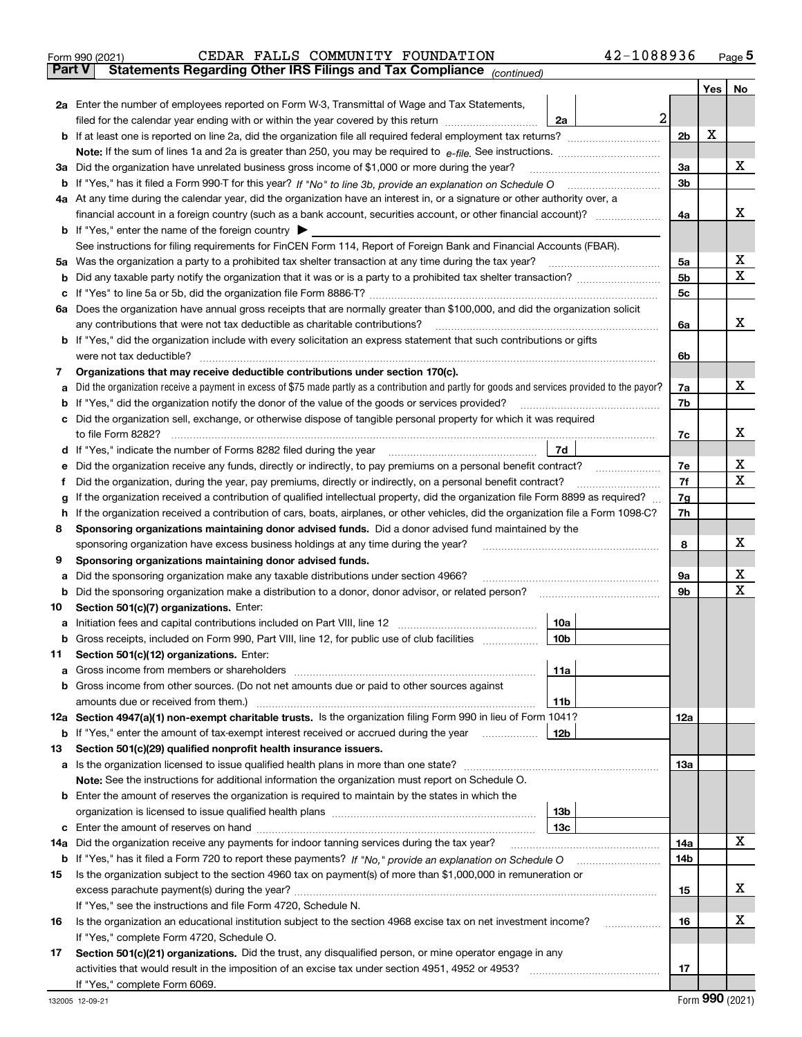|    | 42-1088936<br>CEDAR FALLS COMMUNITY FOUNDATION<br>Form 990 (2021)                                                                                                                                                                                                                       |                |            | Page $5$ |
|----|-----------------------------------------------------------------------------------------------------------------------------------------------------------------------------------------------------------------------------------------------------------------------------------------|----------------|------------|----------|
|    | Statements Regarding Other IRS Filings and Tax Compliance (continued)<br>Part V                                                                                                                                                                                                         |                |            |          |
|    |                                                                                                                                                                                                                                                                                         |                | <b>Yes</b> | No       |
|    | <b>2a</b> Enter the number of employees reported on Form W-3, Transmittal of Wage and Tax Statements,                                                                                                                                                                                   |                |            |          |
|    | 2<br>filed for the calendar year ending with or within the year covered by this return <i>manumumumum</i><br>2a                                                                                                                                                                         |                |            |          |
| b  |                                                                                                                                                                                                                                                                                         | 2 <sub>b</sub> | х          |          |
|    | Note: If the sum of lines 1a and 2a is greater than 250, you may be required to $e$ -file. See instructions. $\ldots$ $\ldots$ $\ldots$ $\ldots$ $\ldots$ $\ldots$ $\ldots$ $\ldots$ $\ldots$ $\ldots$ $\ldots$ $\ldots$ $\ldots$ $\ldots$ $\ldots$ $\ldots$ $\ldots$ $\ldots$ $\ldots$ |                |            |          |
|    | 3a Did the organization have unrelated business gross income of \$1,000 or more during the year?                                                                                                                                                                                        | 3a             |            | x        |
|    | b If "Yes," has it filed a Form 990-T for this year? If "No" to line 3b, provide an explanation on Schedule O                                                                                                                                                                           | 3 <sub>b</sub> |            |          |
|    | 4a At any time during the calendar year, did the organization have an interest in, or a signature or other authority over, a                                                                                                                                                            |                |            |          |
|    |                                                                                                                                                                                                                                                                                         | 4a             |            | х        |
|    | <b>b</b> If "Yes," enter the name of the foreign country $\blacktriangleright$                                                                                                                                                                                                          |                |            |          |
|    | See instructions for filing requirements for FinCEN Form 114, Report of Foreign Bank and Financial Accounts (FBAR).                                                                                                                                                                     |                |            |          |
|    | 5a Was the organization a party to a prohibited tax shelter transaction at any time during the tax year?                                                                                                                                                                                | 5a             |            | x        |
| b  |                                                                                                                                                                                                                                                                                         | 5 <sub>b</sub> |            | X        |
| c  |                                                                                                                                                                                                                                                                                         | 5c             |            |          |
|    | 6a Does the organization have annual gross receipts that are normally greater than \$100,000, and did the organization solicit                                                                                                                                                          |                |            |          |
|    | any contributions that were not tax deductible as charitable contributions?                                                                                                                                                                                                             | 6a             |            | X.       |
|    | b If "Yes," did the organization include with every solicitation an express statement that such contributions or gifts                                                                                                                                                                  |                |            |          |
|    | were not tax deductible?                                                                                                                                                                                                                                                                | 6b             |            |          |
| 7  | Organizations that may receive deductible contributions under section 170(c).                                                                                                                                                                                                           |                |            |          |
| а  | Did the organization receive a payment in excess of \$75 made partly as a contribution and partly for goods and services provided to the payor?                                                                                                                                         | 7a             |            | x        |
| b  | If "Yes," did the organization notify the donor of the value of the goods or services provided?                                                                                                                                                                                         | 7b             |            |          |
| c  | Did the organization sell, exchange, or otherwise dispose of tangible personal property for which it was required                                                                                                                                                                       |                |            |          |
|    | to file Form 8282?                                                                                                                                                                                                                                                                      | 7c             |            | х        |
|    | 7d<br>d If "Yes," indicate the number of Forms 8282 filed during the year manufacture controller the number of Forms 8282 filed during the year manufacture controller the number of                                                                                                    |                |            |          |
| е  | Did the organization receive any funds, directly or indirectly, to pay premiums on a personal benefit contract?                                                                                                                                                                         | 7е             |            | x        |
| f  | Did the organization, during the year, pay premiums, directly or indirectly, on a personal benefit contract?                                                                                                                                                                            | 7f             |            | X        |
| g  | If the organization received a contribution of qualified intellectual property, did the organization file Form 8899 as required?                                                                                                                                                        | 7g             |            |          |
| h. | If the organization received a contribution of cars, boats, airplanes, or other vehicles, did the organization file a Form 1098-C?                                                                                                                                                      | 7h             |            |          |
| 8  | Sponsoring organizations maintaining donor advised funds. Did a donor advised fund maintained by the                                                                                                                                                                                    |                |            |          |
|    | sponsoring organization have excess business holdings at any time during the year?                                                                                                                                                                                                      | 8              |            | х        |
| 9  | Sponsoring organizations maintaining donor advised funds.                                                                                                                                                                                                                               |                |            |          |
| а  | Did the sponsoring organization make any taxable distributions under section 4966?                                                                                                                                                                                                      | 9а             |            | х        |
| b  | Did the sponsoring organization make a distribution to a donor, donor advisor, or related person?                                                                                                                                                                                       | 9b             |            | X        |
| 10 | Section 501(c)(7) organizations. Enter:                                                                                                                                                                                                                                                 |                |            |          |
| а  | 10a                                                                                                                                                                                                                                                                                     |                |            |          |
| b  | Gross receipts, included on Form 990, Part VIII, line 12, for public use of club facilities<br>10 <sub>b</sub>                                                                                                                                                                          |                |            |          |
| 11 | Section 501(c)(12) organizations. Enter:                                                                                                                                                                                                                                                |                |            |          |
| а  | Gross income from members or shareholders<br>11a                                                                                                                                                                                                                                        |                |            |          |
| b  | Gross income from other sources. (Do not net amounts due or paid to other sources against                                                                                                                                                                                               |                |            |          |
|    | 11b                                                                                                                                                                                                                                                                                     |                |            |          |

|    | 12a Section 4947(a)(1) non-exempt charitable trusts. Is the organization filing Form 990 in lieu of Form 1041?<br>12a |     |     |  |  |  |  |
|----|-----------------------------------------------------------------------------------------------------------------------|-----|-----|--|--|--|--|
| b  | If "Yes," enter the amount of tax-exempt interest received or accrued during the year                                 | 12b |     |  |  |  |  |
| 13 | Section 501(c)(29) qualified nonprofit health insurance issuers.                                                      |     |     |  |  |  |  |
|    | a Is the organization licensed to issue qualified health plans in more than one state?<br>13а                         |     |     |  |  |  |  |
|    | Note: See the instructions for additional information the organization must report on Schedule O.                     |     |     |  |  |  |  |
| b  | Enter the amount of reserves the organization is required to maintain by the states in which the                      |     |     |  |  |  |  |
|    |                                                                                                                       | 13b |     |  |  |  |  |
|    |                                                                                                                       | 13с |     |  |  |  |  |
|    | 14a Did the organization receive any payments for indoor tanning services during the tax year?                        |     | 14a |  |  |  |  |
| b  |                                                                                                                       |     | 14b |  |  |  |  |
| 15 | Is the organization subject to the section 4960 tax on payment(s) of more than \$1,000,000 in remuneration or         |     |     |  |  |  |  |
|    |                                                                                                                       |     | 15  |  |  |  |  |
|    | If "Yes," see the instructions and file Form 4720, Schedule N.                                                        |     |     |  |  |  |  |
| 16 | Is the organization an educational institution subject to the section 4968 excise tax on net investment income?       |     | 16  |  |  |  |  |
|    | If "Yes," complete Form 4720, Schedule O.                                                                             |     |     |  |  |  |  |
| 17 | Section 501(c)(21) organizations. Did the trust, any disqualified person, or mine operator engage in any              |     |     |  |  |  |  |
|    | activities that would result in the imposition of an excise tax under section 4951, 4952 or 4953?                     |     | 17  |  |  |  |  |

X

X

X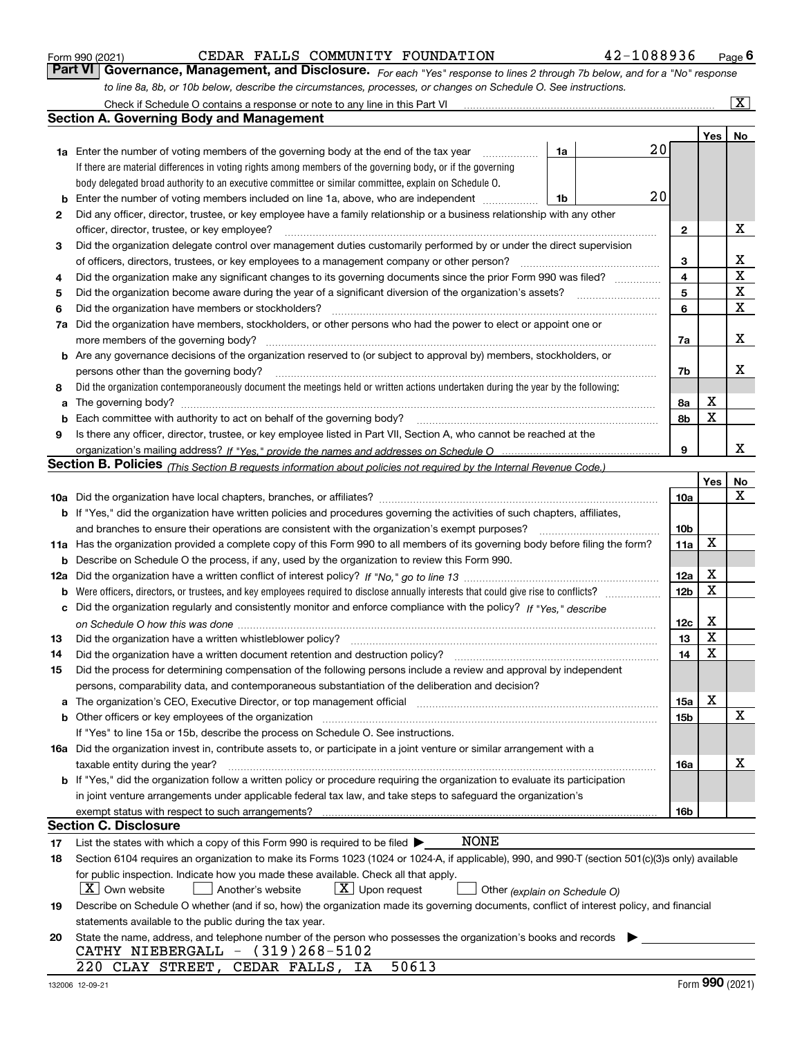|     | to line 8a, 8b, or 10b below, describe the circumstances, processes, or changes on Schedule O. See instructions.                                                                                                                                     |                 |                  |                |
|-----|------------------------------------------------------------------------------------------------------------------------------------------------------------------------------------------------------------------------------------------------------|-----------------|------------------|----------------|
|     | Check if Schedule O contains a response or note to any line in this Part VI                                                                                                                                                                          |                 |                  | $ \mathbf{X} $ |
|     | <b>Section A. Governing Body and Management</b>                                                                                                                                                                                                      |                 |                  |                |
|     |                                                                                                                                                                                                                                                      |                 | Yes <sub>1</sub> | No             |
|     | 1a<br>1a Enter the number of voting members of the governing body at the end of the tax year                                                                                                                                                         | $20\,$          |                  |                |
|     | If there are material differences in voting rights among members of the governing body, or if the governing                                                                                                                                          |                 |                  |                |
|     | body delegated broad authority to an executive committee or similar committee, explain on Schedule O.                                                                                                                                                |                 |                  |                |
| b   | 20<br>Enter the number of voting members included on line 1a, above, who are independent<br>1b                                                                                                                                                       |                 |                  |                |
| 2   | Did any officer, director, trustee, or key employee have a family relationship or a business relationship with any other                                                                                                                             |                 |                  |                |
|     | officer, director, trustee, or key employee?                                                                                                                                                                                                         | $\mathbf{2}$    |                  | х              |
| 3   | Did the organization delegate control over management duties customarily performed by or under the direct supervision                                                                                                                                |                 |                  |                |
|     | of officers, directors, trustees, or key employees to a management company or other person?                                                                                                                                                          | 3               |                  | x              |
| 4   | Did the organization make any significant changes to its governing documents since the prior Form 990 was filed?                                                                                                                                     | 4               |                  | $\mathbf X$    |
| 5   | Did the organization become aware during the year of a significant diversion of the organization's assets?                                                                                                                                           | 5               |                  | X              |
| 6   | Did the organization have members or stockholders?                                                                                                                                                                                                   | 6               |                  | $\mathbf X$    |
| 7a  | Did the organization have members, stockholders, or other persons who had the power to elect or appoint one or                                                                                                                                       |                 |                  |                |
|     | more members of the governing body?                                                                                                                                                                                                                  | 7a              |                  | x              |
|     | <b>b</b> Are any governance decisions of the organization reserved to (or subject to approval by) members, stockholders, or                                                                                                                          |                 |                  |                |
|     | persons other than the governing body?                                                                                                                                                                                                               | 7b              |                  | x              |
| 8   | Did the organization contemporaneously document the meetings held or written actions undertaken during the year by the following:                                                                                                                    |                 |                  |                |
| a   | The governing body? [[11] matter and the contract of the contract of the contract of the contract of the contract of the contract of the contract of the contract of the contract of the contract of the contract of the contr                       | 8а              | х                |                |
| b   | Each committee with authority to act on behalf of the governing body? manufactured committee with authority to act on behalf of the governing body?                                                                                                  | 8b              | X                |                |
| 9   | Is there any officer, director, trustee, or key employee listed in Part VII, Section A, who cannot be reached at the                                                                                                                                 |                 |                  |                |
|     |                                                                                                                                                                                                                                                      | 9               |                  | x              |
|     | Section B. Policies (This Section B requests information about policies not required by the Internal Revenue Code.)                                                                                                                                  |                 |                  |                |
|     |                                                                                                                                                                                                                                                      |                 | Yes              | <b>No</b>      |
|     |                                                                                                                                                                                                                                                      | 10a             |                  | х              |
|     | b If "Yes," did the organization have written policies and procedures governing the activities of such chapters, affiliates,                                                                                                                         |                 |                  |                |
|     | and branches to ensure their operations are consistent with the organization's exempt purposes?                                                                                                                                                      | 10b             |                  |                |
|     | 11a Has the organization provided a complete copy of this Form 990 to all members of its governing body before filing the form?                                                                                                                      | 11a             | X                |                |
| b   | Describe on Schedule O the process, if any, used by the organization to review this Form 990.                                                                                                                                                        |                 |                  |                |
| 12a |                                                                                                                                                                                                                                                      | 12a             | х                |                |
| b   |                                                                                                                                                                                                                                                      | 12 <sub>b</sub> | $\mathbf X$      |                |
| c   | Did the organization regularly and consistently monitor and enforce compliance with the policy? If "Yes," describe                                                                                                                                   |                 |                  |                |
|     |                                                                                                                                                                                                                                                      | 12c             | х                |                |
| 13  | Did the organization have a written whistleblower policy?                                                                                                                                                                                            | 13              | X                |                |
| 14  | Did the organization have a written document retention and destruction policy?                                                                                                                                                                       | 14              | $\mathbf X$      |                |
| 15  | Did the process for determining compensation of the following persons include a review and approval by independent                                                                                                                                   |                 |                  |                |
|     | persons, comparability data, and contemporaneous substantiation of the deliberation and decision?                                                                                                                                                    |                 |                  |                |
| a   | The organization's CEO, Executive Director, or top management official manufactured contains and contained a manufactured with the organization's CEO, Executive Director, or top management official manufactured with the st                       | 15a             | х                |                |
| b   | Other officers or key employees of the organization                                                                                                                                                                                                  | 15b             |                  | х              |
|     | If "Yes" to line 15a or 15b, describe the process on Schedule O. See instructions.                                                                                                                                                                   |                 |                  |                |
|     | 16a Did the organization invest in, contribute assets to, or participate in a joint venture or similar arrangement with a                                                                                                                            |                 |                  |                |
|     | taxable entity during the year?                                                                                                                                                                                                                      | 16a             |                  | x              |
|     | b If "Yes," did the organization follow a written policy or procedure requiring the organization to evaluate its participation                                                                                                                       |                 |                  |                |
|     | in joint venture arrangements under applicable federal tax law, and take steps to safeguard the organization's                                                                                                                                       |                 |                  |                |
|     | exempt status with respect to such arrangements?<br><b>Section C. Disclosure</b>                                                                                                                                                                     | 16b             |                  |                |
|     | <b>NONE</b>                                                                                                                                                                                                                                          |                 |                  |                |
| 17  | List the states with which a copy of this Form 990 is required to be filed $\blacktriangleright$<br>Section 6104 requires an organization to make its Forms 1023 (1024 or 1024-A, if applicable), 990, and 990-T (section 501(c)(3)s only) available |                 |                  |                |
| 18  |                                                                                                                                                                                                                                                      |                 |                  |                |
|     | for public inspection. Indicate how you made these available. Check all that apply.<br>  X   Own website<br>$X$ Upon request                                                                                                                         |                 |                  |                |
|     | Another's website<br>Other (explain on Schedule O)                                                                                                                                                                                                   |                 |                  |                |
| 19  | Describe on Schedule O whether (and if so, how) the organization made its governing documents, conflict of interest policy, and financial<br>statements available to the public during the tax year.                                                 |                 |                  |                |
| 20  | State the name, address, and telephone number of the person who possesses the organization's books and records                                                                                                                                       |                 |                  |                |
|     | CATHY NIEBERGALL $-$ (319)268-5102                                                                                                                                                                                                                   |                 |                  |                |
|     | 50613<br>220 CLAY STREET, CEDAR FALLS, IA                                                                                                                                                                                                            |                 |                  |                |

Form 990 (2021) **CEDAR FALLS COMMUNITY FOUNDATION** 42-1088936 Page 6<br>**Part VI Governance, Management, and Disclosure.** For each "Yes" response to lines 2 through 7b below, and for a "No" response

CEDAR FALLS COMMUNITY FOUNDATION 42-1088936

*For each "Yes" response to lines 2 through 7b below, and for a "No" response*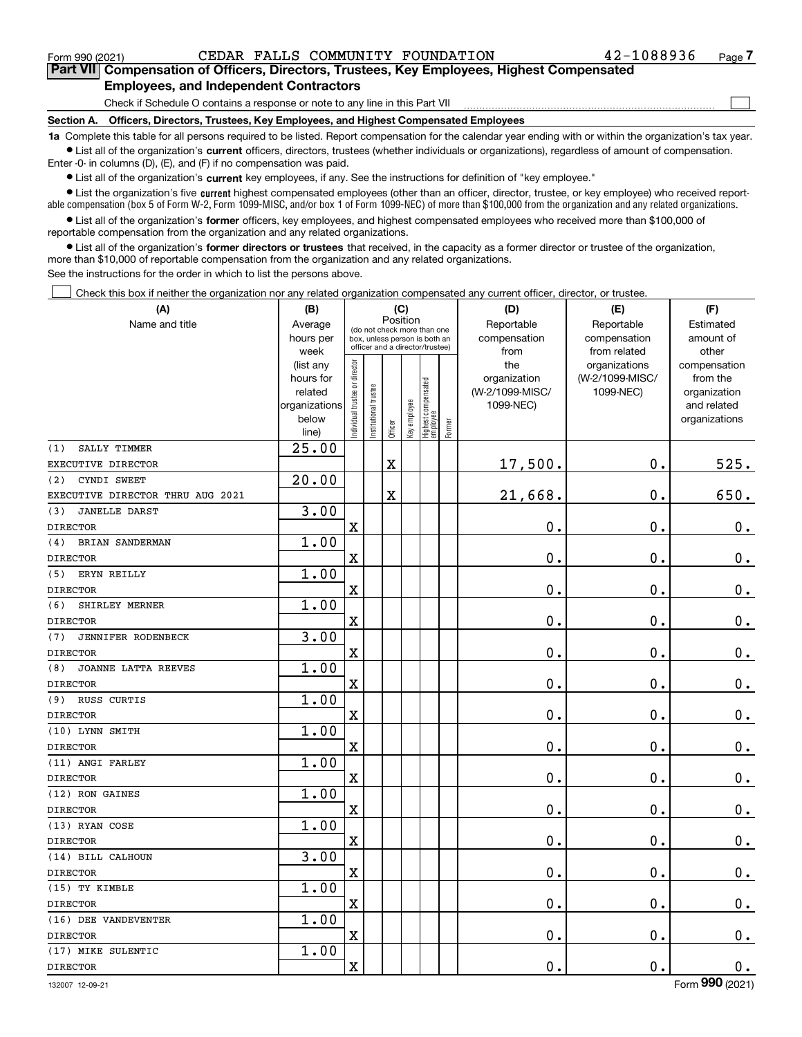$\mathcal{L}^{\text{max}}$ 

**7Part VII Compensation of Officers, Directors, Trustees, Key Employees, Highest Compensated Employees, and Independent Contractors**

Check if Schedule O contains a response or note to any line in this Part VII

**Section A. Officers, Directors, Trustees, Key Employees, and Highest Compensated Employees**

**1a**  Complete this table for all persons required to be listed. Report compensation for the calendar year ending with or within the organization's tax year. **•** List all of the organization's current officers, directors, trustees (whether individuals or organizations), regardless of amount of compensation.

Enter -0- in columns (D), (E), and (F) if no compensation was paid.

 $\bullet$  List all of the organization's  $\sf current$  key employees, if any. See the instructions for definition of "key employee."

**•** List the organization's five current highest compensated employees (other than an officer, director, trustee, or key employee) who received reportable compensation (box 5 of Form W-2, Form 1099-MISC, and/or box 1 of Form 1099-NEC) of more than \$100,000 from the organization and any related organizations.

**•** List all of the organization's former officers, key employees, and highest compensated employees who received more than \$100,000 of reportable compensation from the organization and any related organizations.

**former directors or trustees**  ¥ List all of the organization's that received, in the capacity as a former director or trustee of the organization, more than \$10,000 of reportable compensation from the organization and any related organizations.

See the instructions for the order in which to list the persons above.

Check this box if neither the organization nor any related organization compensated any current officer, director, or trustee.  $\mathcal{L}^{\text{max}}$ 

| (A)                              | (B)<br>(C)<br>Position                                               |                                |                       |                                                                                                 |              |                                   |        | (D)                                                 | (E)                                           | (F)                                                                      |
|----------------------------------|----------------------------------------------------------------------|--------------------------------|-----------------------|-------------------------------------------------------------------------------------------------|--------------|-----------------------------------|--------|-----------------------------------------------------|-----------------------------------------------|--------------------------------------------------------------------------|
| Name and title                   | Average<br>hours per<br>week                                         |                                |                       | (do not check more than one<br>box, unless person is both an<br>officer and a director/trustee) |              |                                   |        | Reportable<br>compensation<br>from                  | Reportable<br>compensation<br>from related    | Estimated<br>amount of<br>other                                          |
|                                  | (list any<br>hours for<br>related<br>organizations<br>below<br>line) | Individual trustee or director | Institutional trustee | Officer                                                                                         | Key employee | Highest compensated<br>  employee | Former | the<br>organization<br>(W-2/1099-MISC/<br>1099-NEC) | organizations<br>(W-2/1099-MISC/<br>1099-NEC) | compensation<br>from the<br>organization<br>and related<br>organizations |
| SALLY TIMMER<br>(1)              | 25.00                                                                |                                |                       |                                                                                                 |              |                                   |        |                                                     |                                               |                                                                          |
| EXECUTIVE DIRECTOR               |                                                                      |                                |                       | $\overline{\textbf{X}}$                                                                         |              |                                   |        | 17,500.                                             | $\mathbf 0$ .                                 | 525.                                                                     |
| CYNDI SWEET<br>(2)               | 20.00                                                                |                                |                       |                                                                                                 |              |                                   |        |                                                     |                                               |                                                                          |
| EXECUTIVE DIRECTOR THRU AUG 2021 |                                                                      |                                |                       | X                                                                                               |              |                                   |        | 21,668.                                             | $\mathbf 0$ .                                 | 650.                                                                     |
| <b>JANELLE DARST</b><br>(3)      | 3.00                                                                 |                                |                       |                                                                                                 |              |                                   |        |                                                     |                                               |                                                                          |
| <b>DIRECTOR</b>                  |                                                                      | $\mathbf X$                    |                       |                                                                                                 |              |                                   |        | 0.                                                  | $\mathbf 0$ .                                 | $\mathbf 0$ .                                                            |
| BRIAN SANDERMAN<br>(4)           | 1.00                                                                 |                                |                       |                                                                                                 |              |                                   |        |                                                     |                                               |                                                                          |
| <b>DIRECTOR</b>                  |                                                                      | $\mathbf x$                    |                       |                                                                                                 |              |                                   |        | 0.                                                  | 0.                                            | $\mathbf 0$ .                                                            |
| (5)<br>ERYN REILLY               | 1.00                                                                 |                                |                       |                                                                                                 |              |                                   |        |                                                     |                                               |                                                                          |
| <b>DIRECTOR</b>                  |                                                                      | $\overline{\text{X}}$          |                       |                                                                                                 |              |                                   |        | 0.                                                  | 0.                                            | $0_{\cdot}$                                                              |
| (6)<br>SHIRLEY MERNER            | 1.00                                                                 |                                |                       |                                                                                                 |              |                                   |        |                                                     |                                               |                                                                          |
| <b>DIRECTOR</b>                  |                                                                      | $\overline{\text{X}}$          |                       |                                                                                                 |              |                                   |        | 0.                                                  | $\mathbf 0$ .                                 | $\mathbf 0$ .                                                            |
| (7)<br>JENNIFER RODENBECK        | 3.00                                                                 |                                |                       |                                                                                                 |              |                                   |        |                                                     |                                               |                                                                          |
| <b>DIRECTOR</b>                  |                                                                      | $\rm X$                        |                       |                                                                                                 |              |                                   |        | 0.                                                  | 0.                                            | $\mathbf 0$ .                                                            |
| (8)<br>JOANNE LATTA REEVES       | 1.00                                                                 |                                |                       |                                                                                                 |              |                                   |        |                                                     |                                               |                                                                          |
| <b>DIRECTOR</b>                  |                                                                      | $\overline{\textbf{X}}$        |                       |                                                                                                 |              |                                   |        | 0.                                                  | 0.                                            | $\mathbf 0$ .                                                            |
| RUSS CURTIS<br>(9)               | 1.00                                                                 |                                |                       |                                                                                                 |              |                                   |        |                                                     |                                               |                                                                          |
| <b>DIRECTOR</b>                  |                                                                      | $\rm X$                        |                       |                                                                                                 |              |                                   |        | 0.                                                  | 0.                                            | $\mathbf 0$ .                                                            |
| (10) LYNN SMITH                  | 1.00                                                                 |                                |                       |                                                                                                 |              |                                   |        |                                                     |                                               |                                                                          |
| <b>DIRECTOR</b>                  |                                                                      | $\overline{\textbf{X}}$        |                       |                                                                                                 |              |                                   |        | 0.                                                  | 0.                                            | $0_{.}$                                                                  |
| (11) ANGI FARLEY                 | 1.00                                                                 |                                |                       |                                                                                                 |              |                                   |        |                                                     |                                               |                                                                          |
| <b>DIRECTOR</b>                  |                                                                      | $\rm X$                        |                       |                                                                                                 |              |                                   |        | 0.                                                  | 0.                                            | $\mathbf 0$ .                                                            |
| (12) RON GAINES                  | 1.00                                                                 |                                |                       |                                                                                                 |              |                                   |        |                                                     |                                               |                                                                          |
| <b>DIRECTOR</b>                  |                                                                      | X                              |                       |                                                                                                 |              |                                   |        | 0.                                                  | $\mathbf 0$ .                                 | $0_{.}$                                                                  |
| (13) RYAN COSE                   | 1.00                                                                 |                                |                       |                                                                                                 |              |                                   |        |                                                     |                                               |                                                                          |
| <b>DIRECTOR</b>                  |                                                                      | $\mathbf X$                    |                       |                                                                                                 |              |                                   |        | 0.                                                  | $\mathbf 0$ .                                 | $0_{.}$                                                                  |
| (14) BILL CALHOUN                | 3.00                                                                 |                                |                       |                                                                                                 |              |                                   |        |                                                     |                                               |                                                                          |
| <b>DIRECTOR</b>                  |                                                                      | X                              |                       |                                                                                                 |              |                                   |        | 0.                                                  | $\mathbf 0$ .                                 | $0$ .                                                                    |
| (15) TY KIMBLE                   | 1.00                                                                 |                                |                       |                                                                                                 |              |                                   |        |                                                     |                                               |                                                                          |
| <b>DIRECTOR</b>                  |                                                                      | X                              |                       |                                                                                                 |              |                                   |        | 0.                                                  | $\mathbf 0$ .                                 | $\mathbf 0$ .                                                            |
| (16) DEE VANDEVENTER             | 1.00                                                                 |                                |                       |                                                                                                 |              |                                   |        |                                                     |                                               |                                                                          |
| <b>DIRECTOR</b>                  |                                                                      | X                              |                       |                                                                                                 |              |                                   |        | 0.                                                  | $\mathbf 0$ .                                 | $\mathbf 0$ .                                                            |
| (17) MIKE SULENTIC               | 1.00                                                                 |                                |                       |                                                                                                 |              |                                   |        |                                                     |                                               |                                                                          |
| <b>DIRECTOR</b>                  |                                                                      | $\rm X$                        |                       |                                                                                                 |              |                                   |        | 0.                                                  | $\mathbf 0$ .                                 | $0_{.}$                                                                  |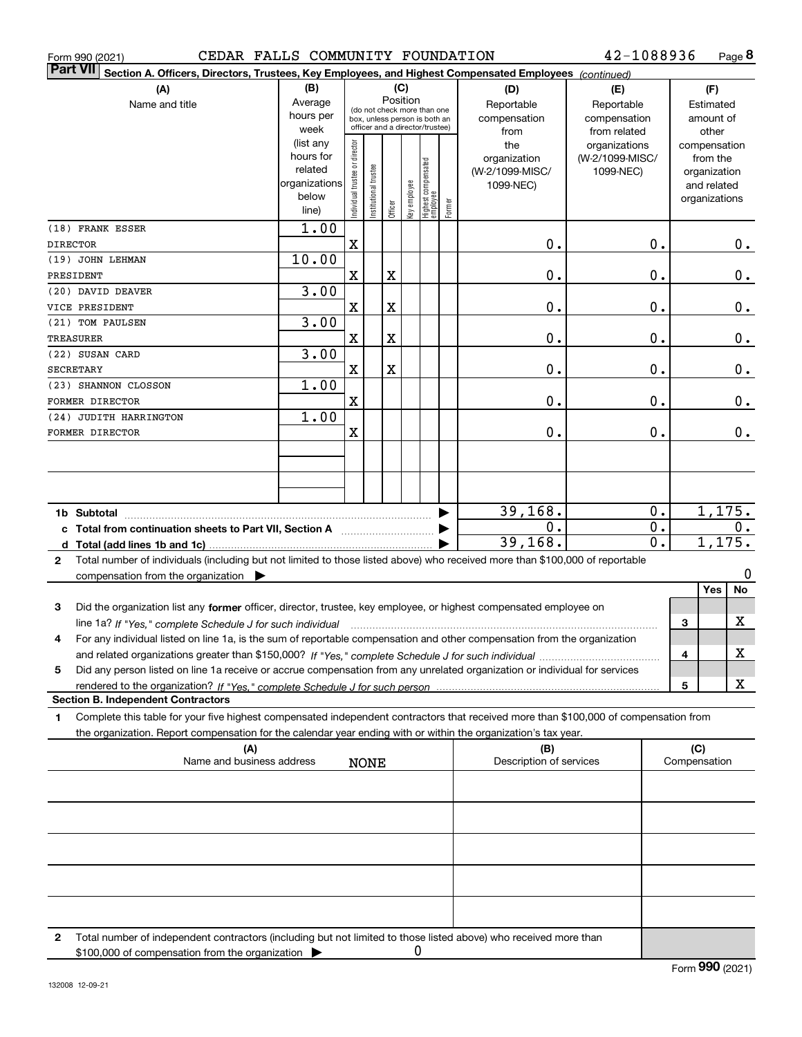| CEDAR FALLS COMMUNITY FOUNDATION<br>Form 990 (2021)                                                                                          |                        |                                |                       |                         |              |                                                                  |        |                         | 42-1088936                       |              |                          | Page 8        |
|----------------------------------------------------------------------------------------------------------------------------------------------|------------------------|--------------------------------|-----------------------|-------------------------|--------------|------------------------------------------------------------------|--------|-------------------------|----------------------------------|--------------|--------------------------|---------------|
| <b>Part VII</b><br>Section A. Officers, Directors, Trustees, Key Employees, and Highest Compensated Employees (continued)                    |                        |                                |                       |                         |              |                                                                  |        |                         |                                  |              |                          |               |
| (A)                                                                                                                                          | (B)                    |                                |                       |                         | (C)          |                                                                  |        | (D)                     | (E)                              |              | (F)                      |               |
| Name and title                                                                                                                               | Average                |                                |                       | Position                |              | (do not check more than one                                      |        | Reportable              | Reportable                       |              | Estimated                |               |
|                                                                                                                                              | hours per              |                                |                       |                         |              | box, unless person is both an<br>officer and a director/trustee) |        | compensation            | compensation                     |              | amount of                |               |
|                                                                                                                                              | week                   |                                |                       |                         |              |                                                                  |        | from                    | from related                     |              | other                    |               |
|                                                                                                                                              | (list any<br>hours for |                                |                       |                         |              |                                                                  |        | the<br>organization     | organizations<br>(W-2/1099-MISC/ |              | compensation<br>from the |               |
|                                                                                                                                              | related                |                                |                       |                         |              |                                                                  |        | (W-2/1099-MISC/         | 1099-NEC)                        |              | organization             |               |
|                                                                                                                                              | organizations          |                                |                       |                         |              |                                                                  |        | 1099-NEC)               |                                  |              | and related              |               |
|                                                                                                                                              | below                  | Individual trustee or director | Institutional trustee |                         | key employee |                                                                  |        |                         |                                  |              | organizations            |               |
|                                                                                                                                              | line)                  |                                |                       | Officer                 |              | Highest compensated<br>  employee                                | Former |                         |                                  |              |                          |               |
| (18) FRANK ESSER                                                                                                                             | 1.00                   |                                |                       |                         |              |                                                                  |        |                         |                                  |              |                          |               |
| DIRECTOR                                                                                                                                     |                        | X                              |                       |                         |              |                                                                  |        | $\mathbf 0$ .           | 0.                               |              |                          | $0$ .         |
| (19) JOHN LEHMAN                                                                                                                             | 10.00                  |                                |                       |                         |              |                                                                  |        |                         |                                  |              |                          |               |
| PRESIDENT                                                                                                                                    |                        | X                              |                       | $\mathbf X$             |              |                                                                  |        | $\mathbf 0$ .           | 0.                               |              |                          | $\mathbf 0$ . |
| (20) DAVID DEAVER                                                                                                                            | 3.00                   |                                |                       |                         |              |                                                                  |        |                         |                                  |              |                          |               |
| VICE PRESIDENT<br>(21) TOM PAULSEN                                                                                                           | 3.00                   | X                              |                       | $\overline{\textbf{X}}$ |              |                                                                  |        | $\mathbf 0$ .           | 0.                               |              |                          | $\mathbf 0$ . |
| TREASURER                                                                                                                                    |                        | X                              |                       | $\overline{\textbf{X}}$ |              |                                                                  |        | $\mathbf 0$ .           | 0.                               |              |                          | $\mathbf 0$ . |
| (22) SUSAN CARD                                                                                                                              | 3.00                   |                                |                       |                         |              |                                                                  |        |                         |                                  |              |                          |               |
| SECRETARY                                                                                                                                    |                        | X                              |                       | $\overline{\textbf{X}}$ |              |                                                                  |        | $\mathbf 0$ .           | 0.                               |              |                          | $\mathbf 0$ . |
| (23) SHANNON CLOSSON                                                                                                                         | 1.00                   |                                |                       |                         |              |                                                                  |        |                         |                                  |              |                          |               |
| FORMER DIRECTOR                                                                                                                              |                        | X                              |                       |                         |              |                                                                  |        | $\mathbf 0$ .           | $\mathbf 0$ .                    |              |                          | $\mathbf 0$ . |
| (24) JUDITH HARRINGTON                                                                                                                       | 1.00                   |                                |                       |                         |              |                                                                  |        |                         |                                  |              |                          |               |
| FORMER DIRECTOR                                                                                                                              |                        | X                              |                       |                         |              |                                                                  |        | Ο.                      | $\mathbf 0$ .                    |              |                          | 0.            |
|                                                                                                                                              |                        |                                |                       |                         |              |                                                                  |        |                         |                                  |              |                          |               |
|                                                                                                                                              |                        |                                |                       |                         |              |                                                                  |        |                         |                                  |              |                          |               |
|                                                                                                                                              |                        |                                |                       |                         |              |                                                                  |        |                         |                                  |              |                          |               |
|                                                                                                                                              |                        |                                |                       |                         |              |                                                                  |        | 39, 168.                | 0.                               |              | 1,175.                   |               |
| 1b Subtotal<br>Total from continuation sheets to Part VII, Section A [111] [11] Total from continuation sheets to Part VII, Section A        |                        |                                |                       |                         |              |                                                                  |        | 0.                      | $\overline{0}$ .                 |              |                          | О.            |
|                                                                                                                                              |                        |                                |                       |                         |              |                                                                  |        | 39, 168.                | $\overline{0}$ .                 |              | 1,175.                   |               |
| Total number of individuals (including but not limited to those listed above) who received more than \$100,000 of reportable<br>$\mathbf{2}$ |                        |                                |                       |                         |              |                                                                  |        |                         |                                  |              |                          |               |
| compensation from the organization $\blacktriangleright$                                                                                     |                        |                                |                       |                         |              |                                                                  |        |                         |                                  |              |                          | 0             |
|                                                                                                                                              |                        |                                |                       |                         |              |                                                                  |        |                         |                                  |              | Yes                      | No            |
| 3<br>Did the organization list any former officer, director, trustee, key employee, or highest compensated employee on                       |                        |                                |                       |                         |              |                                                                  |        |                         |                                  |              |                          |               |
|                                                                                                                                              |                        |                                |                       |                         |              |                                                                  |        |                         |                                  | 3            |                          | x             |
| For any individual listed on line 1a, is the sum of reportable compensation and other compensation from the organization<br>4                |                        |                                |                       |                         |              |                                                                  |        |                         |                                  |              |                          |               |
|                                                                                                                                              |                        |                                |                       |                         |              |                                                                  |        |                         |                                  | 4            |                          | x             |
| Did any person listed on line 1a receive or accrue compensation from any unrelated organization or individual for services<br>5              |                        |                                |                       |                         |              |                                                                  |        |                         |                                  |              |                          | x             |
| <b>Section B. Independent Contractors</b>                                                                                                    |                        |                                |                       |                         |              |                                                                  |        |                         |                                  | 5            |                          |               |
| Complete this table for your five highest compensated independent contractors that received more than \$100,000 of compensation from<br>1    |                        |                                |                       |                         |              |                                                                  |        |                         |                                  |              |                          |               |
| the organization. Report compensation for the calendar year ending with or within the organization's tax year.                               |                        |                                |                       |                         |              |                                                                  |        |                         |                                  |              |                          |               |
| (A)                                                                                                                                          |                        |                                |                       |                         |              |                                                                  |        | (B)                     |                                  |              | (C)                      |               |
| Name and business address                                                                                                                    |                        |                                | <b>NONE</b>           |                         |              |                                                                  |        | Description of services |                                  | Compensation |                          |               |
|                                                                                                                                              |                        |                                |                       |                         |              |                                                                  |        |                         |                                  |              |                          |               |
|                                                                                                                                              |                        |                                |                       |                         |              |                                                                  |        |                         |                                  |              |                          |               |
|                                                                                                                                              |                        |                                |                       |                         |              |                                                                  |        |                         |                                  |              |                          |               |
|                                                                                                                                              |                        |                                |                       |                         |              |                                                                  |        |                         |                                  |              |                          |               |
|                                                                                                                                              |                        |                                |                       |                         |              |                                                                  |        |                         |                                  |              |                          |               |
|                                                                                                                                              |                        |                                |                       |                         |              |                                                                  |        |                         |                                  |              |                          |               |
|                                                                                                                                              |                        |                                |                       |                         |              |                                                                  |        |                         |                                  |              |                          |               |
|                                                                                                                                              |                        |                                |                       |                         |              |                                                                  |        |                         |                                  |              |                          |               |
|                                                                                                                                              |                        |                                |                       |                         |              |                                                                  |        |                         |                                  |              |                          |               |

**2** Total number of independent contractors (including but not limited to those listed above) who received more than \$100,000 of compensation from the organization 0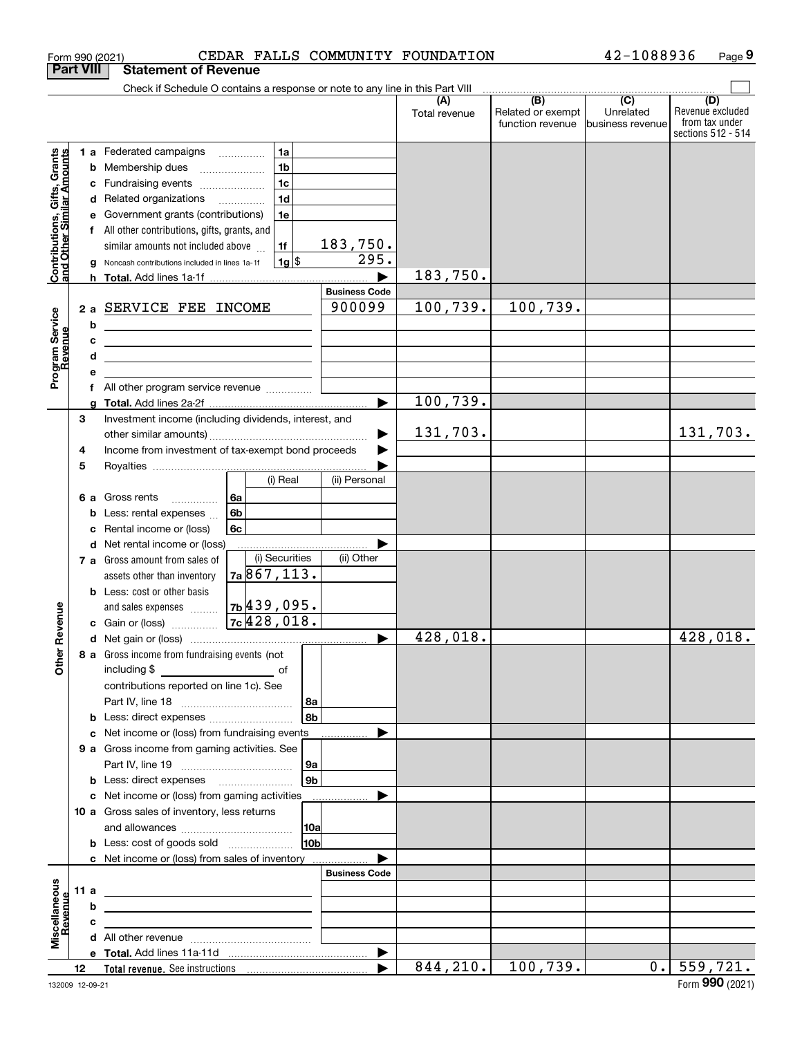|                                                           |    |                                                    | Form 990 (2021)                                                                                                       |                |                         |            |                       | CEDAR FALLS COMMUNITY FOUNDATION |                                                     | 42-1088936                    | Page 9                                                          |
|-----------------------------------------------------------|----|----------------------------------------------------|-----------------------------------------------------------------------------------------------------------------------|----------------|-------------------------|------------|-----------------------|----------------------------------|-----------------------------------------------------|-------------------------------|-----------------------------------------------------------------|
| <b>Part VIII</b>                                          |    |                                                    | <b>Statement of Revenue</b>                                                                                           |                |                         |            |                       |                                  |                                                     |                               |                                                                 |
|                                                           |    |                                                    | Check if Schedule O contains a response or note to any line in this Part VIII                                         |                |                         |            |                       |                                  | $\overline{(\mathsf{B})}$ $\overline{(\mathsf{C})}$ |                               |                                                                 |
|                                                           |    |                                                    |                                                                                                                       |                |                         |            |                       | (A)<br>Total revenue             | Related or exempt<br>function revenue               | Unrelated<br>business revenue | (D)<br>Revenue excluded<br>from tax under<br>sections 512 - 514 |
|                                                           |    |                                                    | 1 a Federated campaigns                                                                                               |                | 1a                      |            |                       |                                  |                                                     |                               |                                                                 |
|                                                           |    |                                                    | <b>b</b> Membership dues                                                                                              |                | 1 <sub>b</sub>          |            |                       |                                  |                                                     |                               |                                                                 |
| Contributions, Gifts, Grants<br>and Other Similar Amounts |    |                                                    | c Fundraising events                                                                                                  |                | 1 <sub>c</sub>          |            |                       |                                  |                                                     |                               |                                                                 |
|                                                           |    |                                                    | d Related organizations                                                                                               |                | 1 <sub>d</sub>          |            |                       |                                  |                                                     |                               |                                                                 |
|                                                           |    |                                                    | e Government grants (contributions)                                                                                   |                | 1e                      |            |                       |                                  |                                                     |                               |                                                                 |
|                                                           |    |                                                    | f All other contributions, gifts, grants, and                                                                         |                |                         |            |                       |                                  |                                                     |                               |                                                                 |
|                                                           |    |                                                    | similar amounts not included above                                                                                    |                | 1f                      |            | 183,750.              |                                  |                                                     |                               |                                                                 |
|                                                           |    |                                                    | g Noncash contributions included in lines 1a-1f                                                                       |                | $1g$ \$                 |            | 295.                  |                                  |                                                     |                               |                                                                 |
|                                                           |    |                                                    |                                                                                                                       |                |                         |            |                       | 183,750.                         |                                                     |                               |                                                                 |
|                                                           |    |                                                    |                                                                                                                       |                |                         |            | <b>Business Code</b>  |                                  |                                                     |                               |                                                                 |
|                                                           |    |                                                    | 2 a SERVICE FEE INCOME                                                                                                |                |                         |            | 900099                | 100, 739.                        | 100,739.                                            |                               |                                                                 |
|                                                           |    | b                                                  |                                                                                                                       |                |                         |            |                       |                                  |                                                     |                               |                                                                 |
|                                                           |    | c                                                  | <u> 1989 - Johann Barbara, martin amerikan basar dan berasal dalam basar dalam basar dalam basar dalam basar dala</u> |                |                         |            |                       |                                  |                                                     |                               |                                                                 |
|                                                           |    | d                                                  | the contract of the contract of the contract of the contract of the contract of                                       |                |                         |            |                       |                                  |                                                     |                               |                                                                 |
| Program Service<br>Revenue                                |    | е                                                  |                                                                                                                       |                |                         |            |                       |                                  |                                                     |                               |                                                                 |
|                                                           |    |                                                    | f All other program service revenue                                                                                   |                |                         |            |                       | 100, 739.                        |                                                     |                               |                                                                 |
|                                                           | 3  |                                                    |                                                                                                                       |                |                         |            |                       |                                  |                                                     |                               |                                                                 |
|                                                           |    |                                                    | Investment income (including dividends, interest, and                                                                 |                |                         |            |                       | 131,703.                         |                                                     |                               | 131,703.                                                        |
|                                                           | 4  | Income from investment of tax-exempt bond proceeds |                                                                                                                       |                |                         |            |                       |                                  |                                                     |                               |                                                                 |
|                                                           | 5  |                                                    |                                                                                                                       |                |                         |            |                       |                                  |                                                     |                               |                                                                 |
|                                                           |    |                                                    |                                                                                                                       |                | (i) Real                |            | (ii) Personal         |                                  |                                                     |                               |                                                                 |
|                                                           |    |                                                    | <b>6 a</b> Gross rents                                                                                                | 6а             |                         |            |                       |                                  |                                                     |                               |                                                                 |
|                                                           |    |                                                    | <b>b</b> Less: rental expenses $\ldots$                                                                               | 6 <sub>b</sub> |                         |            |                       |                                  |                                                     |                               |                                                                 |
|                                                           |    |                                                    | c Rental income or (loss)                                                                                             | 6с             |                         |            |                       |                                  |                                                     |                               |                                                                 |
|                                                           |    |                                                    | d Net rental income or (loss)                                                                                         |                |                         |            |                       |                                  |                                                     |                               |                                                                 |
|                                                           |    |                                                    | 7 a Gross amount from sales of                                                                                        |                | (i) Securities          |            | (ii) Other            |                                  |                                                     |                               |                                                                 |
|                                                           |    |                                                    | assets other than inventory                                                                                           |                | 7a867,113.              |            |                       |                                  |                                                     |                               |                                                                 |
|                                                           |    |                                                    | <b>b</b> Less: cost or other basis                                                                                    |                |                         |            |                       |                                  |                                                     |                               |                                                                 |
|                                                           |    |                                                    | and sales expenses                                                                                                    |                | <sub>7b</sub>  439,095. |            |                       |                                  |                                                     |                               |                                                                 |
| evenue                                                    |    |                                                    | c Gain or (loss)                                                                                                      |                | 7c/428,018.             |            |                       |                                  |                                                     |                               |                                                                 |
| Œ                                                         |    |                                                    |                                                                                                                       |                |                         |            |                       | 428,018.                         |                                                     |                               | $\overline{428,018}$ .                                          |
| Other                                                     |    |                                                    | 8 a Gross income from fundraising events (not                                                                         |                |                         |            |                       |                                  |                                                     |                               |                                                                 |
|                                                           |    |                                                    |                                                                                                                       |                |                         |            |                       |                                  |                                                     |                               |                                                                 |
|                                                           |    |                                                    | contributions reported on line 1c). See                                                                               |                |                         |            |                       |                                  |                                                     |                               |                                                                 |
|                                                           |    |                                                    |                                                                                                                       |                |                         | 8a         |                       |                                  |                                                     |                               |                                                                 |
|                                                           |    |                                                    | <b>b</b> Less: direct expenses <i></i>                                                                                |                |                         | l 8bl      |                       |                                  |                                                     |                               |                                                                 |
|                                                           |    |                                                    | c Net income or (loss) from fundraising events                                                                        |                |                         |            |                       |                                  |                                                     |                               |                                                                 |
|                                                           |    |                                                    | 9 a Gross income from gaming activities. See                                                                          |                |                         |            |                       |                                  |                                                     |                               |                                                                 |
|                                                           |    |                                                    |                                                                                                                       |                |                         | ∣9a        |                       |                                  |                                                     |                               |                                                                 |
|                                                           |    |                                                    | <b>b</b> Less: direct expenses <b>manually</b>                                                                        |                |                         | 9b         |                       |                                  |                                                     |                               |                                                                 |
|                                                           |    |                                                    | c Net income or (loss) from gaming activities _______________                                                         |                |                         |            |                       |                                  |                                                     |                               |                                                                 |
|                                                           |    |                                                    | 10 a Gross sales of inventory, less returns                                                                           |                |                         |            |                       |                                  |                                                     |                               |                                                                 |
|                                                           |    |                                                    |                                                                                                                       |                |                         | 10a        |                       |                                  |                                                     |                               |                                                                 |
|                                                           |    |                                                    |                                                                                                                       |                |                         | <b>10b</b> |                       |                                  |                                                     |                               |                                                                 |
|                                                           |    |                                                    | c Net income or (loss) from sales of inventory                                                                        |                |                         |            |                       |                                  |                                                     |                               |                                                                 |
|                                                           |    |                                                    |                                                                                                                       |                |                         |            | <b>Business Code</b>  |                                  |                                                     |                               |                                                                 |
|                                                           |    | 11 a                                               | <u> 2008 - John Stone, Amerikaans en Stone († 18</u>                                                                  |                |                         |            |                       |                                  |                                                     |                               |                                                                 |
| Miscellaneous                                             |    | b                                                  | <u> 1989 - Andrea State Barbara, amerikan personal di sebagai personal di sebagai personal di sebagai personal d</u>  |                |                         |            |                       |                                  |                                                     |                               |                                                                 |
|                                                           |    | c                                                  | <u> 1989 - Andrea Andrew Maria (h. 1989).</u>                                                                         |                |                         |            |                       |                                  |                                                     |                               |                                                                 |
|                                                           |    |                                                    |                                                                                                                       |                |                         |            | $\blacktriangleright$ |                                  |                                                     |                               |                                                                 |
|                                                           | 12 |                                                    |                                                                                                                       |                |                         |            | $\blacktriangleright$ | 844,210.                         | 100, 739.                                           |                               | $\overline{0.}$ 559, 721.                                       |
|                                                           |    |                                                    |                                                                                                                       |                |                         |            |                       |                                  |                                                     |                               |                                                                 |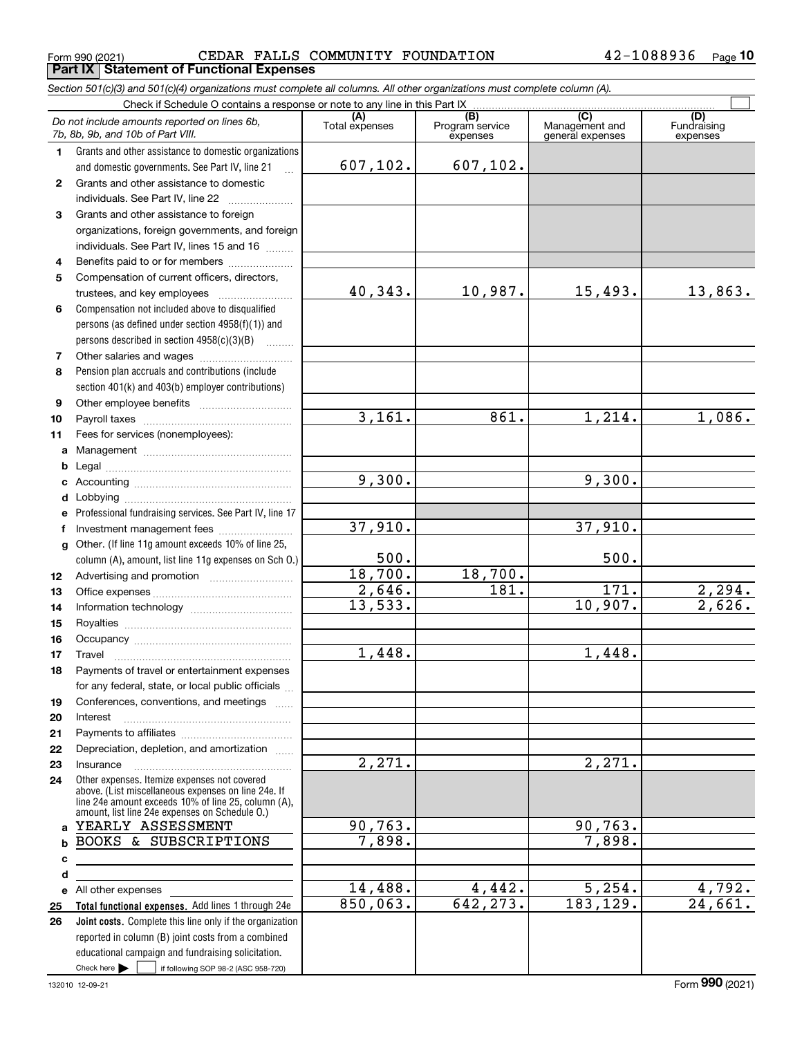$_{\rm Form}$   $_{990}$  (2021) CEDAR FALLS COMMUNITY FOUNDATION  $42$  –  $1088936$   $_{\rm Page}$ **Part IX Statement of Functional Expenses**

|              | Section 501(c)(3) and 501(c)(4) organizations must complete all columns. All other organizations must complete column (A).                                                                                   |                       |                                                 |                                           |                                |
|--------------|--------------------------------------------------------------------------------------------------------------------------------------------------------------------------------------------------------------|-----------------------|-------------------------------------------------|-------------------------------------------|--------------------------------|
|              |                                                                                                                                                                                                              |                       |                                                 |                                           |                                |
|              | Do not include amounts reported on lines 6b,<br>7b, 8b, 9b, and 10b of Part VIII.                                                                                                                            | (A)<br>Total expenses | $\overline{(B)}$<br>Program service<br>expenses | (C)<br>Management and<br>general expenses | (D)<br>Fundraising<br>expenses |
| 1            | Grants and other assistance to domestic organizations                                                                                                                                                        |                       |                                                 |                                           |                                |
|              | and domestic governments. See Part IV, line 21                                                                                                                                                               | 607, 102.             | 607,102.                                        |                                           |                                |
| $\mathbf{2}$ | Grants and other assistance to domestic                                                                                                                                                                      |                       |                                                 |                                           |                                |
|              | individuals. See Part IV, line 22                                                                                                                                                                            |                       |                                                 |                                           |                                |
| 3            | Grants and other assistance to foreign                                                                                                                                                                       |                       |                                                 |                                           |                                |
|              | organizations, foreign governments, and foreign                                                                                                                                                              |                       |                                                 |                                           |                                |
|              | individuals. See Part IV, lines 15 and 16                                                                                                                                                                    |                       |                                                 |                                           |                                |
| 4            | Benefits paid to or for members                                                                                                                                                                              |                       |                                                 |                                           |                                |
| 5            | Compensation of current officers, directors,                                                                                                                                                                 |                       |                                                 |                                           |                                |
|              | trustees, and key employees                                                                                                                                                                                  | 40,343.               | 10,987.                                         | 15,493.                                   | 13,863.                        |
| 6            | Compensation not included above to disqualified                                                                                                                                                              |                       |                                                 |                                           |                                |
|              | persons (as defined under section 4958(f)(1)) and                                                                                                                                                            |                       |                                                 |                                           |                                |
|              | persons described in section 4958(c)(3)(B)                                                                                                                                                                   |                       |                                                 |                                           |                                |
| 7            |                                                                                                                                                                                                              |                       |                                                 |                                           |                                |
| 8            | Pension plan accruals and contributions (include                                                                                                                                                             |                       |                                                 |                                           |                                |
|              | section 401(k) and 403(b) employer contributions)                                                                                                                                                            |                       |                                                 |                                           |                                |
| 9            |                                                                                                                                                                                                              |                       |                                                 |                                           |                                |
| 10           |                                                                                                                                                                                                              | 3,161.                | 861.                                            | 1,214.                                    | 1,086.                         |
| 11           | Fees for services (nonemployees):                                                                                                                                                                            |                       |                                                 |                                           |                                |
| a            |                                                                                                                                                                                                              |                       |                                                 |                                           |                                |
|              |                                                                                                                                                                                                              |                       |                                                 |                                           |                                |
| c            |                                                                                                                                                                                                              | 9,300.                |                                                 | 9,300.                                    |                                |
| d            |                                                                                                                                                                                                              |                       |                                                 |                                           |                                |
| е            | Professional fundraising services. See Part IV, line 17                                                                                                                                                      |                       |                                                 |                                           |                                |
| f            | Investment management fees                                                                                                                                                                                   | 37,910.               |                                                 | 37,910.                                   |                                |
|              | g Other. (If line 11g amount exceeds 10% of line 25,                                                                                                                                                         |                       |                                                 |                                           |                                |
|              | column (A), amount, list line 11g expenses on Sch O.)                                                                                                                                                        | 500.                  |                                                 | 500.                                      |                                |
| 12           |                                                                                                                                                                                                              | 18,700.               | 18,700.                                         |                                           |                                |
| 13           |                                                                                                                                                                                                              | 2,646.                | $\overline{181}$ .                              | $\overline{171}$ .                        | $\frac{2,294.}{2,626.}$        |
| 14           |                                                                                                                                                                                                              | 13,533.               |                                                 | 10,907.                                   |                                |
| 15           |                                                                                                                                                                                                              |                       |                                                 |                                           |                                |
| 16           |                                                                                                                                                                                                              |                       |                                                 |                                           |                                |
| 17           |                                                                                                                                                                                                              | 1,448.                |                                                 | 1,448.                                    |                                |
| 18           | Payments of travel or entertainment expenses                                                                                                                                                                 |                       |                                                 |                                           |                                |
|              | for any federal, state, or local public officials                                                                                                                                                            |                       |                                                 |                                           |                                |
| 19           | Conferences, conventions, and meetings                                                                                                                                                                       |                       |                                                 |                                           |                                |
| 20           | Interest                                                                                                                                                                                                     |                       |                                                 |                                           |                                |
| 21           |                                                                                                                                                                                                              |                       |                                                 |                                           |                                |
| 22           | Depreciation, depletion, and amortization                                                                                                                                                                    |                       |                                                 |                                           |                                |
| 23           | Insurance                                                                                                                                                                                                    | $\overline{2,271.}$   |                                                 | 2,271.                                    |                                |
| 24           | Other expenses. Itemize expenses not covered<br>above. (List miscellaneous expenses on line 24e. If<br>line 24e amount exceeds 10% of line 25, column (A).<br>amount, list line 24e expenses on Schedule 0.) |                       |                                                 |                                           |                                |
| a            | YEARLY ASSESSMENT                                                                                                                                                                                            | 90, 763.              |                                                 | 90, 763.                                  |                                |
| b            | BOOKS & SUBSCRIPTIONS                                                                                                                                                                                        | 7,898.                |                                                 | 7,898.                                    |                                |
| c            |                                                                                                                                                                                                              |                       |                                                 |                                           |                                |
| d            |                                                                                                                                                                                                              |                       |                                                 |                                           |                                |
|              | e All other expenses                                                                                                                                                                                         | 14,488.               | 4,442.                                          | 5, 254.                                   | 4,792.                         |
| 25           | Total functional expenses. Add lines 1 through 24e                                                                                                                                                           | 850,063.              | 642, 273.                                       | 183, 129.                                 | $\overline{24,661}$ .          |
| 26           | Joint costs. Complete this line only if the organization                                                                                                                                                     |                       |                                                 |                                           |                                |
|              | reported in column (B) joint costs from a combined                                                                                                                                                           |                       |                                                 |                                           |                                |
|              | educational campaign and fundraising solicitation.                                                                                                                                                           |                       |                                                 |                                           |                                |
|              | Check here $\blacktriangleright$  <br>if following SOP 98-2 (ASC 958-720)                                                                                                                                    |                       |                                                 |                                           |                                |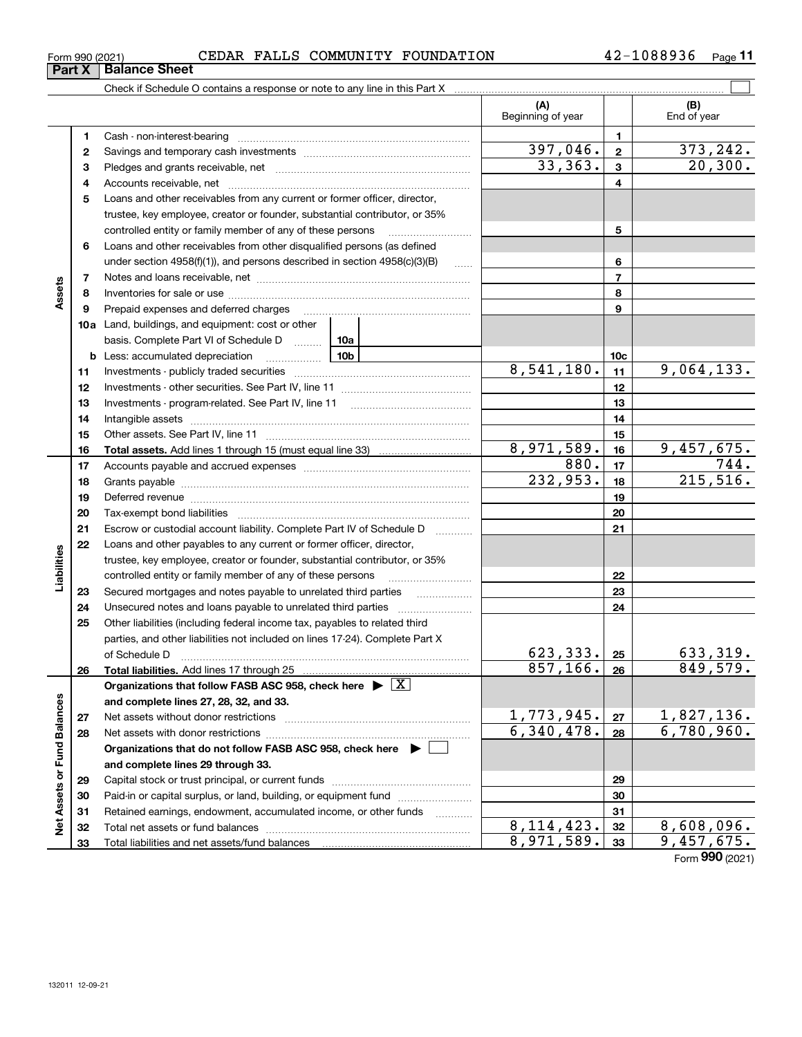**33**

Total liabilities and net assets/fund balances

| Form 990 (2021) |  |  |  |  | CEDAR FALLS COMMUNITY FOUNDATION | 1088936<br>42 | Page |
|-----------------|--|--|--|--|----------------------------------|---------------|------|
|-----------------|--|--|--|--|----------------------------------|---------------|------|

|                             | $\mathbf{u}$ $\mathbf{v}$ |                                                                                                                                                                                                                                |                                |                 |                    |
|-----------------------------|---------------------------|--------------------------------------------------------------------------------------------------------------------------------------------------------------------------------------------------------------------------------|--------------------------------|-----------------|--------------------|
|                             |                           | Check if Schedule O contains a response or note to any line in this Part X                                                                                                                                                     |                                |                 |                    |
|                             |                           |                                                                                                                                                                                                                                | (A)<br>Beginning of year       |                 | (B)<br>End of year |
|                             | 1                         | Cash - non-interest-bearing                                                                                                                                                                                                    |                                | 1               |                    |
|                             | $\mathbf{2}$              |                                                                                                                                                                                                                                | 397,046.                       | $\mathbf{2}$    | 373,242.           |
|                             | 3                         |                                                                                                                                                                                                                                | 33,363.                        | 3               | 20, 300.           |
|                             | 4                         |                                                                                                                                                                                                                                |                                | 4               |                    |
|                             | 5                         | Loans and other receivables from any current or former officer, director,                                                                                                                                                      |                                |                 |                    |
|                             |                           | trustee, key employee, creator or founder, substantial contributor, or 35%                                                                                                                                                     |                                |                 |                    |
|                             |                           | controlled entity or family member of any of these persons                                                                                                                                                                     |                                | 5               |                    |
|                             | 6                         | Loans and other receivables from other disqualified persons (as defined                                                                                                                                                        |                                |                 |                    |
| Assets                      |                           | under section 4958(f)(1)), and persons described in section 4958(c)(3)(B)                                                                                                                                                      | 1.1.1.1.1                      | 6               |                    |
|                             | 7                         |                                                                                                                                                                                                                                |                                | 7               |                    |
|                             | 8                         |                                                                                                                                                                                                                                |                                | 8               |                    |
|                             | 9                         | Prepaid expenses and deferred charges                                                                                                                                                                                          |                                | 9               |                    |
|                             |                           | 10a Land, buildings, and equipment: cost or other                                                                                                                                                                              |                                |                 |                    |
|                             |                           | basis. Complete Part VI of Schedule D  10a                                                                                                                                                                                     |                                |                 |                    |
|                             | b                         | <u>10b</u><br>Less: accumulated depreciation                                                                                                                                                                                   |                                | 10 <sub>c</sub> |                    |
|                             | 11                        |                                                                                                                                                                                                                                | 8,541,180.                     | 11              | 9,064,133.         |
|                             | 12                        |                                                                                                                                                                                                                                |                                | 12              |                    |
|                             | 13                        |                                                                                                                                                                                                                                |                                | 13              |                    |
|                             | 14                        | Intangible assets                                                                                                                                                                                                              |                                | 14              |                    |
|                             | 15                        |                                                                                                                                                                                                                                |                                | 15              |                    |
|                             | 16                        |                                                                                                                                                                                                                                | 8,971,589.                     | 16              | 9,457,675.         |
|                             | 17                        |                                                                                                                                                                                                                                | 880.                           | 17              | 744.               |
|                             | 18                        |                                                                                                                                                                                                                                | 232,953.                       | 18              | 215,516.           |
|                             | 19                        | Deferred revenue material contracts and a contract of the contract of the contract of the contract of the contract of the contract of the contract of the contract of the contract of the contract of the contract of the cont |                                | 19              |                    |
|                             | 20                        | Tax-exempt bond liabilities                                                                                                                                                                                                    |                                | 20              |                    |
|                             | 21                        | Escrow or custodial account liability. Complete Part IV of Schedule D                                                                                                                                                          |                                | 21              |                    |
|                             | 22                        | Loans and other payables to any current or former officer, director,                                                                                                                                                           |                                |                 |                    |
| Liabilities                 |                           | trustee, key employee, creator or founder, substantial contributor, or 35%                                                                                                                                                     |                                |                 |                    |
|                             |                           | controlled entity or family member of any of these persons                                                                                                                                                                     |                                | 22              |                    |
|                             | 23                        | Secured mortgages and notes payable to unrelated third parties                                                                                                                                                                 |                                | 23              |                    |
|                             | 24                        |                                                                                                                                                                                                                                |                                | 24              |                    |
|                             | 25                        | Other liabilities (including federal income tax, payables to related third                                                                                                                                                     |                                |                 |                    |
|                             |                           | parties, and other liabilities not included on lines 17-24). Complete Part X                                                                                                                                                   |                                |                 |                    |
|                             |                           | of Schedule D                                                                                                                                                                                                                  | 623, 333.                      | 25              | 633,319.           |
|                             | 26                        | Total liabilities. Add lines 17 through 25                                                                                                                                                                                     | 857,166.                       | 26              | 849,579.           |
|                             |                           | Organizations that follow FASB ASC 958, check here $\blacktriangleright \boxed{X}$                                                                                                                                             |                                |                 |                    |
|                             |                           | and complete lines 27, 28, 32, and 33.                                                                                                                                                                                         |                                |                 |                    |
|                             | 27                        | Net assets without donor restrictions                                                                                                                                                                                          | $\frac{1,773,945}{6,340,478.}$ | 27              | <u>1,827,136.</u>  |
|                             | 28                        | Net assets with donor restrictions                                                                                                                                                                                             |                                | 28              | 6,780,960.         |
|                             |                           | Organizations that do not follow FASB ASC 958, check here $\blacktriangleright$                                                                                                                                                |                                |                 |                    |
|                             |                           | and complete lines 29 through 33.                                                                                                                                                                                              |                                |                 |                    |
|                             | 29                        | Capital stock or trust principal, or current funds                                                                                                                                                                             |                                | 29              |                    |
|                             | 30                        | Paid-in or capital surplus, or land, building, or equipment fund                                                                                                                                                               |                                | 30              |                    |
|                             | 31                        | Retained earnings, endowment, accumulated income, or other funds                                                                                                                                                               |                                | 31              |                    |
| Net Assets or Fund Balances | 32                        |                                                                                                                                                                                                                                | 8, 114, 423.                   | 32              | 8,608,096.         |

**33**8,971,589. 9,457,675.

## **Part X Balance Sheet**

| Form 990 (2021 |  |
|----------------|--|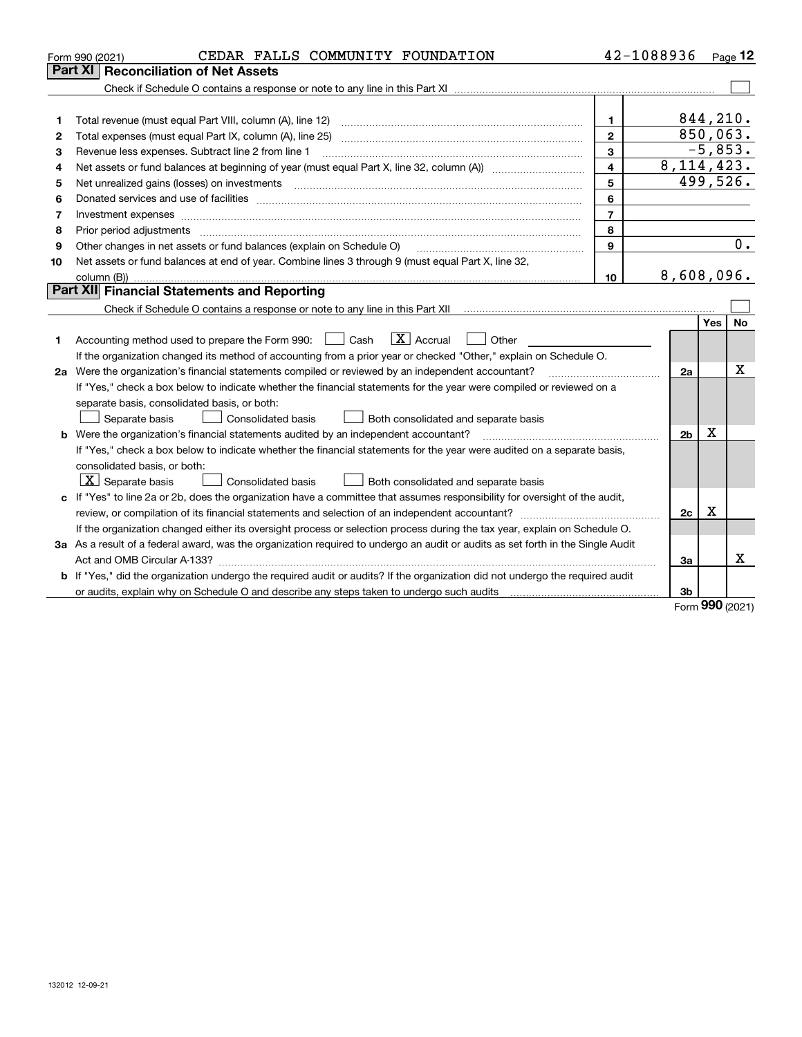| Part XI<br><b>Reconciliation of Net Assets</b><br>844,210.<br>$\mathbf{1}$<br>1<br>850,063.<br>$\overline{2}$<br>Total expenses (must equal Part IX, column (A), line 25)<br>2<br>$-5,853.$<br>3<br>Revenue less expenses. Subtract line 2 from line 1<br>З<br>8, 114, 423.<br>$\overline{\mathbf{4}}$<br>4<br>499,526.<br>5<br>Net unrealized gains (losses) on investments<br>5<br>6<br>6<br>$\overline{7}$<br>Investment expenses<br>7<br>8<br>8<br>Prior period adjustments<br>9<br>Other changes in net assets or fund balances (explain on Schedule O)<br>9<br>Net assets or fund balances at end of year. Combine lines 3 through 9 (must equal Part X, line 32,<br>10<br>8,608,096.<br>10<br><b>Part XII</b> Financial Statements and Reporting<br>Check if Schedule O contains a response or note to any line in this Part XII [11] [12] [12] [13] Check if Schedule O contains a response or note to any line in this Part XII<br>Yes<br>$\boxed{\text{X}}$ Accrual<br>Accounting method used to prepare the Form 990: <u>[</u> Cash<br>Other<br>1<br>If the organization changed its method of accounting from a prior year or checked "Other," explain on Schedule O.<br>2a Were the organization's financial statements compiled or reviewed by an independent accountant?<br>2a<br>If "Yes," check a box below to indicate whether the financial statements for the year were compiled or reviewed on a<br>separate basis, consolidated basis, or both:<br>Separate basis<br>Consolidated basis<br>Both consolidated and separate basis<br>Χ<br><b>b</b> Were the organization's financial statements audited by an independent accountant?<br>2b<br>If "Yes," check a box below to indicate whether the financial statements for the year were audited on a separate basis,<br>consolidated basis, or both:<br>$\lfloor x \rfloor$ Separate basis<br>Consolidated basis<br>Both consolidated and separate basis<br>c If "Yes" to line 2a or 2b, does the organization have a committee that assumes responsibility for oversight of the audit,<br>$\mathbf X$<br>2c<br>If the organization changed either its oversight process or selection process during the tax year, explain on Schedule O.<br>3a As a result of a federal award, was the organization required to undergo an audit or audits as set forth in the Single Audit | CEDAR FALLS COMMUNITY FOUNDATION<br>Form 990 (2021) | 42-1088936 | Page 12          |
|----------------------------------------------------------------------------------------------------------------------------------------------------------------------------------------------------------------------------------------------------------------------------------------------------------------------------------------------------------------------------------------------------------------------------------------------------------------------------------------------------------------------------------------------------------------------------------------------------------------------------------------------------------------------------------------------------------------------------------------------------------------------------------------------------------------------------------------------------------------------------------------------------------------------------------------------------------------------------------------------------------------------------------------------------------------------------------------------------------------------------------------------------------------------------------------------------------------------------------------------------------------------------------------------------------------------------------------------------------------------------------------------------------------------------------------------------------------------------------------------------------------------------------------------------------------------------------------------------------------------------------------------------------------------------------------------------------------------------------------------------------------------------------------------------------------------------------------------------------------------------------------------------------------------------------------------------------------------------------------------------------------------------------------------------------------------------------------------------------------------------------------------------------------------------------------------------------------------------------------------------------------------------------------------------------------------------------------------------|-----------------------------------------------------|------------|------------------|
|                                                                                                                                                                                                                                                                                                                                                                                                                                                                                                                                                                                                                                                                                                                                                                                                                                                                                                                                                                                                                                                                                                                                                                                                                                                                                                                                                                                                                                                                                                                                                                                                                                                                                                                                                                                                                                                                                                                                                                                                                                                                                                                                                                                                                                                                                                                                                    |                                                     |            |                  |
|                                                                                                                                                                                                                                                                                                                                                                                                                                                                                                                                                                                                                                                                                                                                                                                                                                                                                                                                                                                                                                                                                                                                                                                                                                                                                                                                                                                                                                                                                                                                                                                                                                                                                                                                                                                                                                                                                                                                                                                                                                                                                                                                                                                                                                                                                                                                                    |                                                     |            |                  |
|                                                                                                                                                                                                                                                                                                                                                                                                                                                                                                                                                                                                                                                                                                                                                                                                                                                                                                                                                                                                                                                                                                                                                                                                                                                                                                                                                                                                                                                                                                                                                                                                                                                                                                                                                                                                                                                                                                                                                                                                                                                                                                                                                                                                                                                                                                                                                    |                                                     |            |                  |
|                                                                                                                                                                                                                                                                                                                                                                                                                                                                                                                                                                                                                                                                                                                                                                                                                                                                                                                                                                                                                                                                                                                                                                                                                                                                                                                                                                                                                                                                                                                                                                                                                                                                                                                                                                                                                                                                                                                                                                                                                                                                                                                                                                                                                                                                                                                                                    |                                                     |            |                  |
|                                                                                                                                                                                                                                                                                                                                                                                                                                                                                                                                                                                                                                                                                                                                                                                                                                                                                                                                                                                                                                                                                                                                                                                                                                                                                                                                                                                                                                                                                                                                                                                                                                                                                                                                                                                                                                                                                                                                                                                                                                                                                                                                                                                                                                                                                                                                                    |                                                     |            |                  |
|                                                                                                                                                                                                                                                                                                                                                                                                                                                                                                                                                                                                                                                                                                                                                                                                                                                                                                                                                                                                                                                                                                                                                                                                                                                                                                                                                                                                                                                                                                                                                                                                                                                                                                                                                                                                                                                                                                                                                                                                                                                                                                                                                                                                                                                                                                                                                    |                                                     |            |                  |
|                                                                                                                                                                                                                                                                                                                                                                                                                                                                                                                                                                                                                                                                                                                                                                                                                                                                                                                                                                                                                                                                                                                                                                                                                                                                                                                                                                                                                                                                                                                                                                                                                                                                                                                                                                                                                                                                                                                                                                                                                                                                                                                                                                                                                                                                                                                                                    |                                                     |            |                  |
|                                                                                                                                                                                                                                                                                                                                                                                                                                                                                                                                                                                                                                                                                                                                                                                                                                                                                                                                                                                                                                                                                                                                                                                                                                                                                                                                                                                                                                                                                                                                                                                                                                                                                                                                                                                                                                                                                                                                                                                                                                                                                                                                                                                                                                                                                                                                                    |                                                     |            |                  |
|                                                                                                                                                                                                                                                                                                                                                                                                                                                                                                                                                                                                                                                                                                                                                                                                                                                                                                                                                                                                                                                                                                                                                                                                                                                                                                                                                                                                                                                                                                                                                                                                                                                                                                                                                                                                                                                                                                                                                                                                                                                                                                                                                                                                                                                                                                                                                    |                                                     |            |                  |
|                                                                                                                                                                                                                                                                                                                                                                                                                                                                                                                                                                                                                                                                                                                                                                                                                                                                                                                                                                                                                                                                                                                                                                                                                                                                                                                                                                                                                                                                                                                                                                                                                                                                                                                                                                                                                                                                                                                                                                                                                                                                                                                                                                                                                                                                                                                                                    |                                                     |            |                  |
|                                                                                                                                                                                                                                                                                                                                                                                                                                                                                                                                                                                                                                                                                                                                                                                                                                                                                                                                                                                                                                                                                                                                                                                                                                                                                                                                                                                                                                                                                                                                                                                                                                                                                                                                                                                                                                                                                                                                                                                                                                                                                                                                                                                                                                                                                                                                                    |                                                     |            |                  |
|                                                                                                                                                                                                                                                                                                                                                                                                                                                                                                                                                                                                                                                                                                                                                                                                                                                                                                                                                                                                                                                                                                                                                                                                                                                                                                                                                                                                                                                                                                                                                                                                                                                                                                                                                                                                                                                                                                                                                                                                                                                                                                                                                                                                                                                                                                                                                    |                                                     |            | $\overline{0}$ . |
|                                                                                                                                                                                                                                                                                                                                                                                                                                                                                                                                                                                                                                                                                                                                                                                                                                                                                                                                                                                                                                                                                                                                                                                                                                                                                                                                                                                                                                                                                                                                                                                                                                                                                                                                                                                                                                                                                                                                                                                                                                                                                                                                                                                                                                                                                                                                                    |                                                     |            |                  |
|                                                                                                                                                                                                                                                                                                                                                                                                                                                                                                                                                                                                                                                                                                                                                                                                                                                                                                                                                                                                                                                                                                                                                                                                                                                                                                                                                                                                                                                                                                                                                                                                                                                                                                                                                                                                                                                                                                                                                                                                                                                                                                                                                                                                                                                                                                                                                    |                                                     |            |                  |
|                                                                                                                                                                                                                                                                                                                                                                                                                                                                                                                                                                                                                                                                                                                                                                                                                                                                                                                                                                                                                                                                                                                                                                                                                                                                                                                                                                                                                                                                                                                                                                                                                                                                                                                                                                                                                                                                                                                                                                                                                                                                                                                                                                                                                                                                                                                                                    |                                                     |            |                  |
|                                                                                                                                                                                                                                                                                                                                                                                                                                                                                                                                                                                                                                                                                                                                                                                                                                                                                                                                                                                                                                                                                                                                                                                                                                                                                                                                                                                                                                                                                                                                                                                                                                                                                                                                                                                                                                                                                                                                                                                                                                                                                                                                                                                                                                                                                                                                                    |                                                     |            |                  |
|                                                                                                                                                                                                                                                                                                                                                                                                                                                                                                                                                                                                                                                                                                                                                                                                                                                                                                                                                                                                                                                                                                                                                                                                                                                                                                                                                                                                                                                                                                                                                                                                                                                                                                                                                                                                                                                                                                                                                                                                                                                                                                                                                                                                                                                                                                                                                    |                                                     |            | No               |
|                                                                                                                                                                                                                                                                                                                                                                                                                                                                                                                                                                                                                                                                                                                                                                                                                                                                                                                                                                                                                                                                                                                                                                                                                                                                                                                                                                                                                                                                                                                                                                                                                                                                                                                                                                                                                                                                                                                                                                                                                                                                                                                                                                                                                                                                                                                                                    |                                                     |            |                  |
|                                                                                                                                                                                                                                                                                                                                                                                                                                                                                                                                                                                                                                                                                                                                                                                                                                                                                                                                                                                                                                                                                                                                                                                                                                                                                                                                                                                                                                                                                                                                                                                                                                                                                                                                                                                                                                                                                                                                                                                                                                                                                                                                                                                                                                                                                                                                                    |                                                     |            |                  |
|                                                                                                                                                                                                                                                                                                                                                                                                                                                                                                                                                                                                                                                                                                                                                                                                                                                                                                                                                                                                                                                                                                                                                                                                                                                                                                                                                                                                                                                                                                                                                                                                                                                                                                                                                                                                                                                                                                                                                                                                                                                                                                                                                                                                                                                                                                                                                    |                                                     |            | х                |
|                                                                                                                                                                                                                                                                                                                                                                                                                                                                                                                                                                                                                                                                                                                                                                                                                                                                                                                                                                                                                                                                                                                                                                                                                                                                                                                                                                                                                                                                                                                                                                                                                                                                                                                                                                                                                                                                                                                                                                                                                                                                                                                                                                                                                                                                                                                                                    |                                                     |            |                  |
|                                                                                                                                                                                                                                                                                                                                                                                                                                                                                                                                                                                                                                                                                                                                                                                                                                                                                                                                                                                                                                                                                                                                                                                                                                                                                                                                                                                                                                                                                                                                                                                                                                                                                                                                                                                                                                                                                                                                                                                                                                                                                                                                                                                                                                                                                                                                                    |                                                     |            |                  |
|                                                                                                                                                                                                                                                                                                                                                                                                                                                                                                                                                                                                                                                                                                                                                                                                                                                                                                                                                                                                                                                                                                                                                                                                                                                                                                                                                                                                                                                                                                                                                                                                                                                                                                                                                                                                                                                                                                                                                                                                                                                                                                                                                                                                                                                                                                                                                    |                                                     |            |                  |
|                                                                                                                                                                                                                                                                                                                                                                                                                                                                                                                                                                                                                                                                                                                                                                                                                                                                                                                                                                                                                                                                                                                                                                                                                                                                                                                                                                                                                                                                                                                                                                                                                                                                                                                                                                                                                                                                                                                                                                                                                                                                                                                                                                                                                                                                                                                                                    |                                                     |            |                  |
|                                                                                                                                                                                                                                                                                                                                                                                                                                                                                                                                                                                                                                                                                                                                                                                                                                                                                                                                                                                                                                                                                                                                                                                                                                                                                                                                                                                                                                                                                                                                                                                                                                                                                                                                                                                                                                                                                                                                                                                                                                                                                                                                                                                                                                                                                                                                                    |                                                     |            |                  |
|                                                                                                                                                                                                                                                                                                                                                                                                                                                                                                                                                                                                                                                                                                                                                                                                                                                                                                                                                                                                                                                                                                                                                                                                                                                                                                                                                                                                                                                                                                                                                                                                                                                                                                                                                                                                                                                                                                                                                                                                                                                                                                                                                                                                                                                                                                                                                    |                                                     |            |                  |
|                                                                                                                                                                                                                                                                                                                                                                                                                                                                                                                                                                                                                                                                                                                                                                                                                                                                                                                                                                                                                                                                                                                                                                                                                                                                                                                                                                                                                                                                                                                                                                                                                                                                                                                                                                                                                                                                                                                                                                                                                                                                                                                                                                                                                                                                                                                                                    |                                                     |            |                  |
|                                                                                                                                                                                                                                                                                                                                                                                                                                                                                                                                                                                                                                                                                                                                                                                                                                                                                                                                                                                                                                                                                                                                                                                                                                                                                                                                                                                                                                                                                                                                                                                                                                                                                                                                                                                                                                                                                                                                                                                                                                                                                                                                                                                                                                                                                                                                                    |                                                     |            |                  |
|                                                                                                                                                                                                                                                                                                                                                                                                                                                                                                                                                                                                                                                                                                                                                                                                                                                                                                                                                                                                                                                                                                                                                                                                                                                                                                                                                                                                                                                                                                                                                                                                                                                                                                                                                                                                                                                                                                                                                                                                                                                                                                                                                                                                                                                                                                                                                    |                                                     |            |                  |
|                                                                                                                                                                                                                                                                                                                                                                                                                                                                                                                                                                                                                                                                                                                                                                                                                                                                                                                                                                                                                                                                                                                                                                                                                                                                                                                                                                                                                                                                                                                                                                                                                                                                                                                                                                                                                                                                                                                                                                                                                                                                                                                                                                                                                                                                                                                                                    |                                                     |            |                  |
|                                                                                                                                                                                                                                                                                                                                                                                                                                                                                                                                                                                                                                                                                                                                                                                                                                                                                                                                                                                                                                                                                                                                                                                                                                                                                                                                                                                                                                                                                                                                                                                                                                                                                                                                                                                                                                                                                                                                                                                                                                                                                                                                                                                                                                                                                                                                                    |                                                     |            |                  |
| Act and OMB Circular A-133?<br>За                                                                                                                                                                                                                                                                                                                                                                                                                                                                                                                                                                                                                                                                                                                                                                                                                                                                                                                                                                                                                                                                                                                                                                                                                                                                                                                                                                                                                                                                                                                                                                                                                                                                                                                                                                                                                                                                                                                                                                                                                                                                                                                                                                                                                                                                                                                  |                                                     |            | x                |
| b If "Yes," did the organization undergo the required audit or audits? If the organization did not undergo the required audit                                                                                                                                                                                                                                                                                                                                                                                                                                                                                                                                                                                                                                                                                                                                                                                                                                                                                                                                                                                                                                                                                                                                                                                                                                                                                                                                                                                                                                                                                                                                                                                                                                                                                                                                                                                                                                                                                                                                                                                                                                                                                                                                                                                                                      |                                                     |            |                  |
| 3b<br><b>nnn</b>                                                                                                                                                                                                                                                                                                                                                                                                                                                                                                                                                                                                                                                                                                                                                                                                                                                                                                                                                                                                                                                                                                                                                                                                                                                                                                                                                                                                                                                                                                                                                                                                                                                                                                                                                                                                                                                                                                                                                                                                                                                                                                                                                                                                                                                                                                                                   |                                                     |            |                  |

Form (2021) **990**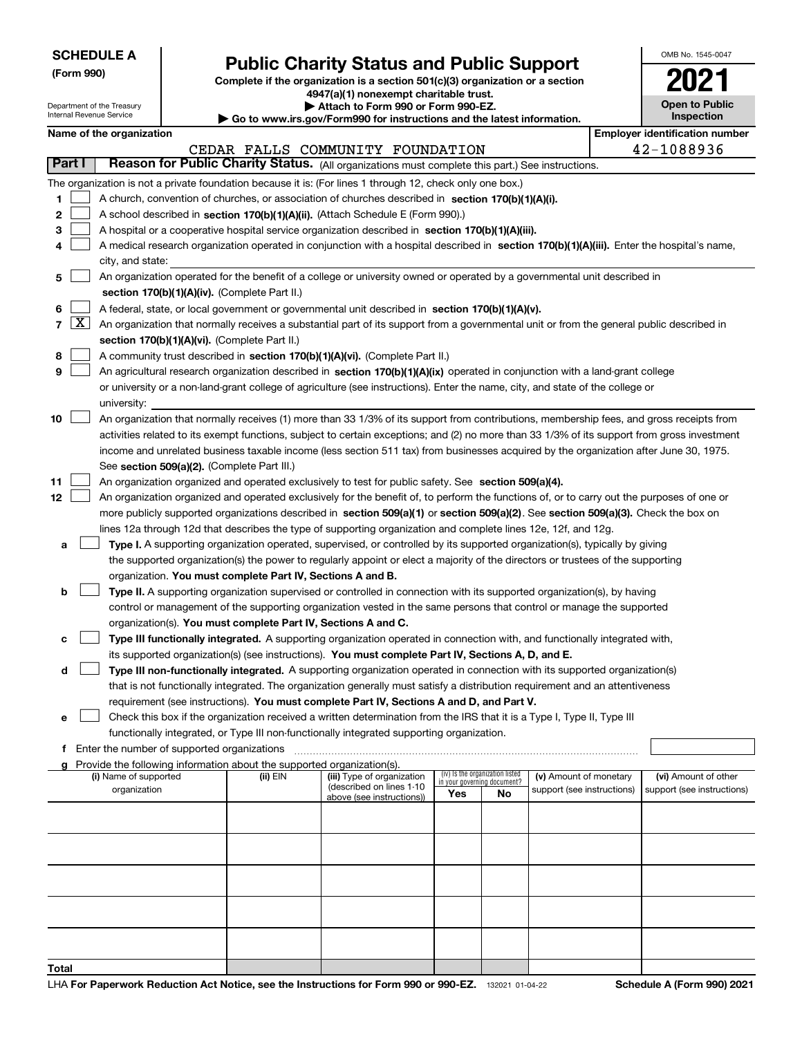Department of the Treasury

**(Form 990)**

**Total**

# **Public Charity Status and Public Support**

**Complete if the organization is a section 501(c)(3) organization or a section 4947(a)(1) nonexempt charitable trust.**

**| Attach to Form 990 or Form 990-EZ.** 

| OMB No. 1545-0047                   |
|-------------------------------------|
| 202                                 |
| <b>Open to Public</b><br>Inspection |

|        |                     | nternal Revenue Service                     |                                                                        | Go to www.irs.gov/Form990 for instructions and the latest information.                                                                                                                                                                                    |                             |                                 |                            | Inspection                            |
|--------|---------------------|---------------------------------------------|------------------------------------------------------------------------|-----------------------------------------------------------------------------------------------------------------------------------------------------------------------------------------------------------------------------------------------------------|-----------------------------|---------------------------------|----------------------------|---------------------------------------|
|        |                     | Name of the organization                    |                                                                        |                                                                                                                                                                                                                                                           |                             |                                 |                            | <b>Employer identification number</b> |
|        |                     |                                             |                                                                        | CEDAR FALLS COMMUNITY FOUNDATION                                                                                                                                                                                                                          |                             |                                 |                            | 42-1088936                            |
| Part I |                     |                                             |                                                                        | Reason for Public Charity Status. (All organizations must complete this part.) See instructions.                                                                                                                                                          |                             |                                 |                            |                                       |
|        |                     |                                             |                                                                        | The organization is not a private foundation because it is: (For lines 1 through 12, check only one box.)                                                                                                                                                 |                             |                                 |                            |                                       |
| 1      |                     |                                             |                                                                        | A church, convention of churches, or association of churches described in section $170(b)(1)(A)(i)$ .                                                                                                                                                     |                             |                                 |                            |                                       |
| 2      |                     |                                             |                                                                        | A school described in section 170(b)(1)(A)(ii). (Attach Schedule E (Form 990).)                                                                                                                                                                           |                             |                                 |                            |                                       |
| з      |                     |                                             |                                                                        | A hospital or a cooperative hospital service organization described in section 170(b)(1)(A)(iii).                                                                                                                                                         |                             |                                 |                            |                                       |
|        |                     |                                             |                                                                        | A medical research organization operated in conjunction with a hospital described in section 170(b)(1)(A)(iii). Enter the hospital's name,                                                                                                                |                             |                                 |                            |                                       |
| 5      |                     | city, and state:                            |                                                                        | An organization operated for the benefit of a college or university owned or operated by a governmental unit described in                                                                                                                                 |                             |                                 |                            |                                       |
|        |                     |                                             | section 170(b)(1)(A)(iv). (Complete Part II.)                          |                                                                                                                                                                                                                                                           |                             |                                 |                            |                                       |
| 6      |                     |                                             |                                                                        | A federal, state, or local government or governmental unit described in section 170(b)(1)(A)(v).                                                                                                                                                          |                             |                                 |                            |                                       |
| 7      | $\lfloor x \rfloor$ |                                             |                                                                        | An organization that normally receives a substantial part of its support from a governmental unit or from the general public described in                                                                                                                 |                             |                                 |                            |                                       |
|        |                     |                                             | section 170(b)(1)(A)(vi). (Complete Part II.)                          |                                                                                                                                                                                                                                                           |                             |                                 |                            |                                       |
| 8      |                     |                                             |                                                                        | A community trust described in section 170(b)(1)(A)(vi). (Complete Part II.)                                                                                                                                                                              |                             |                                 |                            |                                       |
| 9      |                     |                                             |                                                                        | An agricultural research organization described in section 170(b)(1)(A)(ix) operated in conjunction with a land-grant college                                                                                                                             |                             |                                 |                            |                                       |
|        |                     |                                             |                                                                        | or university or a non-land-grant college of agriculture (see instructions). Enter the name, city, and state of the college or                                                                                                                            |                             |                                 |                            |                                       |
|        |                     | university:                                 |                                                                        |                                                                                                                                                                                                                                                           |                             |                                 |                            |                                       |
| 10     |                     |                                             |                                                                        | An organization that normally receives (1) more than 33 1/3% of its support from contributions, membership fees, and gross receipts from                                                                                                                  |                             |                                 |                            |                                       |
|        |                     |                                             |                                                                        | activities related to its exempt functions, subject to certain exceptions; and (2) no more than 33 1/3% of its support from gross investment                                                                                                              |                             |                                 |                            |                                       |
|        |                     |                                             |                                                                        | income and unrelated business taxable income (less section 511 tax) from businesses acquired by the organization after June 30, 1975.                                                                                                                     |                             |                                 |                            |                                       |
|        |                     |                                             | See section 509(a)(2). (Complete Part III.)                            |                                                                                                                                                                                                                                                           |                             |                                 |                            |                                       |
| 11     |                     |                                             |                                                                        | An organization organized and operated exclusively to test for public safety. See section 509(a)(4).                                                                                                                                                      |                             |                                 |                            |                                       |
| 12     |                     |                                             |                                                                        | An organization organized and operated exclusively for the benefit of, to perform the functions of, or to carry out the purposes of one or                                                                                                                |                             |                                 |                            |                                       |
|        |                     |                                             |                                                                        | more publicly supported organizations described in section 509(a)(1) or section 509(a)(2). See section 509(a)(3). Check the box on                                                                                                                        |                             |                                 |                            |                                       |
|        |                     |                                             |                                                                        | lines 12a through 12d that describes the type of supporting organization and complete lines 12e, 12f, and 12g.                                                                                                                                            |                             |                                 |                            |                                       |
| а      |                     |                                             |                                                                        | Type I. A supporting organization operated, supervised, or controlled by its supported organization(s), typically by giving                                                                                                                               |                             |                                 |                            |                                       |
|        |                     |                                             |                                                                        | the supported organization(s) the power to regularly appoint or elect a majority of the directors or trustees of the supporting                                                                                                                           |                             |                                 |                            |                                       |
|        |                     |                                             | organization. You must complete Part IV, Sections A and B.             |                                                                                                                                                                                                                                                           |                             |                                 |                            |                                       |
| b      |                     |                                             |                                                                        | Type II. A supporting organization supervised or controlled in connection with its supported organization(s), by having                                                                                                                                   |                             |                                 |                            |                                       |
|        |                     |                                             |                                                                        | control or management of the supporting organization vested in the same persons that control or manage the supported                                                                                                                                      |                             |                                 |                            |                                       |
|        |                     |                                             | organization(s). You must complete Part IV, Sections A and C.          |                                                                                                                                                                                                                                                           |                             |                                 |                            |                                       |
| с      |                     |                                             |                                                                        | Type III functionally integrated. A supporting organization operated in connection with, and functionally integrated with,                                                                                                                                |                             |                                 |                            |                                       |
|        |                     |                                             |                                                                        | its supported organization(s) (see instructions). You must complete Part IV, Sections A, D, and E.                                                                                                                                                        |                             |                                 |                            |                                       |
| d      |                     |                                             |                                                                        | Type III non-functionally integrated. A supporting organization operated in connection with its supported organization(s)<br>that is not functionally integrated. The organization generally must satisfy a distribution requirement and an attentiveness |                             |                                 |                            |                                       |
|        |                     |                                             |                                                                        | requirement (see instructions). You must complete Part IV, Sections A and D, and Part V.                                                                                                                                                                  |                             |                                 |                            |                                       |
| е      |                     |                                             |                                                                        | Check this box if the organization received a written determination from the IRS that it is a Type I, Type II, Type III                                                                                                                                   |                             |                                 |                            |                                       |
|        |                     |                                             |                                                                        | functionally integrated, or Type III non-functionally integrated supporting organization.                                                                                                                                                                 |                             |                                 |                            |                                       |
| f.     |                     | Enter the number of supported organizations |                                                                        |                                                                                                                                                                                                                                                           |                             |                                 |                            |                                       |
|        |                     |                                             | Provide the following information about the supported organization(s). |                                                                                                                                                                                                                                                           |                             |                                 |                            |                                       |
|        |                     | (i) Name of supported                       | (ii) EIN                                                               | (iii) Type of organization                                                                                                                                                                                                                                | in your governing document? | (iv) Is the organization listed | (v) Amount of monetary     | (vi) Amount of other                  |
|        |                     | organization                                |                                                                        | (described on lines 1-10<br>above (see instructions))                                                                                                                                                                                                     | Yes                         | <b>No</b>                       | support (see instructions) | support (see instructions)            |
|        |                     |                                             |                                                                        |                                                                                                                                                                                                                                                           |                             |                                 |                            |                                       |
|        |                     |                                             |                                                                        |                                                                                                                                                                                                                                                           |                             |                                 |                            |                                       |
|        |                     |                                             |                                                                        |                                                                                                                                                                                                                                                           |                             |                                 |                            |                                       |
|        |                     |                                             |                                                                        |                                                                                                                                                                                                                                                           |                             |                                 |                            |                                       |
|        |                     |                                             |                                                                        |                                                                                                                                                                                                                                                           |                             |                                 |                            |                                       |
|        |                     |                                             |                                                                        |                                                                                                                                                                                                                                                           |                             |                                 |                            |                                       |
|        |                     |                                             |                                                                        |                                                                                                                                                                                                                                                           |                             |                                 |                            |                                       |
|        |                     |                                             |                                                                        |                                                                                                                                                                                                                                                           |                             |                                 |                            |                                       |
|        |                     |                                             |                                                                        |                                                                                                                                                                                                                                                           |                             |                                 |                            |                                       |
|        |                     |                                             |                                                                        |                                                                                                                                                                                                                                                           |                             |                                 |                            |                                       |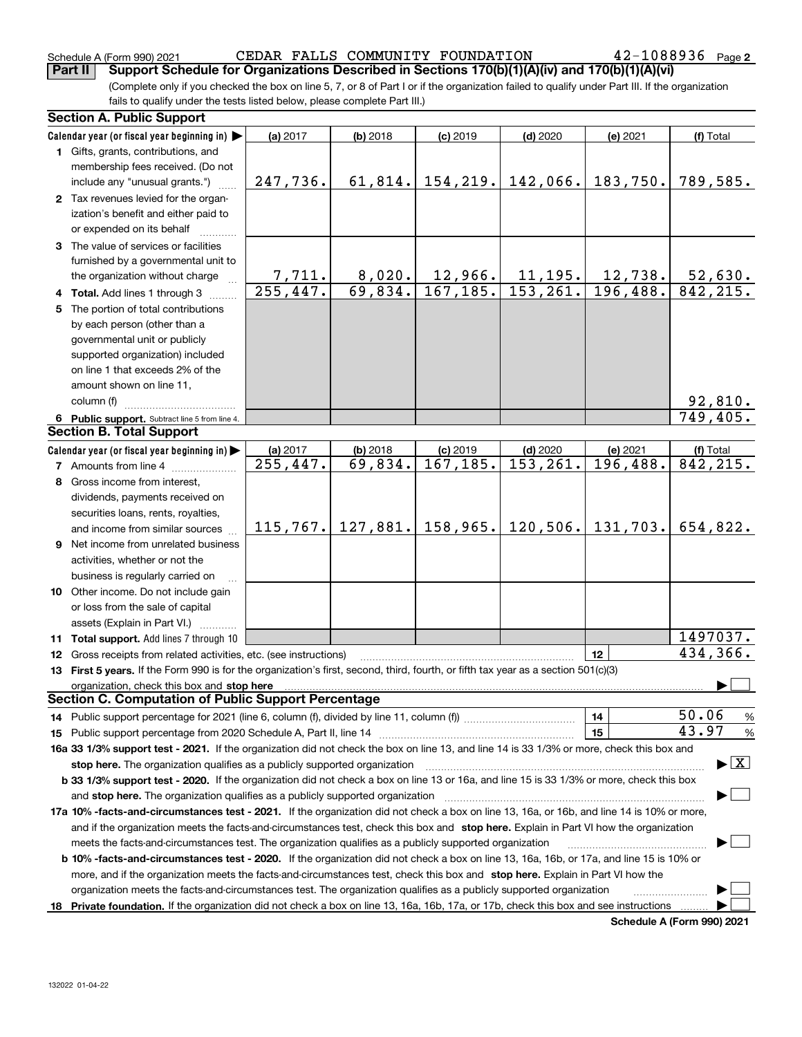132022 01-04-22

| <b>Section A. Public Support</b>       |
|----------------------------------------|
| fails to qualify under the tests liste |
| (Complete only if you checked the      |
|                                        |

**Part II Support Schedule for Organizations Described in Sections 170(b)(1)(A)(iv) and 170(b)(1)(A)(vi)**

box on line 5, 7, or 8 of Part I or if the organization failed to qualify under Part III. If the organization ed below, please complete Part III.)

|    | occuon A. Fublic oupport                                                                                                                                                                                                                                            |          |            |                |            |          |                        |
|----|---------------------------------------------------------------------------------------------------------------------------------------------------------------------------------------------------------------------------------------------------------------------|----------|------------|----------------|------------|----------|------------------------|
|    | Calendar year (or fiscal year beginning in) $\blacktriangleright$                                                                                                                                                                                                   | (a) 2017 | $(b)$ 2018 | $(c)$ 2019     | $(d)$ 2020 | (e) 2021 | (f) Total              |
|    | 1 Gifts, grants, contributions, and                                                                                                                                                                                                                                 |          |            |                |            |          |                        |
|    | membership fees received. (Do not                                                                                                                                                                                                                                   |          |            |                |            |          |                        |
|    | include any "unusual grants.")                                                                                                                                                                                                                                      | 247,736. | 61,814.    | 154, 219.      | 142,066.   | 183,750. | 789,585.               |
|    | 2 Tax revenues levied for the organ-                                                                                                                                                                                                                                |          |            |                |            |          |                        |
|    | ization's benefit and either paid to                                                                                                                                                                                                                                |          |            |                |            |          |                        |
|    | or expended on its behalf                                                                                                                                                                                                                                           |          |            |                |            |          |                        |
|    | 3 The value of services or facilities                                                                                                                                                                                                                               |          |            |                |            |          |                        |
|    | furnished by a governmental unit to                                                                                                                                                                                                                                 |          |            |                |            |          |                        |
|    | the organization without charge                                                                                                                                                                                                                                     | 7,711.   | 8,020.     | <u>12,966.</u> | 11,195.    | 12,738.  | 52,630.                |
|    | 4 Total. Add lines 1 through 3                                                                                                                                                                                                                                      | 255,447. | 69,834.    | 167, 185.      | 153, 261.  | 196,488. | 842, 215.              |
|    | 5 The portion of total contributions                                                                                                                                                                                                                                |          |            |                |            |          |                        |
|    | by each person (other than a                                                                                                                                                                                                                                        |          |            |                |            |          |                        |
|    | governmental unit or publicly                                                                                                                                                                                                                                       |          |            |                |            |          |                        |
|    | supported organization) included                                                                                                                                                                                                                                    |          |            |                |            |          |                        |
|    | on line 1 that exceeds 2% of the                                                                                                                                                                                                                                    |          |            |                |            |          |                        |
|    | amount shown on line 11,                                                                                                                                                                                                                                            |          |            |                |            |          |                        |
|    | column (f)                                                                                                                                                                                                                                                          |          |            |                |            |          | 92,810.                |
|    | 6 Public support. Subtract line 5 from line 4.                                                                                                                                                                                                                      |          |            |                |            |          | 749, 405.              |
|    | <b>Section B. Total Support</b>                                                                                                                                                                                                                                     |          |            |                |            |          |                        |
|    | Calendar year (or fiscal year beginning in) $\blacktriangleright$                                                                                                                                                                                                   | (a) 2017 | $(b)$ 2018 | $(c)$ 2019     | $(d)$ 2020 | (e) 2021 | (f) Total              |
|    | 7 Amounts from line 4                                                                                                                                                                                                                                               | 255,447. | 69,834.    | 167, 185.      | 153, 261.  | 196,488. | $\overline{842,215}$ . |
|    | 8 Gross income from interest,                                                                                                                                                                                                                                       |          |            |                |            |          |                        |
|    | dividends, payments received on                                                                                                                                                                                                                                     |          |            |                |            |          |                        |
|    | securities loans, rents, royalties,                                                                                                                                                                                                                                 |          |            |                |            |          |                        |
|    | and income from similar sources                                                                                                                                                                                                                                     | 115,767. | 127,881.   | 158, 965.      | 120,506.   | 131,703. | 654,822.               |
|    | <b>9</b> Net income from unrelated business                                                                                                                                                                                                                         |          |            |                |            |          |                        |
|    | activities, whether or not the                                                                                                                                                                                                                                      |          |            |                |            |          |                        |
|    | business is regularly carried on                                                                                                                                                                                                                                    |          |            |                |            |          |                        |
|    | 10 Other income. Do not include gain                                                                                                                                                                                                                                |          |            |                |            |          |                        |
|    | or loss from the sale of capital                                                                                                                                                                                                                                    |          |            |                |            |          |                        |
|    | assets (Explain in Part VI.)                                                                                                                                                                                                                                        |          |            |                |            |          |                        |
|    | 11 Total support. Add lines 7 through 10                                                                                                                                                                                                                            |          |            |                |            |          | 1497037.               |
|    | 12 Gross receipts from related activities, etc. (see instructions)                                                                                                                                                                                                  |          |            |                |            | 12       | 434,366.               |
|    | 13 First 5 years. If the Form 990 is for the organization's first, second, third, fourth, or fifth tax year as a section 501(c)(3)                                                                                                                                  |          |            |                |            |          |                        |
|    | organization, check this box and stop here                                                                                                                                                                                                                          |          |            |                |            |          |                        |
|    | <b>Section C. Computation of Public Support Percentage</b>                                                                                                                                                                                                          |          |            |                |            |          |                        |
|    |                                                                                                                                                                                                                                                                     |          |            |                |            | 14       | 50.06<br>$\frac{9}{6}$ |
|    |                                                                                                                                                                                                                                                                     |          |            |                |            | 15       | 43.97<br>$\frac{9}{6}$ |
|    |                                                                                                                                                                                                                                                                     |          |            |                |            |          |                        |
|    | 16a 33 1/3% support test - 2021. If the organization did not check the box on line 13, and line 14 is 33 1/3% or more, check this box and<br>$\blacktriangleright$ $\boxed{\text{X}}$<br>stop here. The organization qualifies as a publicly supported organization |          |            |                |            |          |                        |
|    | <b>b 33 1/3% support test - 2020.</b> If the organization did not check a box on line 13 or 16a, and line 15 is 33 1/3% or more, check this box                                                                                                                     |          |            |                |            |          |                        |
|    |                                                                                                                                                                                                                                                                     |          |            |                |            |          |                        |
|    |                                                                                                                                                                                                                                                                     |          |            |                |            |          |                        |
|    | 17a 10% -facts-and-circumstances test - 2021. If the organization did not check a box on line 13, 16a, or 16b, and line 14 is 10% or more,                                                                                                                          |          |            |                |            |          |                        |
|    | and if the organization meets the facts-and-circumstances test, check this box and stop here. Explain in Part VI how the organization<br>meets the facts-and-circumstances test. The organization qualifies as a publicly supported organization                    |          |            |                |            |          |                        |
|    |                                                                                                                                                                                                                                                                     |          |            |                |            |          |                        |
|    | b 10% -facts-and-circumstances test - 2020. If the organization did not check a box on line 13, 16a, 16b, or 17a, and line 15 is 10% or                                                                                                                             |          |            |                |            |          |                        |
|    | more, and if the organization meets the facts-and-circumstances test, check this box and stop here. Explain in Part VI how the                                                                                                                                      |          |            |                |            |          |                        |
|    | organization meets the facts-and-circumstances test. The organization qualifies as a publicly supported organization                                                                                                                                                |          |            |                |            |          |                        |
| 18 | Private foundation. If the organization did not check a box on line 13, 16a, 16b, 17a, or 17b, check this box and see instructions                                                                                                                                  |          |            |                |            |          |                        |

**Schedule A (Form 990) 2021**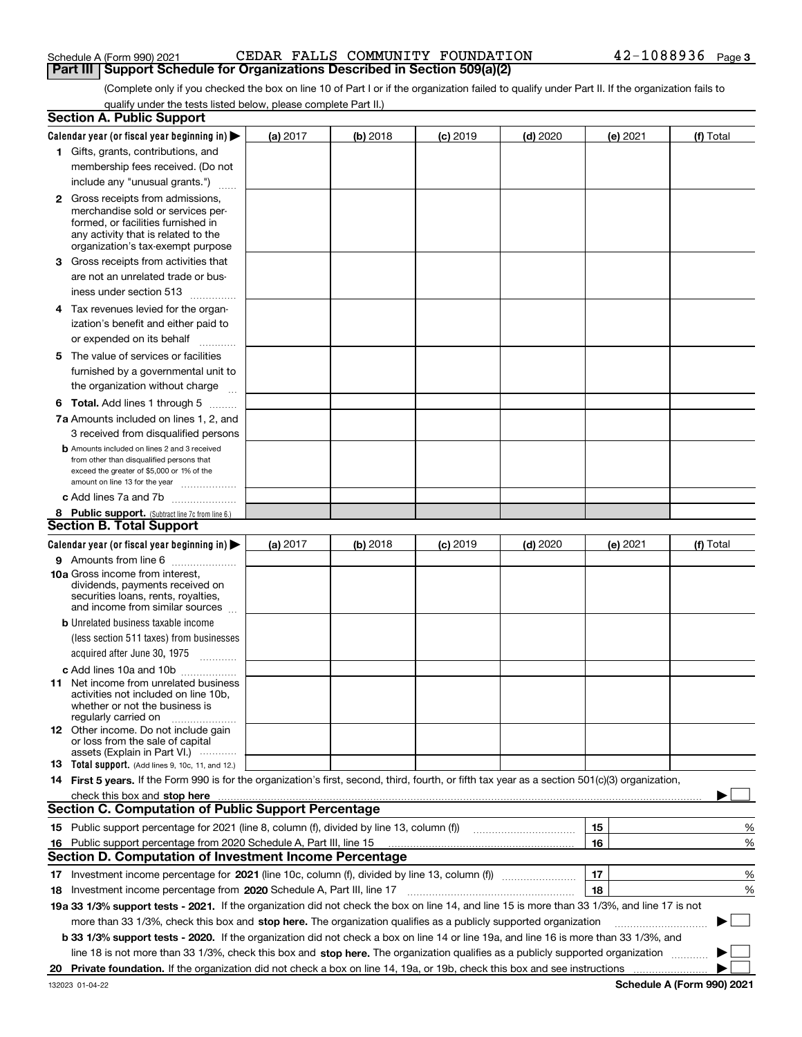## Schedule A (Form 990) 2021 CEDAR FALLS COMMUNITY FOUNDATION 4 $\rm 2$ - $\rm 1088936$   $\rm$   $\rm$  Page **Part III** | Support Schedule for Organizations Described in Section 509(a)(2)

(Complete only if you checked the box on line 10 of Part I or if the organization failed to qualify under Part II. If the organization fails to qualify under the tests listed below, please complete Part II.)

|    | <b>Section A. Public Support</b>                                                                                                                 |          |          |            |            |          |                          |
|----|--------------------------------------------------------------------------------------------------------------------------------------------------|----------|----------|------------|------------|----------|--------------------------|
|    | Calendar year (or fiscal year beginning in) $\blacktriangleright$                                                                                | (a) 2017 | (b) 2018 | $(c)$ 2019 | $(d)$ 2020 | (e) 2021 | (f) Total                |
|    | 1 Gifts, grants, contributions, and                                                                                                              |          |          |            |            |          |                          |
|    | membership fees received. (Do not                                                                                                                |          |          |            |            |          |                          |
|    | include any "unusual grants.")                                                                                                                   |          |          |            |            |          |                          |
|    | <b>2</b> Gross receipts from admissions,                                                                                                         |          |          |            |            |          |                          |
|    | merchandise sold or services per-                                                                                                                |          |          |            |            |          |                          |
|    | formed, or facilities furnished in                                                                                                               |          |          |            |            |          |                          |
|    | any activity that is related to the<br>organization's tax-exempt purpose                                                                         |          |          |            |            |          |                          |
|    | 3 Gross receipts from activities that                                                                                                            |          |          |            |            |          |                          |
|    | are not an unrelated trade or bus-                                                                                                               |          |          |            |            |          |                          |
|    | iness under section 513                                                                                                                          |          |          |            |            |          |                          |
|    |                                                                                                                                                  |          |          |            |            |          |                          |
|    | 4 Tax revenues levied for the organ-                                                                                                             |          |          |            |            |          |                          |
|    | ization's benefit and either paid to                                                                                                             |          |          |            |            |          |                          |
|    | or expended on its behalf<br>.                                                                                                                   |          |          |            |            |          |                          |
|    | 5 The value of services or facilities                                                                                                            |          |          |            |            |          |                          |
|    | furnished by a governmental unit to                                                                                                              |          |          |            |            |          |                          |
|    | the organization without charge                                                                                                                  |          |          |            |            |          |                          |
|    | <b>6 Total.</b> Add lines 1 through 5 $\dots$                                                                                                    |          |          |            |            |          |                          |
|    | 7a Amounts included on lines 1, 2, and                                                                                                           |          |          |            |            |          |                          |
|    | 3 received from disqualified persons                                                                                                             |          |          |            |            |          |                          |
|    | <b>b</b> Amounts included on lines 2 and 3 received                                                                                              |          |          |            |            |          |                          |
|    | from other than disqualified persons that                                                                                                        |          |          |            |            |          |                          |
|    | exceed the greater of \$5,000 or 1% of the<br>amount on line 13 for the year                                                                     |          |          |            |            |          |                          |
|    | c Add lines 7a and 7b                                                                                                                            |          |          |            |            |          |                          |
|    | 8 Public support. (Subtract line 7c from line 6.)                                                                                                |          |          |            |            |          |                          |
|    | <b>Section B. Total Support</b>                                                                                                                  |          |          |            |            |          |                          |
|    | Calendar year (or fiscal year beginning in)                                                                                                      | (a) 2017 | (b) 2018 | $(c)$ 2019 | $(d)$ 2020 | (e) 2021 | (f) Total                |
|    | 9 Amounts from line 6                                                                                                                            |          |          |            |            |          |                          |
|    | 10a Gross income from interest,                                                                                                                  |          |          |            |            |          |                          |
|    | dividends, payments received on                                                                                                                  |          |          |            |            |          |                          |
|    | securities loans, rents, royalties,<br>and income from similar sources                                                                           |          |          |            |            |          |                          |
|    |                                                                                                                                                  |          |          |            |            |          |                          |
|    | <b>b</b> Unrelated business taxable income<br>(less section 511 taxes) from businesses                                                           |          |          |            |            |          |                          |
|    |                                                                                                                                                  |          |          |            |            |          |                          |
|    | acquired after June 30, 1975 [10001]                                                                                                             |          |          |            |            |          |                          |
|    | c Add lines 10a and 10b<br>11 Net income from unrelated business                                                                                 |          |          |            |            |          |                          |
|    | activities not included on line 10b,                                                                                                             |          |          |            |            |          |                          |
|    | whether or not the business is                                                                                                                   |          |          |            |            |          |                          |
|    | regularly carried on                                                                                                                             |          |          |            |            |          |                          |
|    | <b>12</b> Other income. Do not include gain<br>or loss from the sale of capital                                                                  |          |          |            |            |          |                          |
|    | assets (Explain in Part VI.)                                                                                                                     |          |          |            |            |          |                          |
|    | 13 Total support. (Add lines 9, 10c, 11, and 12.)                                                                                                |          |          |            |            |          |                          |
|    | 14 First 5 years. If the Form 990 is for the organization's first, second, third, fourth, or fifth tax year as a section 501(c)(3) organization, |          |          |            |            |          |                          |
|    |                                                                                                                                                  |          |          |            |            |          |                          |
|    | <b>Section C. Computation of Public Support Percentage</b>                                                                                       |          |          |            |            |          |                          |
|    | 15 Public support percentage for 2021 (line 8, column (f), divided by line 13, column (f))                                                       |          |          |            |            | 15       | %                        |
| 16 | Public support percentage from 2020 Schedule A, Part III, line 15                                                                                |          |          |            |            | 16       | %                        |
|    | Section D. Computation of Investment Income Percentage                                                                                           |          |          |            |            |          |                          |
|    | 17 Investment income percentage for 2021 (line 10c, column (f), divided by line 13, column (f))                                                  |          |          |            |            | 17       | %                        |
|    | 18 Investment income percentage from 2020 Schedule A, Part III, line 17                                                                          |          |          |            |            | 18       | %                        |
|    | 19a 33 1/3% support tests - 2021. If the organization did not check the box on line 14, and line 15 is more than 33 1/3%, and line 17 is not     |          |          |            |            |          |                          |
|    | more than 33 1/3%, check this box and stop here. The organization qualifies as a publicly supported organization                                 |          |          |            |            |          | $\overline{\phantom{a}}$ |
|    | b 33 1/3% support tests - 2020. If the organization did not check a box on line 14 or line 19a, and line 16 is more than 33 1/3%, and            |          |          |            |            |          |                          |
|    | line 18 is not more than 33 1/3%, check this box and stop here. The organization qualifies as a publicly supported organization                  |          |          |            |            |          |                          |
| 20 |                                                                                                                                                  |          |          |            |            |          |                          |
|    |                                                                                                                                                  |          |          |            |            |          |                          |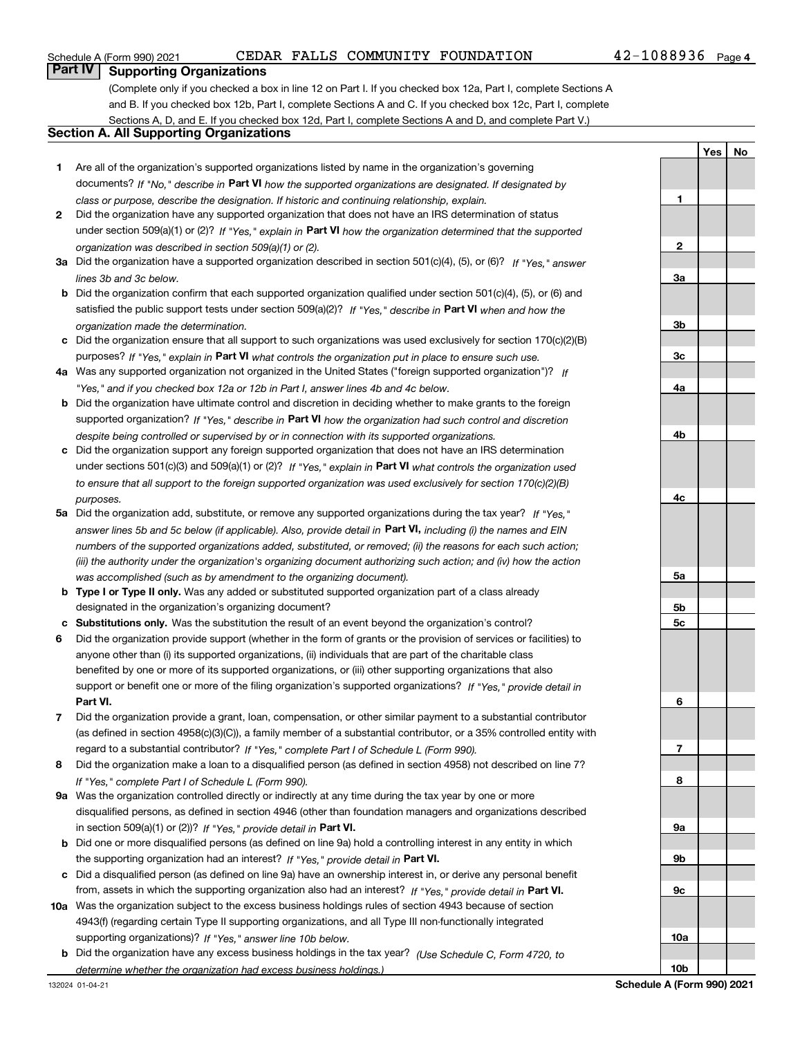## Schedule A (Form 990) 2021 CEDAR FALLS COMMUNITY FOUNDATION 4 $\rm 2$ - $\rm 1088936$   $\rm$   $\rm$  Page

**YesNo**

## **Part IV Supporting Organizations**

(Complete only if you checked a box in line 12 on Part I. If you checked box 12a, Part I, complete Sections A and B. If you checked box 12b, Part I, complete Sections A and C. If you checked box 12c, Part I, complete Sections A, D, and E. If you checked box 12d, Part I, complete Sections A and D, and complete Part V.)

## **Section A. All Supporting Organizations**

- **1** Are all of the organization's supported organizations listed by name in the organization's governing documents? If "No," describe in **Part VI** how the supported organizations are designated. If designated by *class or purpose, describe the designation. If historic and continuing relationship, explain.*
- **2** Did the organization have any supported organization that does not have an IRS determination of status under section 509(a)(1) or (2)? If "Yes," explain in Part VI how the organization determined that the supported *organization was described in section 509(a)(1) or (2).*
- **3a** Did the organization have a supported organization described in section 501(c)(4), (5), or (6)? If "Yes," answer *lines 3b and 3c below.*
- **b** Did the organization confirm that each supported organization qualified under section 501(c)(4), (5), or (6) and satisfied the public support tests under section 509(a)(2)? If "Yes," describe in **Part VI** when and how the *organization made the determination.*
- **c**Did the organization ensure that all support to such organizations was used exclusively for section 170(c)(2)(B) purposes? If "Yes," explain in **Part VI** what controls the organization put in place to ensure such use.
- **4a***If* Was any supported organization not organized in the United States ("foreign supported organization")? *"Yes," and if you checked box 12a or 12b in Part I, answer lines 4b and 4c below.*
- **b** Did the organization have ultimate control and discretion in deciding whether to make grants to the foreign supported organization? If "Yes," describe in **Part VI** how the organization had such control and discretion *despite being controlled or supervised by or in connection with its supported organizations.*
- **c** Did the organization support any foreign supported organization that does not have an IRS determination under sections 501(c)(3) and 509(a)(1) or (2)? If "Yes," explain in **Part VI** what controls the organization used *to ensure that all support to the foreign supported organization was used exclusively for section 170(c)(2)(B) purposes.*
- **5a***If "Yes,"* Did the organization add, substitute, or remove any supported organizations during the tax year? answer lines 5b and 5c below (if applicable). Also, provide detail in **Part VI,** including (i) the names and EIN *numbers of the supported organizations added, substituted, or removed; (ii) the reasons for each such action; (iii) the authority under the organization's organizing document authorizing such action; and (iv) how the action was accomplished (such as by amendment to the organizing document).*
- **b** Type I or Type II only. Was any added or substituted supported organization part of a class already designated in the organization's organizing document?
- **cSubstitutions only.**  Was the substitution the result of an event beyond the organization's control?
- **6** Did the organization provide support (whether in the form of grants or the provision of services or facilities) to **Part VI.** *If "Yes," provide detail in* support or benefit one or more of the filing organization's supported organizations? anyone other than (i) its supported organizations, (ii) individuals that are part of the charitable class benefited by one or more of its supported organizations, or (iii) other supporting organizations that also
- **7**Did the organization provide a grant, loan, compensation, or other similar payment to a substantial contributor *If "Yes," complete Part I of Schedule L (Form 990).* regard to a substantial contributor? (as defined in section 4958(c)(3)(C)), a family member of a substantial contributor, or a 35% controlled entity with
- **8** Did the organization make a loan to a disqualified person (as defined in section 4958) not described on line 7? *If "Yes," complete Part I of Schedule L (Form 990).*
- **9a** Was the organization controlled directly or indirectly at any time during the tax year by one or more in section 509(a)(1) or (2))? If "Yes," *provide detail in* <code>Part VI.</code> disqualified persons, as defined in section 4946 (other than foundation managers and organizations described
- **b** Did one or more disqualified persons (as defined on line 9a) hold a controlling interest in any entity in which the supporting organization had an interest? If "Yes," provide detail in P**art VI**.
- **c**Did a disqualified person (as defined on line 9a) have an ownership interest in, or derive any personal benefit from, assets in which the supporting organization also had an interest? If "Yes," provide detail in P**art VI.**
- **10a** Was the organization subject to the excess business holdings rules of section 4943 because of section supporting organizations)? If "Yes," answer line 10b below. 4943(f) (regarding certain Type II supporting organizations, and all Type III non-functionally integrated
- **b** Did the organization have any excess business holdings in the tax year? (Use Schedule C, Form 4720, to *determine whether the organization had excess business holdings.)*

**123a3b3c4a4b4c5a5b5c6789a 9b9c10a**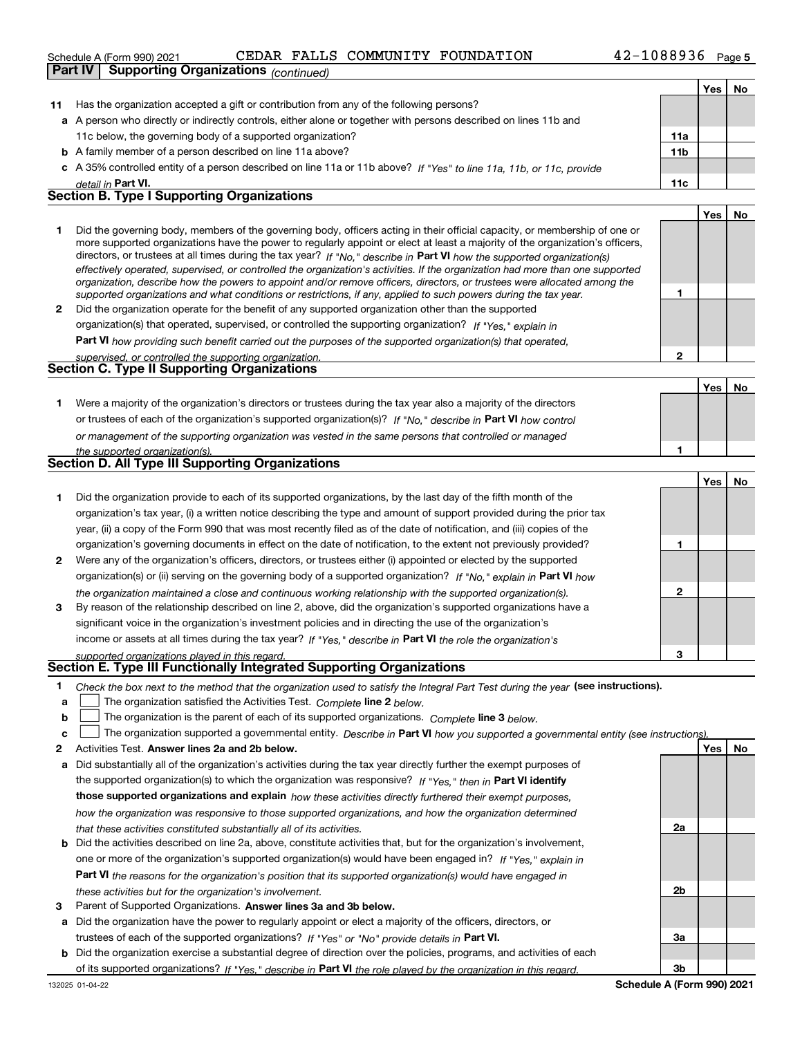#### 42-1088936 Page 5 **Yes No 11** Has the organization accepted a gift or contribution from any of the following persons? **a**A person who directly or indirectly controls, either alone or together with persons described on lines 11b and **b** A family member of a person described on line 11a above? **c** A 35% controlled entity of a person described on line 11a or 11b above? If "Yes" to line 11a, 11b, or 11c, provide **11a11bPart VI. 11c Yes No** *detail in*  Schedule A (Form 990) 2021 CEDAR FALLS COMMUNITY FOUNDATION 4 $\rm 2$ - $\rm 1088936$   $\rm$   $\rm$  Page 11c below, the governing body of a supported organization? **Part IV Supporting Organizations** *(continued)* **Section B. Type I Supporting Organizations**

|                | Did the governing body, members of the governing body, officers acting in their official capacity, or membership of one or<br>more supported organizations have the power to regularly appoint or elect at least a majority of the organization's officers,<br>directors, or trustees at all times during the tax year? If "No," describe in Part VI how the supported organization(s)<br>effectively operated, supervised, or controlled the organization's activities. If the organization had more than one supported<br>organization, describe how the powers to appoint and/or remove officers, directors, or trustees were allocated among the |  |  |
|----------------|------------------------------------------------------------------------------------------------------------------------------------------------------------------------------------------------------------------------------------------------------------------------------------------------------------------------------------------------------------------------------------------------------------------------------------------------------------------------------------------------------------------------------------------------------------------------------------------------------------------------------------------------------|--|--|
|                | supported organizations and what conditions or restrictions, if any, applied to such powers during the tax year.                                                                                                                                                                                                                                                                                                                                                                                                                                                                                                                                     |  |  |
| $\overline{2}$ | Did the organization operate for the benefit of any supported organization other than the supported                                                                                                                                                                                                                                                                                                                                                                                                                                                                                                                                                  |  |  |
|                | organization(s) that operated, supervised, or controlled the supporting organization? If "Yes," explain in                                                                                                                                                                                                                                                                                                                                                                                                                                                                                                                                           |  |  |
|                | Part VI how providing such benefit carried out the purposes of the supported organization(s) that operated,                                                                                                                                                                                                                                                                                                                                                                                                                                                                                                                                          |  |  |
|                | supervised, or controlled the supporting organization.                                                                                                                                                                                                                                                                                                                                                                                                                                                                                                                                                                                               |  |  |
|                | Section C. Type II Supporting Organizations                                                                                                                                                                                                                                                                                                                                                                                                                                                                                                                                                                                                          |  |  |

|                                                                                                                  | Yes . |  |
|------------------------------------------------------------------------------------------------------------------|-------|--|
| Were a majority of the organization's directors or trustees during the tax year also a majority of the directors |       |  |
| or trustees of each of the organization's supported organization(s)? If "No," describe in Part VI how control    |       |  |
| or management of the supporting organization was vested in the same persons that controlled or managed           |       |  |
| the supported organization(s).                                                                                   |       |  |
| <b>Section D. All Type III Supporting Organizations</b>                                                          |       |  |

|              |                                                                                                                        |   | Yes | No |
|--------------|------------------------------------------------------------------------------------------------------------------------|---|-----|----|
|              | Did the organization provide to each of its supported organizations, by the last day of the fifth month of the         |   |     |    |
|              | organization's tax year, (i) a written notice describing the type and amount of support provided during the prior tax  |   |     |    |
|              | year, (ii) a copy of the Form 990 that was most recently filed as of the date of notification, and (iii) copies of the |   |     |    |
|              | organization's governing documents in effect on the date of notification, to the extent not previously provided?       |   |     |    |
| $\mathbf{2}$ | Were any of the organization's officers, directors, or trustees either (i) appointed or elected by the supported       |   |     |    |
|              | organization(s) or (ii) serving on the governing body of a supported organization? If "No." explain in Part VI how     |   |     |    |
|              | the organization maintained a close and continuous working relationship with the supported organization(s).            | 2 |     |    |
| 3            | By reason of the relationship described on line 2, above, did the organization's supported organizations have a        |   |     |    |
|              | significant voice in the organization's investment policies and in directing the use of the organization's             |   |     |    |
|              | income or assets at all times during the tax year? If "Yes," describe in Part VI the role the organization's           |   |     |    |
|              | supported organizations played in this regard                                                                          | 3 |     |    |

# *supported organizations played in this regard.* **Section E. Type III Functionally Integrated Supporting Organizations**

|  | Check the box next to the method that the organization used to satisfy the Integral Part Test during the year (see instructions). |  |  |  |
|--|-----------------------------------------------------------------------------------------------------------------------------------|--|--|--|
|--|-----------------------------------------------------------------------------------------------------------------------------------|--|--|--|

- **a**The organization satisfied the Activities Test. *Complete* line 2 below.  $\mathcal{L}^{\text{max}}$
- **b**The organization is the parent of each of its supported organizations. *Complete* line 3 *below.*  $\mathcal{L}^{\text{max}}$

|  | ↓ The organization supported a governmental entity. Describe in Part VI how you supported a governmental entity (see instructions). |  |
|--|-------------------------------------------------------------------------------------------------------------------------------------|--|
|  |                                                                                                                                     |  |

- **2Answer lines 2a and 2b below. Yes No** Activities Test.
- **a** Did substantially all of the organization's activities during the tax year directly further the exempt purposes of the supported organization(s) to which the organization was responsive? If "Yes," then in **Part VI identify those supported organizations and explain**  *how these activities directly furthered their exempt purposes, how the organization was responsive to those supported organizations, and how the organization determined that these activities constituted substantially all of its activities.*
- **b** Did the activities described on line 2a, above, constitute activities that, but for the organization's involvement, **Part VI**  *the reasons for the organization's position that its supported organization(s) would have engaged in* one or more of the organization's supported organization(s) would have been engaged in? If "Yes," e*xplain in these activities but for the organization's involvement.*
- **3** Parent of Supported Organizations. Answer lines 3a and 3b below.
- **a** Did the organization have the power to regularly appoint or elect a majority of the officers, directors, or trustees of each of the supported organizations? If "Yes" or "No" provide details in **Part VI.**
- **b** Did the organization exercise a substantial degree of direction over the policies, programs, and activities of each of its supported organizations? If "Yes," describe in Part VI the role played by the organization in this regard.

**2a**

**2b**

**3a**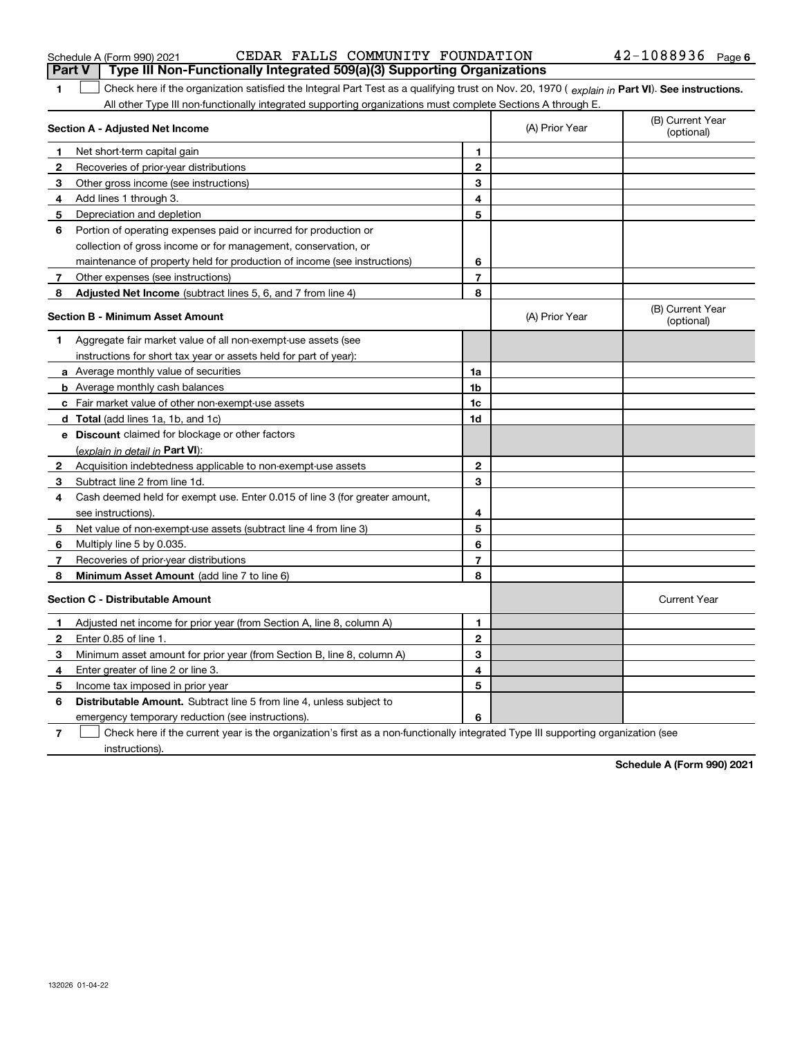132026 01-04-22

### Schedule A (Form 990) 2021 CEDAR FALLS COMMUNITY FOUNDATION 4 $\rm 2$ - $\rm 1088936$   $\rm$   $\rm$  Page **Part V Type III Non-Functionally Integrated 509(a)(3) Supporting Organizations**

**1Part VI** Check here if the organization satisfied the Integral Part Test as a qualifying trust on Nov. 20, 1970 ( explain in Part **VI**). See instructions. All other Type III non-functionally integrated supporting organizations must complete Sections A through E.  $\mathcal{L}^{\text{max}}$ 

> **12**

(A) Prior Year

#### **3** Other gross income (see instructions) **4**Add lines 1 through 3. **56** Portion of operating expenses paid or incurred for production or **7** Other expenses (see instructions) **8** Adjusted Net Income (subtract lines 5, 6, and 7 from line 4) **8 8 34567Section B - Minimum Asset Amount 1**Aggregate fair market value of all non-exempt-use assets (see **2**Acquisition indebtedness applicable to non-exempt-use assets **3** Subtract line 2 from line 1d. **4**Cash deemed held for exempt use. Enter 0.015 of line 3 (for greater amount, **5** Net value of non-exempt-use assets (subtract line 4 from line 3) **6**Multiply line 5 by 0.035. **78a** Average monthly value of securities **b** Average monthly cash balances **c**Fair market value of other non-exempt-use assets **dTotal**  (add lines 1a, 1b, and 1c) **eDiscount** claimed for blockage or other factors **1a1b1c1d2345678**(explain in detail in Part VI): **Minimum Asset Amount**  (add line 7 to line 6) **Section C - Distributable Amount 12**Enter 0.85 of line 1. **3**Minimum asset amount for prior year (from Section B, line 8, column A) **456** Distributable Amount. Subtract line 5 from line 4, unless subject to **7123456**Depreciation and depletion collection of gross income or for management, conservation, or maintenance of property held for production of income (see instructions) (B) Current Year (optional)(A) Prior Year instructions for short tax year or assets held for part of year): see instructions). Recoveries of prior-year distributions Current Year Adjusted net income for prior year (from Section A, line 8, column A) Enter greater of line 2 or line 3. Income tax imposed in prior year emergency temporary reduction (see instructions). Check here if the current year is the organization's first as a non-functionally integrated Type III supporting organization (see  $\mathcal{L}^{\text{max}}$

instructions).

**Section A - Adjusted Net Income**

Net short-term capital gain

**2** Recoveries of prior-year distributions

**1**

**Schedule A (Form 990) 2021**

(B) Current Year (optional)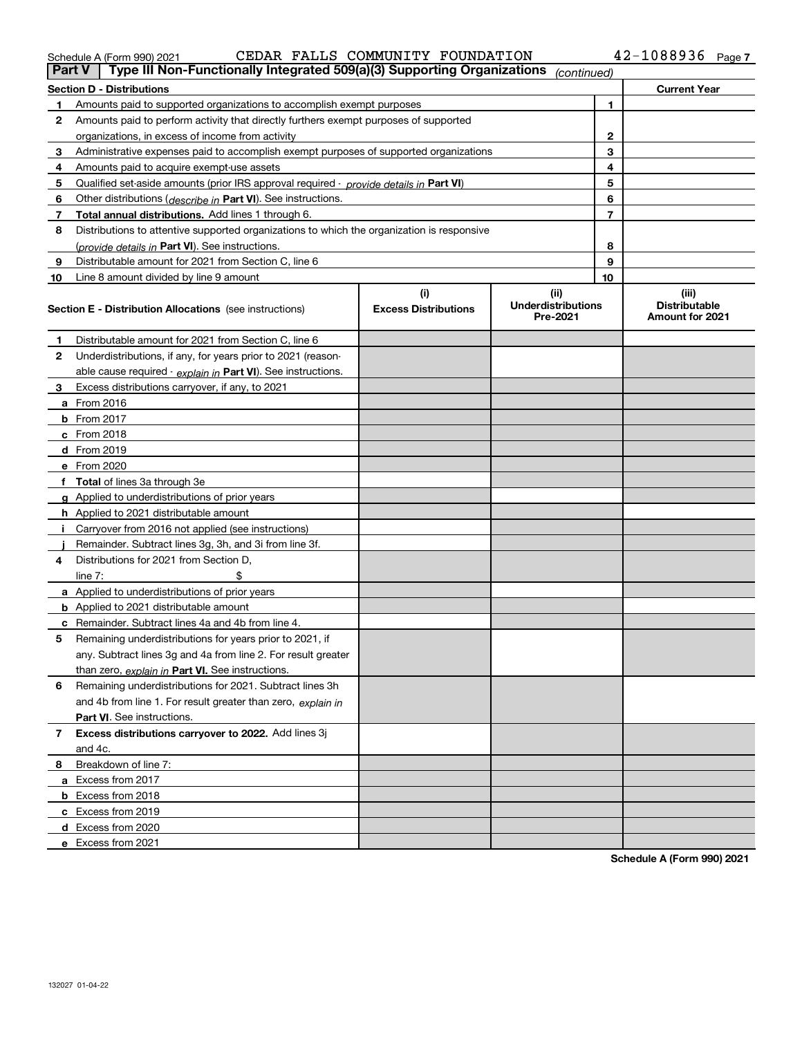| 1edule A (Form 990) 2021 |  |  |
|--------------------------|--|--|
|--------------------------|--|--|

Schedule A (Form 990) 2021 CEDAR FALLS COMMUNITY FOUNDATION 4 $\rm 2$ - $\rm 1088936$   $\rm$   $\rm$  Page

| <b>Part V</b> | Type III Non-Functionally Integrated 509(a)(3) Supporting Organizations $ _{\text{continued}} $ |                             |                                       |                |                                         |
|---------------|-------------------------------------------------------------------------------------------------|-----------------------------|---------------------------------------|----------------|-----------------------------------------|
|               | <b>Section D - Distributions</b>                                                                |                             |                                       |                | <b>Current Year</b>                     |
| 1             | Amounts paid to supported organizations to accomplish exempt purposes                           |                             |                                       | 1              |                                         |
| 2             | Amounts paid to perform activity that directly furthers exempt purposes of supported            |                             |                                       |                |                                         |
|               | organizations, in excess of income from activity                                                |                             | 2                                     |                |                                         |
| 3             | Administrative expenses paid to accomplish exempt purposes of supported organizations           |                             | 3                                     |                |                                         |
| 4             | Amounts paid to acquire exempt-use assets                                                       |                             |                                       | 4              |                                         |
| 5             | Qualified set-aside amounts (prior IRS approval required - <i>provide details in</i> Part VI)   |                             |                                       | 5              |                                         |
| 6             | Other distributions ( <i>describe in</i> Part VI). See instructions.                            |                             |                                       | 6              |                                         |
| 7             | Total annual distributions. Add lines 1 through 6.                                              |                             |                                       | $\overline{7}$ |                                         |
| 8             | Distributions to attentive supported organizations to which the organization is responsive      |                             |                                       |                |                                         |
|               | (provide details in Part VI). See instructions.                                                 |                             |                                       | 8              |                                         |
| 9             | Distributable amount for 2021 from Section C, line 6                                            |                             |                                       | 9              |                                         |
| 10            | Line 8 amount divided by line 9 amount                                                          |                             |                                       | 10             |                                         |
|               |                                                                                                 | (i)                         | (ii)                                  |                | (iii)                                   |
|               | <b>Section E - Distribution Allocations</b> (see instructions)                                  | <b>Excess Distributions</b> | <b>Underdistributions</b><br>Pre-2021 |                | <b>Distributable</b><br>Amount for 2021 |
| 1             | Distributable amount for 2021 from Section C, line 6                                            |                             |                                       |                |                                         |
| 2             | Underdistributions, if any, for years prior to 2021 (reason-                                    |                             |                                       |                |                                         |
|               | able cause required - explain in Part VI). See instructions.                                    |                             |                                       |                |                                         |
| 3             | Excess distributions carryover, if any, to 2021                                                 |                             |                                       |                |                                         |
|               | a From 2016                                                                                     |                             |                                       |                |                                         |
|               | <b>b</b> From 2017                                                                              |                             |                                       |                |                                         |
|               | $c$ From 2018                                                                                   |                             |                                       |                |                                         |
|               | d From 2019                                                                                     |                             |                                       |                |                                         |
|               | e From 2020                                                                                     |                             |                                       |                |                                         |
|               | f Total of lines 3a through 3e                                                                  |                             |                                       |                |                                         |
|               | g Applied to underdistributions of prior years                                                  |                             |                                       |                |                                         |
|               | <b>h</b> Applied to 2021 distributable amount                                                   |                             |                                       |                |                                         |
|               | Carryover from 2016 not applied (see instructions)                                              |                             |                                       |                |                                         |
|               | Remainder. Subtract lines 3g, 3h, and 3i from line 3f.                                          |                             |                                       |                |                                         |
| 4             | Distributions for 2021 from Section D,                                                          |                             |                                       |                |                                         |
|               | line $7:$                                                                                       |                             |                                       |                |                                         |
|               | a Applied to underdistributions of prior years                                                  |                             |                                       |                |                                         |
|               | <b>b</b> Applied to 2021 distributable amount                                                   |                             |                                       |                |                                         |
|               | c Remainder. Subtract lines 4a and 4b from line 4.                                              |                             |                                       |                |                                         |
| 5.            | Remaining underdistributions for years prior to 2021, if                                        |                             |                                       |                |                                         |
|               | any. Subtract lines 3g and 4a from line 2. For result greater                                   |                             |                                       |                |                                         |
|               | than zero, explain in Part VI. See instructions.                                                |                             |                                       |                |                                         |
| 6             | Remaining underdistributions for 2021. Subtract lines 3h                                        |                             |                                       |                |                                         |
|               | and 4b from line 1. For result greater than zero, explain in                                    |                             |                                       |                |                                         |
|               | Part VI. See instructions.                                                                      |                             |                                       |                |                                         |
| 7             | Excess distributions carryover to 2022. Add lines 3j                                            |                             |                                       |                |                                         |
|               | and 4c.                                                                                         |                             |                                       |                |                                         |
| 8             | Breakdown of line 7:                                                                            |                             |                                       |                |                                         |
|               | a Excess from 2017                                                                              |                             |                                       |                |                                         |
|               | <b>b</b> Excess from 2018                                                                       |                             |                                       |                |                                         |
|               |                                                                                                 |                             |                                       |                |                                         |
|               | c Excess from 2019                                                                              |                             |                                       |                |                                         |
|               | d Excess from 2020                                                                              |                             |                                       |                |                                         |
|               | e Excess from 2021                                                                              |                             |                                       |                |                                         |

**Schedule A (Form 990) 2021**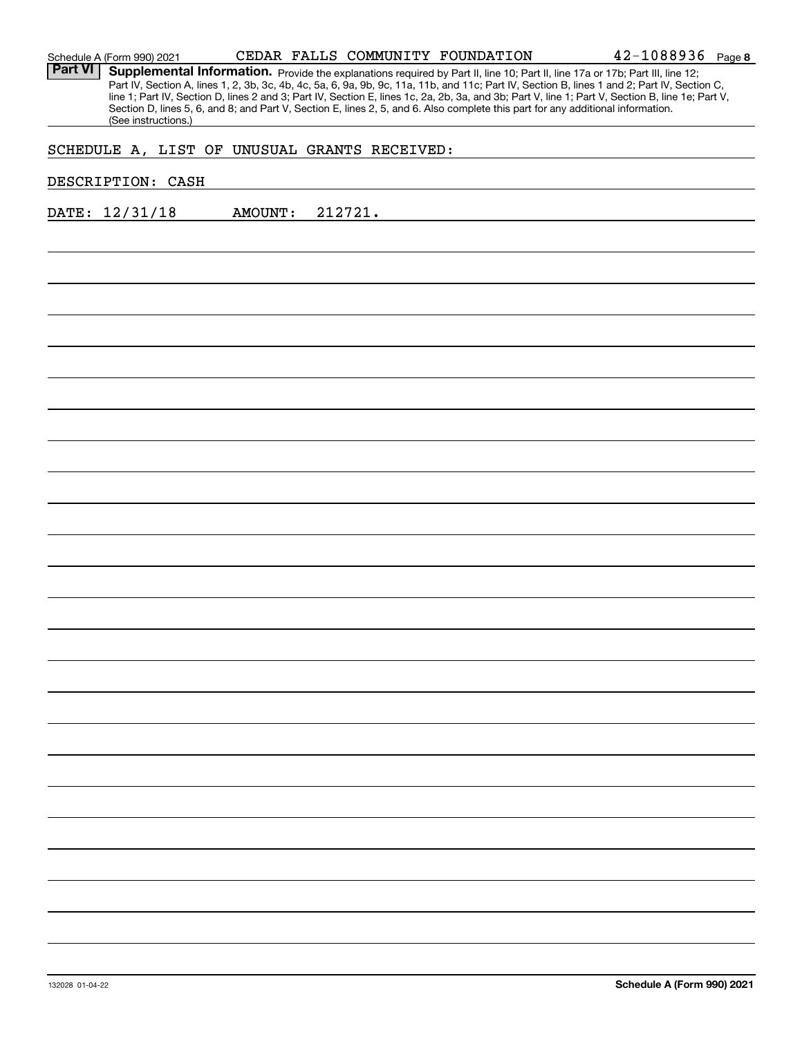Part VI | Supplemental Information. Provide the explanations required by Part II, line 10; Part II, line 17a or 17b; Part III, line 12; Part IV, Section A, lines 1, 2, 3b, 3c, 4b, 4c, 5a, 6, 9a, 9b, 9c, 11a, 11b, and 11c; Part IV, Section B, lines 1 and 2; Part IV, Section C, line 1; Part IV, Section D, lines 2 and 3; Part IV, Section E, lines 1c, 2a, 2b, 3a, and 3b; Part V, line 1; Part V, Section B, line 1e; Part V, Section D, lines 5, 6, and 8; and Part V, Section E, lines 2, 5, and 6. Also complete this part for any additional information. (See instructions.)

## SCHEDULE A, LIST OF UNUSUAL GRANTS RECEIVED:

### DESCRIPTION: CASH

DATE: 12/31/18 AMOUNT: 212721.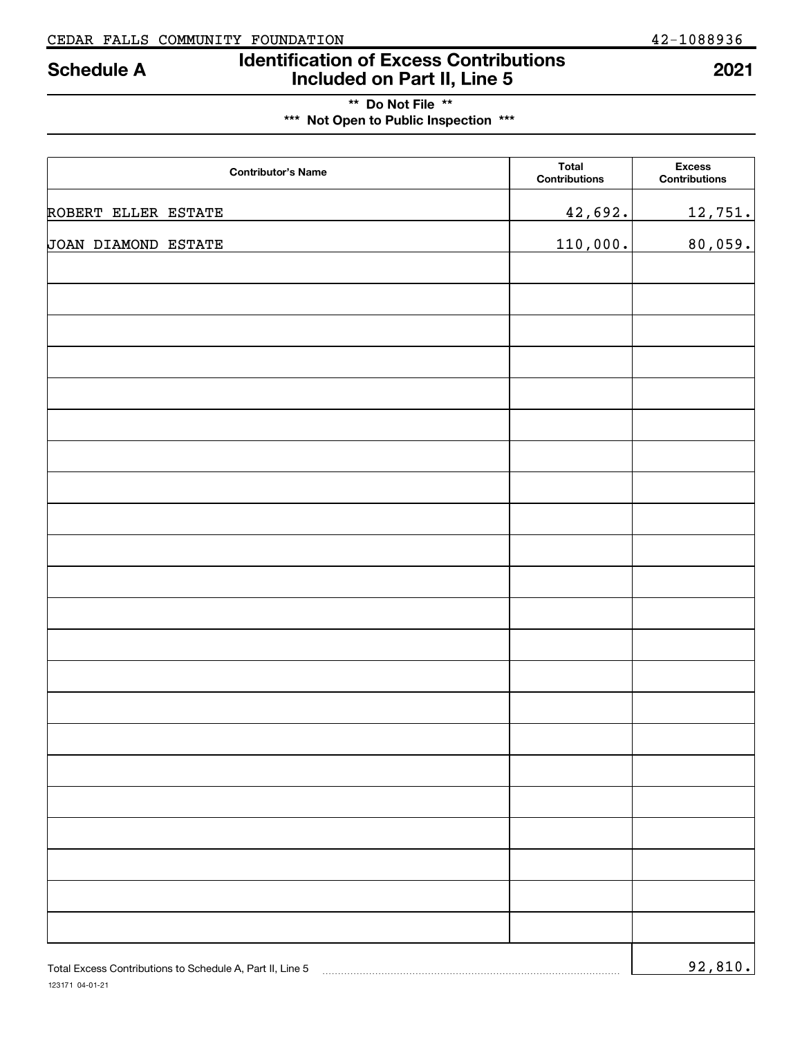# **Identification of Excess Contributions Included on Part II, Line 5 Schedule A 2021**

## **\*\* Do Not File \*\* \*\*\* Not Open to Public Inspection \*\*\***

| <b>Contributor's Name</b> | <b>Total</b><br>Contributions | <b>Excess</b><br>Contributions |
|---------------------------|-------------------------------|--------------------------------|
| ROBERT ELLER ESTATE       | 42,692.                       | 12,751.                        |
| JOAN DIAMOND ESTATE       | 110,000.                      | 80,059.                        |
|                           |                               |                                |
|                           |                               |                                |
|                           |                               |                                |
|                           |                               |                                |
|                           |                               |                                |
|                           |                               |                                |
|                           |                               |                                |
|                           |                               |                                |
|                           |                               |                                |
|                           |                               |                                |
|                           |                               |                                |
|                           |                               |                                |
|                           |                               |                                |
|                           |                               |                                |
|                           |                               |                                |
|                           |                               |                                |
|                           |                               |                                |
|                           |                               |                                |
|                           |                               |                                |
|                           |                               |                                |
|                           |                               |                                |
|                           |                               |                                |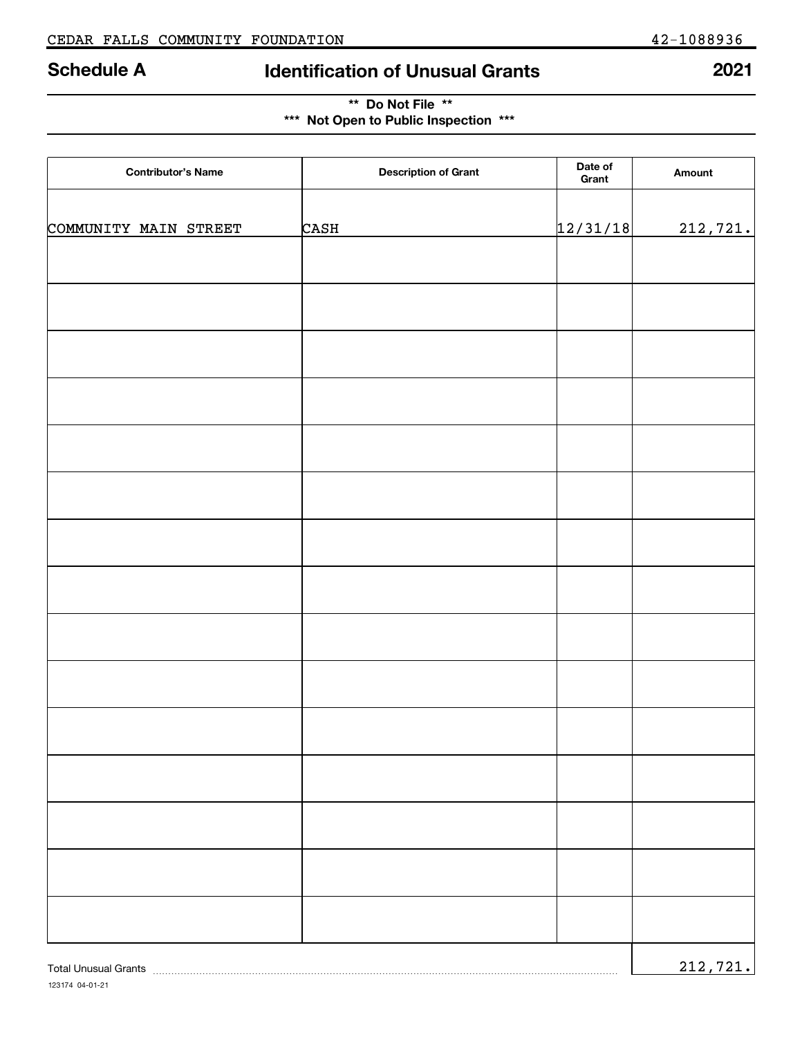# **Schedule A Identification of Unusual Grants 2021**

| ** Do Not File **                     |  |
|---------------------------------------|--|
| *** Not Open to Public Inspection *** |  |

| <b>Contributor's Name</b>   | <b>Description of Grant</b> | Date of<br>Grant | Amount    |
|-----------------------------|-----------------------------|------------------|-----------|
|                             |                             |                  |           |
| COMMUNITY MAIN STREET       | CASH                        | 12/31/18         | 212,721.  |
|                             |                             |                  |           |
|                             |                             |                  |           |
|                             |                             |                  |           |
|                             |                             |                  |           |
|                             |                             |                  |           |
|                             |                             |                  |           |
|                             |                             |                  |           |
|                             |                             |                  |           |
|                             |                             |                  |           |
|                             |                             |                  |           |
|                             |                             |                  |           |
|                             |                             |                  |           |
|                             |                             |                  |           |
|                             |                             |                  |           |
|                             |                             |                  |           |
|                             |                             |                  |           |
|                             |                             |                  |           |
|                             |                             |                  |           |
|                             |                             |                  |           |
|                             |                             |                  |           |
| <b>Total Unusual Grants</b> |                             |                  | 212, 721. |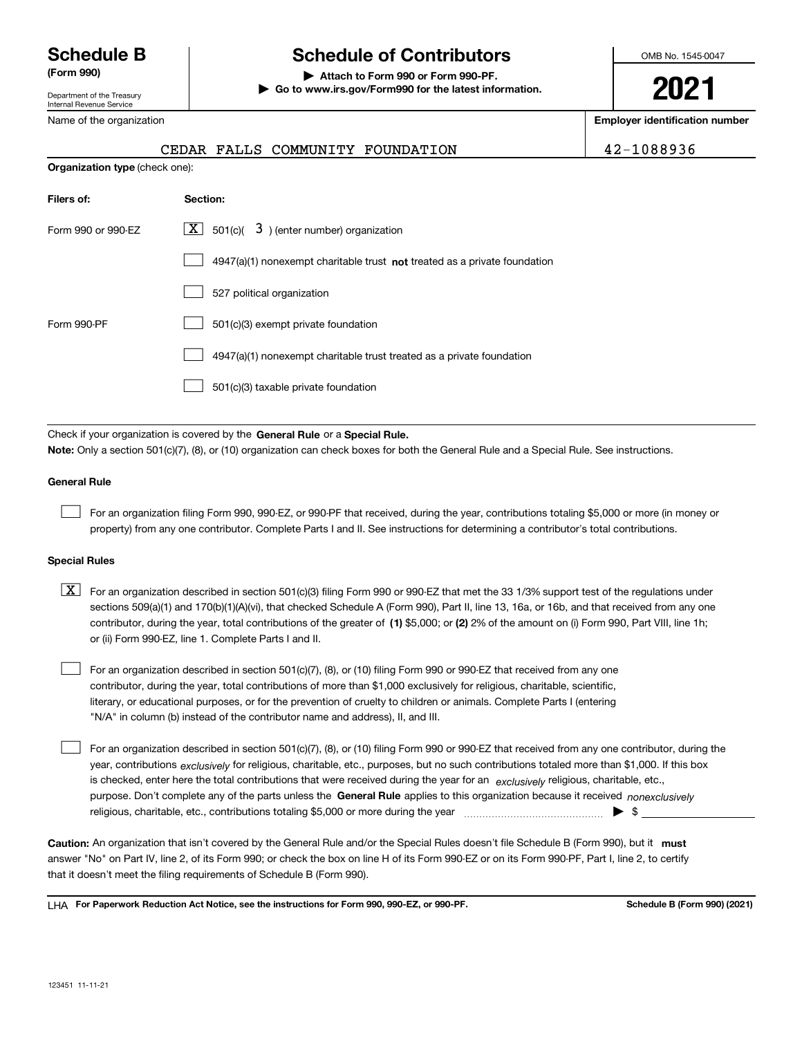Department of the Treasury Internal Revenue Service

Name of the organization

**Organization type** (check one):

# **Schedule B Schedule of Contributors**

**(Form 990) | Attach to Form 990 or Form 990-PF. | Go to www.irs.gov/Form990 for the latest information.** OMB No. 1545-0047

**2021**

**Employer identification number**

|  | CEDAR FALLS COMMUNITY FOUNDATION |  |
|--|----------------------------------|--|
|  |                                  |  |

CEDAR FALLS COMMUNITY FOUNDATION 42-1088936

| Filers of:         | Section:                                                                    |
|--------------------|-----------------------------------------------------------------------------|
| Form 990 or 990-FZ | $\lfloor x \rfloor$ 501(c)( 3) (enter number) organization                  |
|                    | $4947(a)(1)$ nonexempt charitable trust not treated as a private foundation |
|                    | 527 political organization                                                  |
| Form 990-PF        | 501(c)(3) exempt private foundation                                         |
|                    | 4947(a)(1) nonexempt charitable trust treated as a private foundation       |
|                    | 501(c)(3) taxable private foundation                                        |

Check if your organization is covered by the **General Rule** or a **Special Rule. Note:**  Only a section 501(c)(7), (8), or (10) organization can check boxes for both the General Rule and a Special Rule. See instructions.

### **General Rule**

 $\mathcal{L}^{\text{max}}$ 

For an organization filing Form 990, 990-EZ, or 990-PF that received, during the year, contributions totaling \$5,000 or more (in money or property) from any one contributor. Complete Parts I and II. See instructions for determining a contributor's total contributions.

#### **Special Rules**

contributor, during the year, total contributions of the greater of (1**)** \$5,000; or (2) 2% of the amount on (i) Form 990, Part VIII, line 1h;  $\boxed{\textbf{X}}$  For an organization described in section 501(c)(3) filing Form 990 or 990-EZ that met the 33 1/3% support test of the regulations under sections 509(a)(1) and 170(b)(1)(A)(vi), that checked Schedule A (Form 990), Part II, line 13, 16a, or 16b, and that received from any one or (ii) Form 990-EZ, line 1. Complete Parts I and II.

For an organization described in section 501(c)(7), (8), or (10) filing Form 990 or 990-EZ that received from any one contributor, during the year, total contributions of more than \$1,000 exclusively for religious, charitable, scientific, literary, or educational purposes, or for the prevention of cruelty to children or animals. Complete Parts I (entering "N/A" in column (b) instead of the contributor name and address), II, and III.  $\mathcal{L}^{\text{max}}$ 

purpose. Don't complete any of the parts unless the **General Rule** applies to this organization because it received *nonexclusively* year, contributions <sub>exclusively</sub> for religious, charitable, etc., purposes, but no such contributions totaled more than \$1,000. If this box is checked, enter here the total contributions that were received during the year for an  $\;$ exclusively religious, charitable, etc., For an organization described in section 501(c)(7), (8), or (10) filing Form 990 or 990-EZ that received from any one contributor, during the religious, charitable, etc., contributions totaling \$5,000 or more during the year  $\Box$ — $\Box$  =  $\Box$  $\mathcal{L}^{\text{max}}$ 

Caution: An organization that isn't covered by the General Rule and/or the Special Rules doesn't file Schedule B (Form 990), but it **must** answer "No" on Part IV, line 2, of its Form 990; or check the box on line H of its Form 990-EZ or on its Form 990-PF, Part I, line 2, to certify that it doesn't meet the filing requirements of Schedule B (Form 990).

LHA For Paperwork Reduction Act Notice, see the instructions for Form 990, 990-EZ, or 990-PF. **In the act and Schedule B** (Form 990) (2021)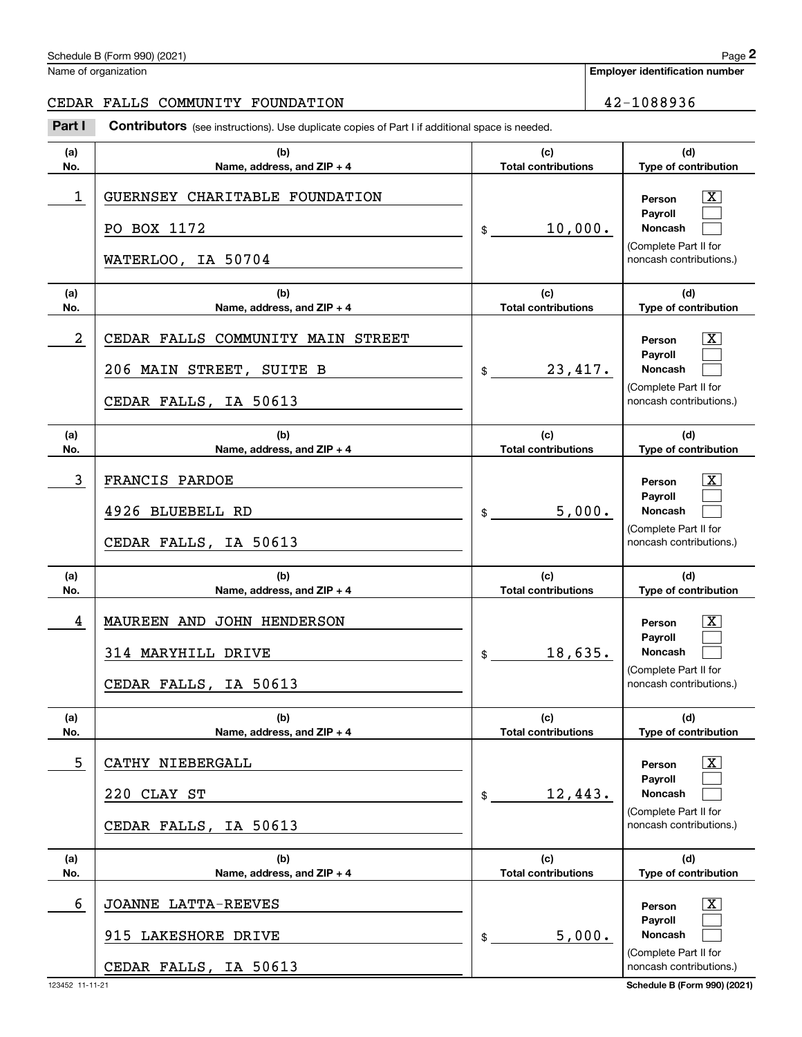Name of organization

CEDAR FALLS COMMUNITY FOUNDATION 42-1088936

#### **(a)No.(b)Name, address, and ZIP + 4 (c)Total contributions (d)Type of contribution PersonPayrollNoncash (a)No.(b)Name, address, and ZIP + 4 (c)Total contributions (d)Type of contribution PersonPayrollNoncash (a)No.(b)Name, address, and ZIP + 4 (c)Total contributions (d)Type of contribution PersonPayrollNoncash (a)No.(b)Name, address, and ZIP + 4 (c) Total contributions (d)Type of contribution PersonPayrollNoncash (a)No.(b)Name, address, and ZIP + 4 (c)Total contributions (d)Type of contribution PersonPayrollNoncash (a)No.(b)Name, address, and ZIP + 4 (c)Total contributions (d)Type of contribution PersonPayrollNoncash Contributors** (see instructions). Use duplicate copies of Part I if additional space is needed. \$(Complete Part II for noncash contributions.) \$(Complete Part II for noncash contributions.) \$(Complete Part II for noncash contributions.) \$(Complete Part II for noncash contributions.) \$(Complete Part II for noncash contributions.)  $$$ (Complete Part II for noncash contributions.) Chedule B (Form 990) (2021)<br> **2Page 2**<br> **2PDAR FALLS COMMUNITY FOUNDATION**<br> **2Part I** Contributors (see instructions). Use duplicate copies of Part I if additional space is needed.  $\lceil \text{X} \rceil$  $\mathcal{L}^{\text{max}}$  $\mathcal{L}^{\text{max}}$  $\boxed{\text{X}}$  $\mathcal{L}^{\text{max}}$  $\mathcal{L}^{\text{max}}$  $\lceil \text{X} \rceil$  $\mathcal{L}^{\text{max}}$  $\mathcal{L}^{\text{max}}$  $|X|$  $\mathcal{L}^{\text{max}}$  $\mathcal{L}^{\text{max}}$  $|X|$  $\mathcal{L}^{\text{max}}$  $\mathcal{L}^{\text{max}}$  $\boxed{\text{X}}$  $\mathcal{L}^{\text{max}}$  $\mathcal{L}^{\text{max}}$ 1 X GUERNSEY CHARITABLE FOUNDATION 10,000. PO BOX 1172 WATERLOO, IA 50704 2 X CEDAR FALLS COMMUNITY MAIN STREET 23,417. 206 MAIN STREET, SUITE B CEDAR FALLS, IA 50613 3 X FRANCIS PARDOE 5,000. 4926 BLUEBELL RD CEDAR FALLS, IA 50613 4 X MAUREEN AND JOHN HENDERSON 18,635. 314 MARYHILL DRIVE CEDAR FALLS, IA 50613 5 X CATHY NIEBERGALL 12,443. 220 CLAY ST CEDAR FALLS, IA 50613 6 X JOANNE LATTA-REEVES 5,000. 915 LAKESHORE DRIVE CEDAR FALLS, IA 50613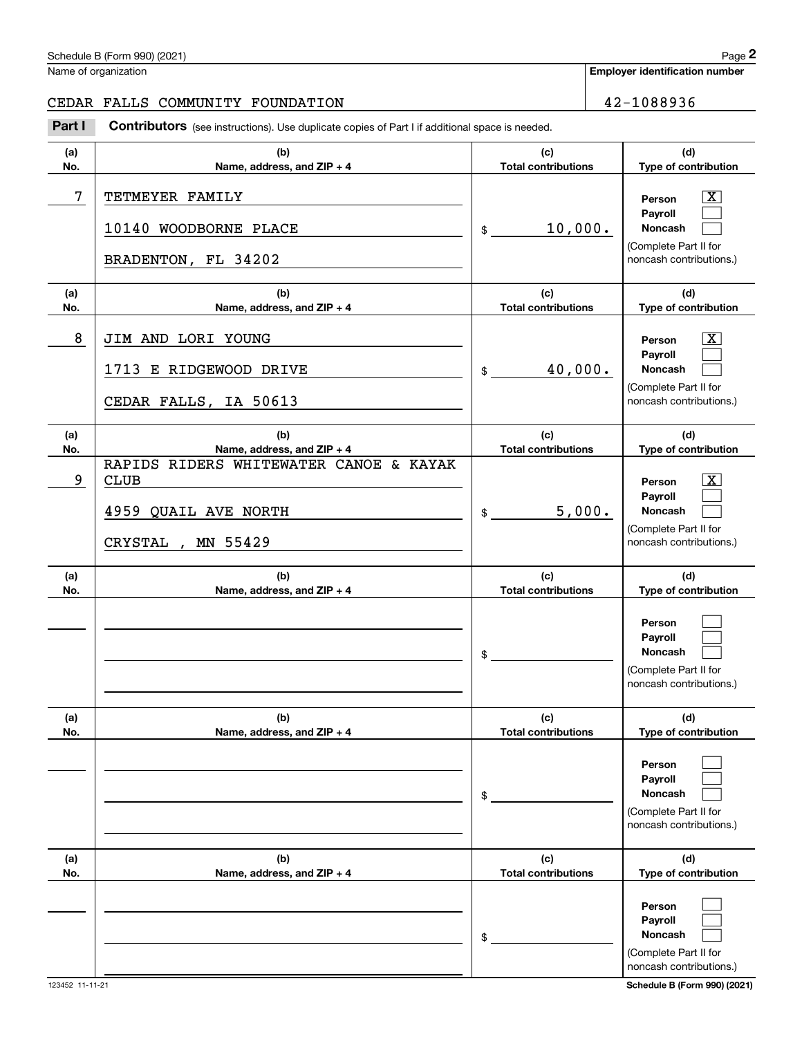|            | Schedule B (Form 990) (2021)                                                                          |                                   | Page 2                                                                                                             |
|------------|-------------------------------------------------------------------------------------------------------|-----------------------------------|--------------------------------------------------------------------------------------------------------------------|
|            | Name of organization                                                                                  |                                   | <b>Employer identification number</b>                                                                              |
|            | CEDAR FALLS COMMUNITY FOUNDATION                                                                      |                                   | 42-1088936                                                                                                         |
| Part I     | <b>Contributors</b> (see instructions). Use duplicate copies of Part I if additional space is needed. |                                   |                                                                                                                    |
| (a)<br>No. | (b)<br>Name, address, and ZIP + 4                                                                     | (c)<br><b>Total contributions</b> | (d)<br>Type of contribution                                                                                        |
| 7          | TETMEYER FAMILY<br>10140 WOODBORNE PLACE<br>BRADENTON, FL 34202                                       | 10,000.<br>\$                     | $\overline{\texttt{X}}$<br>Person<br>Payroll<br>Noncash<br>(Complete Part II for<br>noncash contributions.)        |
| (a)<br>No. | (b)<br>Name, address, and ZIP + 4                                                                     | (c)<br><b>Total contributions</b> | (d)<br>Type of contribution                                                                                        |
| 8          | JIM AND LORI YOUNG<br>1713 E RIDGEWOOD DRIVE<br>CEDAR FALLS, IA 50613                                 | 40,000.<br>\$                     | $\overline{\texttt{X}}$<br>Person<br>Payroll<br><b>Noncash</b><br>(Complete Part II for<br>noncash contributions.) |
| (a)<br>No. | (b)<br>Name, address, and ZIP + 4                                                                     | (c)<br><b>Total contributions</b> | (d)<br>Type of contribution                                                                                        |
| 9          | RAPIDS RIDERS WHITEWATER CANOE & KAYAK<br><b>CLUB</b><br>4959 QUAIL AVE NORTH<br>MN 55429<br>CRYSTAL, | 5,000.<br>\$                      | $\overline{\text{X}}$<br>Person<br>Payroll<br>Noncash<br>(Complete Part II for<br>noncash contributions.)          |
| (a)<br>No. | (b)<br>Name, address, and ZIP + 4                                                                     | (c)<br><b>Total contributions</b> | (d)<br>Type of contribution                                                                                        |
|            |                                                                                                       | \$                                | Person<br>Payroll<br>Noncash<br>(Complete Part II for<br>noncash contributions.)                                   |
| (a)<br>No. | (b)<br>Name, address, and ZIP + 4                                                                     | (c)<br><b>Total contributions</b> | (d)<br>Type of contribution                                                                                        |
|            |                                                                                                       | \$                                | Person<br>Payroll<br>Noncash<br>(Complete Part II for<br>noncash contributions.)                                   |
| (a)<br>No. | (b)<br>Name, address, and ZIP + 4                                                                     | (c)<br><b>Total contributions</b> | (d)<br>Type of contribution                                                                                        |
|            |                                                                                                       | \$                                | Person<br><b>Payroll</b><br>Noncash<br>(Complete Part II for                                                       |

noncash contributions.)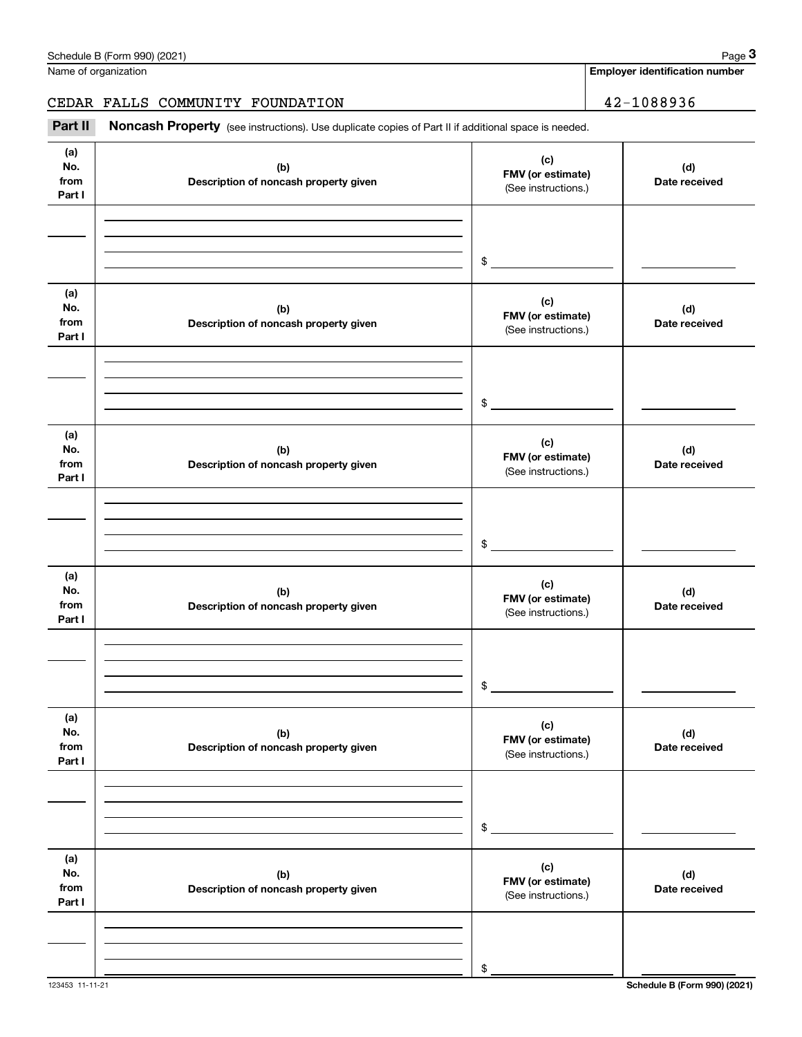|                              | Schedule B (Form 990) (2021)                                                                        |                                                 | Page 3                                |
|------------------------------|-----------------------------------------------------------------------------------------------------|-------------------------------------------------|---------------------------------------|
|                              | Name of organization                                                                                |                                                 | <b>Employer identification number</b> |
|                              | CEDAR FALLS COMMUNITY FOUNDATION                                                                    |                                                 | 42-1088936                            |
| Part II                      | Noncash Property (see instructions). Use duplicate copies of Part II if additional space is needed. |                                                 |                                       |
| (a)<br>No.<br>from<br>Part I | (b)<br>Description of noncash property given                                                        | (c)<br>FMV (or estimate)<br>(See instructions.) | (d)<br>Date received                  |
|                              |                                                                                                     | \$                                              |                                       |
| (a)<br>No.<br>from<br>Part I | (b)<br>Description of noncash property given                                                        | (c)<br>FMV (or estimate)<br>(See instructions.) | (d)<br>Date received                  |
|                              |                                                                                                     | \$                                              |                                       |
| (a)<br>No.<br>from<br>Part I | (b)<br>Description of noncash property given                                                        | (c)<br>FMV (or estimate)<br>(See instructions.) | (d)<br>Date received                  |
|                              |                                                                                                     | \$                                              |                                       |
| (a)<br>No.<br>from<br>Part I | (b)<br>Description of noncash property given                                                        | (c)<br>FMV (or estimate)<br>(See instructions.) | (d)<br>Date received                  |
|                              |                                                                                                     | \$                                              |                                       |
| (a)<br>No.<br>from<br>Part I | (b)<br>Description of noncash property given                                                        | (c)<br>FMV (or estimate)<br>(See instructions.) | (d)<br>Date received                  |
|                              |                                                                                                     | \$                                              |                                       |
| (a)<br>No.<br>from<br>Part I | (b)<br>Description of noncash property given                                                        | (c)<br>FMV (or estimate)<br>(See instructions.) | (d)<br>Date received                  |
|                              |                                                                                                     | \$                                              |                                       |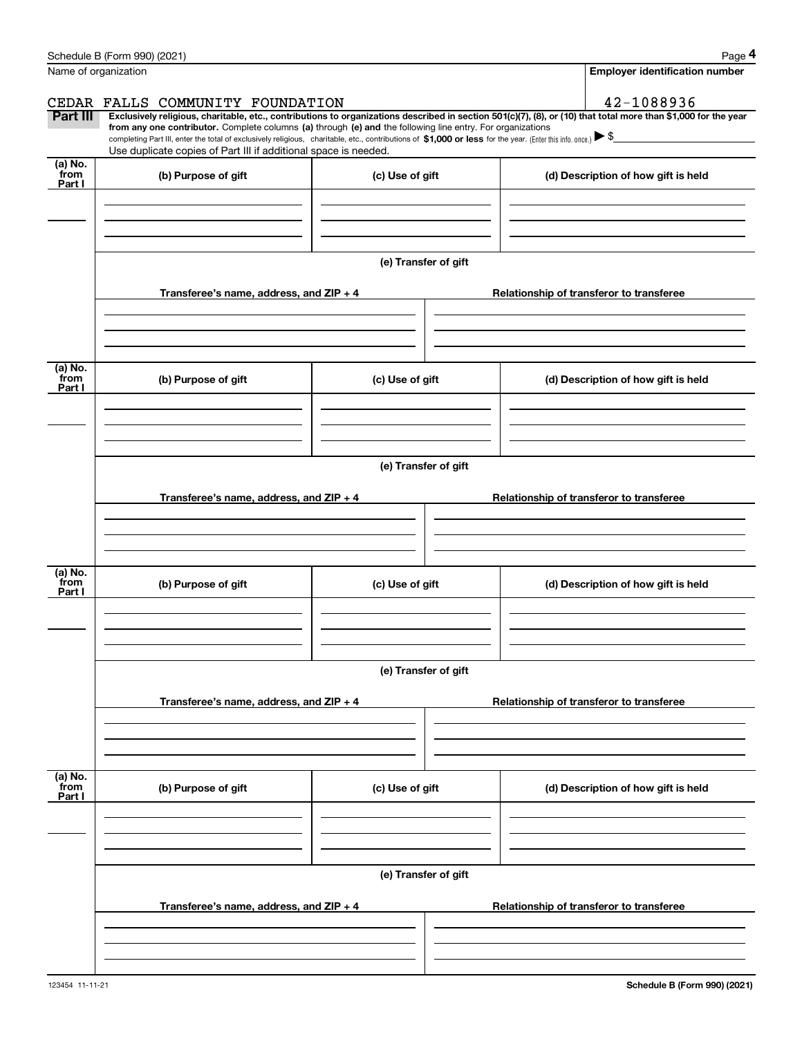|                           | Schedule B (Form 990) (2021)                                                                                                                                                      |                      | Page 4                                                                                                                                                         |  |  |  |  |  |  |
|---------------------------|-----------------------------------------------------------------------------------------------------------------------------------------------------------------------------------|----------------------|----------------------------------------------------------------------------------------------------------------------------------------------------------------|--|--|--|--|--|--|
|                           | Name of organization                                                                                                                                                              |                      | <b>Employer identification number</b>                                                                                                                          |  |  |  |  |  |  |
|                           | CEDAR FALLS COMMUNITY FOUNDATION                                                                                                                                                  |                      | 42-1088936                                                                                                                                                     |  |  |  |  |  |  |
| Part III                  | from any one contributor. Complete columns (a) through (e) and the following line entry. For organizations                                                                        |                      | Exclusively religious, charitable, etc., contributions to organizations described in section 501(c)(7), (8), or (10) that total more than \$1,000 for the year |  |  |  |  |  |  |
|                           | completing Part III, enter the total of exclusively religious, charitable, etc., contributions of \$1,000 or less for the year. (Enter this info. once.) $\blacktriangleright$ \$ |                      |                                                                                                                                                                |  |  |  |  |  |  |
| (a) No.                   | Use duplicate copies of Part III if additional space is needed.                                                                                                                   |                      |                                                                                                                                                                |  |  |  |  |  |  |
| from<br>Part I            | (b) Purpose of gift                                                                                                                                                               | (c) Use of gift      | (d) Description of how gift is held                                                                                                                            |  |  |  |  |  |  |
|                           |                                                                                                                                                                                   |                      |                                                                                                                                                                |  |  |  |  |  |  |
|                           |                                                                                                                                                                                   |                      |                                                                                                                                                                |  |  |  |  |  |  |
|                           |                                                                                                                                                                                   |                      |                                                                                                                                                                |  |  |  |  |  |  |
|                           |                                                                                                                                                                                   | (e) Transfer of gift |                                                                                                                                                                |  |  |  |  |  |  |
|                           | Transferee's name, address, and ZIP + 4                                                                                                                                           |                      | Relationship of transferor to transferee                                                                                                                       |  |  |  |  |  |  |
|                           |                                                                                                                                                                                   |                      |                                                                                                                                                                |  |  |  |  |  |  |
|                           |                                                                                                                                                                                   |                      |                                                                                                                                                                |  |  |  |  |  |  |
|                           |                                                                                                                                                                                   |                      |                                                                                                                                                                |  |  |  |  |  |  |
| (a) No.<br>from           | (b) Purpose of gift                                                                                                                                                               | (c) Use of gift      | (d) Description of how gift is held                                                                                                                            |  |  |  |  |  |  |
| Part I                    |                                                                                                                                                                                   |                      |                                                                                                                                                                |  |  |  |  |  |  |
|                           |                                                                                                                                                                                   |                      |                                                                                                                                                                |  |  |  |  |  |  |
|                           |                                                                                                                                                                                   |                      |                                                                                                                                                                |  |  |  |  |  |  |
|                           | (e) Transfer of gift                                                                                                                                                              |                      |                                                                                                                                                                |  |  |  |  |  |  |
|                           |                                                                                                                                                                                   |                      |                                                                                                                                                                |  |  |  |  |  |  |
|                           | Transferee's name, address, and ZIP + 4                                                                                                                                           |                      | Relationship of transferor to transferee                                                                                                                       |  |  |  |  |  |  |
|                           |                                                                                                                                                                                   |                      |                                                                                                                                                                |  |  |  |  |  |  |
|                           |                                                                                                                                                                                   |                      |                                                                                                                                                                |  |  |  |  |  |  |
| (a) No.                   |                                                                                                                                                                                   |                      |                                                                                                                                                                |  |  |  |  |  |  |
| from<br>Part I            | (b) Purpose of gift                                                                                                                                                               | (c) Use of gift      | (d) Description of how gift is held                                                                                                                            |  |  |  |  |  |  |
|                           |                                                                                                                                                                                   |                      |                                                                                                                                                                |  |  |  |  |  |  |
|                           |                                                                                                                                                                                   |                      |                                                                                                                                                                |  |  |  |  |  |  |
|                           |                                                                                                                                                                                   |                      |                                                                                                                                                                |  |  |  |  |  |  |
|                           |                                                                                                                                                                                   | (e) Transfer of gift |                                                                                                                                                                |  |  |  |  |  |  |
|                           | Transferee's name, address, and ZIP + 4                                                                                                                                           |                      | Relationship of transferor to transferee                                                                                                                       |  |  |  |  |  |  |
|                           |                                                                                                                                                                                   |                      |                                                                                                                                                                |  |  |  |  |  |  |
|                           |                                                                                                                                                                                   |                      |                                                                                                                                                                |  |  |  |  |  |  |
|                           |                                                                                                                                                                                   |                      |                                                                                                                                                                |  |  |  |  |  |  |
| (a) No.<br>from<br>Part I | (b) Purpose of gift                                                                                                                                                               | (c) Use of gift      | (d) Description of how gift is held                                                                                                                            |  |  |  |  |  |  |
|                           |                                                                                                                                                                                   |                      |                                                                                                                                                                |  |  |  |  |  |  |
|                           |                                                                                                                                                                                   |                      |                                                                                                                                                                |  |  |  |  |  |  |
|                           |                                                                                                                                                                                   |                      |                                                                                                                                                                |  |  |  |  |  |  |
|                           |                                                                                                                                                                                   | (e) Transfer of gift |                                                                                                                                                                |  |  |  |  |  |  |
|                           |                                                                                                                                                                                   |                      |                                                                                                                                                                |  |  |  |  |  |  |
|                           | Transferee's name, address, and $ZIP + 4$                                                                                                                                         |                      | Relationship of transferor to transferee                                                                                                                       |  |  |  |  |  |  |
|                           |                                                                                                                                                                                   |                      |                                                                                                                                                                |  |  |  |  |  |  |
|                           |                                                                                                                                                                                   |                      |                                                                                                                                                                |  |  |  |  |  |  |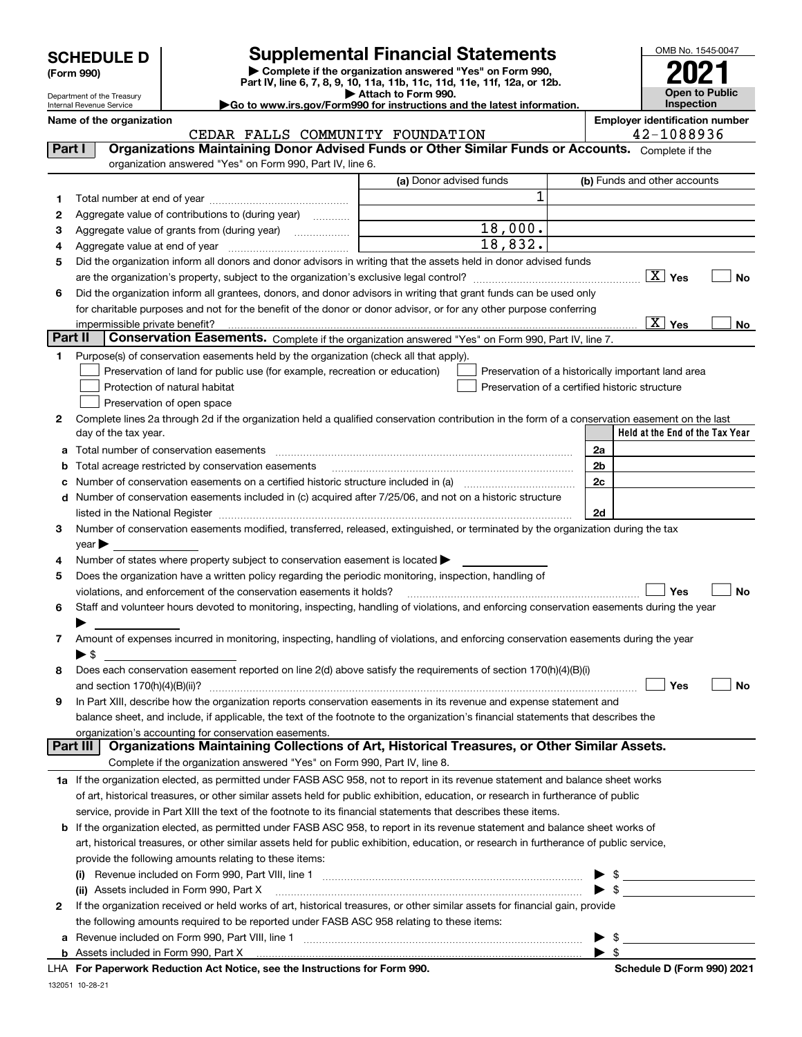| <b>SCHEDULE D</b> |
|-------------------|
|-------------------|

Department of the Treasury

**(Form 990)**

# **Supplemental Financial Statements**

**| Complete if the organization answered "Yes" on Form 990, Part IV, line 6, 7, 8, 9, 10, 11a, 11b, 11c, 11d, 11e, 11f, 12a, or 12b. | Attach to Form 990. |Go to www.irs.gov/Form990 for instructions and the latest information.**



Internal Revenue Service

**Name of the organization Employer identification number**

|         | CEDAR FALLS COMMUNITY FOUNDATION                                                                                                                                                                                               |                         | 42-1088936                                         |  |  |  |  |
|---------|--------------------------------------------------------------------------------------------------------------------------------------------------------------------------------------------------------------------------------|-------------------------|----------------------------------------------------|--|--|--|--|
| Part I  | Organizations Maintaining Donor Advised Funds or Other Similar Funds or Accounts. Complete if the                                                                                                                              |                         |                                                    |  |  |  |  |
|         | organization answered "Yes" on Form 990, Part IV, line 6.                                                                                                                                                                      |                         |                                                    |  |  |  |  |
|         |                                                                                                                                                                                                                                | (a) Donor advised funds | (b) Funds and other accounts                       |  |  |  |  |
| 1       |                                                                                                                                                                                                                                | 1                       |                                                    |  |  |  |  |
| 2       | Aggregate value of contributions to (during year)                                                                                                                                                                              |                         |                                                    |  |  |  |  |
| з       |                                                                                                                                                                                                                                | 18,000.                 |                                                    |  |  |  |  |
| 4       |                                                                                                                                                                                                                                | 18,832.                 |                                                    |  |  |  |  |
| 5       | Did the organization inform all donors and donor advisors in writing that the assets held in donor advised funds                                                                                                               |                         |                                                    |  |  |  |  |
|         |                                                                                                                                                                                                                                |                         | $\boxed{\text{X}}$ Yes<br>No                       |  |  |  |  |
|         |                                                                                                                                                                                                                                |                         |                                                    |  |  |  |  |
| 6       | Did the organization inform all grantees, donors, and donor advisors in writing that grant funds can be used only                                                                                                              |                         |                                                    |  |  |  |  |
|         | for charitable purposes and not for the benefit of the donor or donor advisor, or for any other purpose conferring                                                                                                             |                         | $\boxed{\text{X}}$ Yes                             |  |  |  |  |
| Part II | Conservation Easements. Complete if the organization answered "Yes" on Form 990, Part IV, line 7.                                                                                                                              |                         | No                                                 |  |  |  |  |
|         |                                                                                                                                                                                                                                |                         |                                                    |  |  |  |  |
| 1       | Purpose(s) of conservation easements held by the organization (check all that apply).                                                                                                                                          |                         |                                                    |  |  |  |  |
|         | Preservation of land for public use (for example, recreation or education)                                                                                                                                                     |                         | Preservation of a historically important land area |  |  |  |  |
|         | Protection of natural habitat                                                                                                                                                                                                  |                         | Preservation of a certified historic structure     |  |  |  |  |
|         | Preservation of open space                                                                                                                                                                                                     |                         |                                                    |  |  |  |  |
| 2       | Complete lines 2a through 2d if the organization held a qualified conservation contribution in the form of a conservation easement on the last                                                                                 |                         |                                                    |  |  |  |  |
|         | day of the tax year.                                                                                                                                                                                                           |                         | Held at the End of the Tax Year                    |  |  |  |  |
|         | a Total number of conservation easements                                                                                                                                                                                       |                         | 2a                                                 |  |  |  |  |
| b       | Total acreage restricted by conservation easements                                                                                                                                                                             |                         | 2b                                                 |  |  |  |  |
| c       |                                                                                                                                                                                                                                |                         | 2c                                                 |  |  |  |  |
|         | d Number of conservation easements included in (c) acquired after 7/25/06, and not on a historic structure                                                                                                                     |                         |                                                    |  |  |  |  |
|         | listed in the National Register [111] [12] The Mational Register [11] Mathematic Mathematic Mathematic Mathematic Mathematic Mathematic Mathematic Mathematic Mathematic Mathematic Mathematic Mathematic Mathematic Mathemati |                         | 2d                                                 |  |  |  |  |
| з       | Number of conservation easements modified, transferred, released, extinguished, or terminated by the organization during the tax                                                                                               |                         |                                                    |  |  |  |  |
|         | $year \blacktriangleright$                                                                                                                                                                                                     |                         |                                                    |  |  |  |  |
| 4       | Number of states where property subject to conservation easement is located >                                                                                                                                                  |                         |                                                    |  |  |  |  |
| 5       | Does the organization have a written policy regarding the periodic monitoring, inspection, handling of                                                                                                                         |                         |                                                    |  |  |  |  |
|         | violations, and enforcement of the conservation easements it holds?                                                                                                                                                            |                         | Yes<br><b>No</b>                                   |  |  |  |  |
| 6       | Staff and volunteer hours devoted to monitoring, inspecting, handling of violations, and enforcing conservation easements during the year                                                                                      |                         |                                                    |  |  |  |  |
|         |                                                                                                                                                                                                                                |                         |                                                    |  |  |  |  |
| 7       | Amount of expenses incurred in monitoring, inspecting, handling of violations, and enforcing conservation easements during the year                                                                                            |                         |                                                    |  |  |  |  |
|         | $\blacktriangleright$ \$                                                                                                                                                                                                       |                         |                                                    |  |  |  |  |
| 8       | Does each conservation easement reported on line 2(d) above satisfy the requirements of section 170(h)(4)(B)(i)                                                                                                                |                         |                                                    |  |  |  |  |
|         |                                                                                                                                                                                                                                |                         | Yes<br>No                                          |  |  |  |  |
| 9       | In Part XIII, describe how the organization reports conservation easements in its revenue and expense statement and                                                                                                            |                         |                                                    |  |  |  |  |
|         | balance sheet, and include, if applicable, the text of the footnote to the organization's financial statements that describes the                                                                                              |                         |                                                    |  |  |  |  |
|         | organization's accounting for conservation easements.                                                                                                                                                                          |                         |                                                    |  |  |  |  |
|         | Organizations Maintaining Collections of Art, Historical Treasures, or Other Similar Assets.<br>Part III                                                                                                                       |                         |                                                    |  |  |  |  |
|         | Complete if the organization answered "Yes" on Form 990, Part IV, line 8.                                                                                                                                                      |                         |                                                    |  |  |  |  |
|         | 1a If the organization elected, as permitted under FASB ASC 958, not to report in its revenue statement and balance sheet works                                                                                                |                         |                                                    |  |  |  |  |
|         | of art, historical treasures, or other similar assets held for public exhibition, education, or research in furtherance of public                                                                                              |                         |                                                    |  |  |  |  |
|         | service, provide in Part XIII the text of the footnote to its financial statements that describes these items.                                                                                                                 |                         |                                                    |  |  |  |  |
|         | b If the organization elected, as permitted under FASB ASC 958, to report in its revenue statement and balance sheet works of                                                                                                  |                         |                                                    |  |  |  |  |
|         | art, historical treasures, or other similar assets held for public exhibition, education, or research in furtherance of public service,                                                                                        |                         |                                                    |  |  |  |  |
|         | provide the following amounts relating to these items:                                                                                                                                                                         |                         |                                                    |  |  |  |  |
|         | (i)                                                                                                                                                                                                                            |                         | -\$                                                |  |  |  |  |
|         | (ii) Assets included in Form 990, Part X                                                                                                                                                                                       |                         | $\blacktriangleright$ \$                           |  |  |  |  |
| 2       | If the organization received or held works of art, historical treasures, or other similar assets for financial gain, provide                                                                                                   |                         |                                                    |  |  |  |  |
|         | the following amounts required to be reported under FASB ASC 958 relating to these items:                                                                                                                                      |                         |                                                    |  |  |  |  |
| а       |                                                                                                                                                                                                                                |                         | $$\overbrace{\hspace{2.5cm}}$                      |  |  |  |  |
|         |                                                                                                                                                                                                                                |                         | $\blacktriangleright$ \$                           |  |  |  |  |
|         |                                                                                                                                                                                                                                |                         |                                                    |  |  |  |  |

132051 10-28-21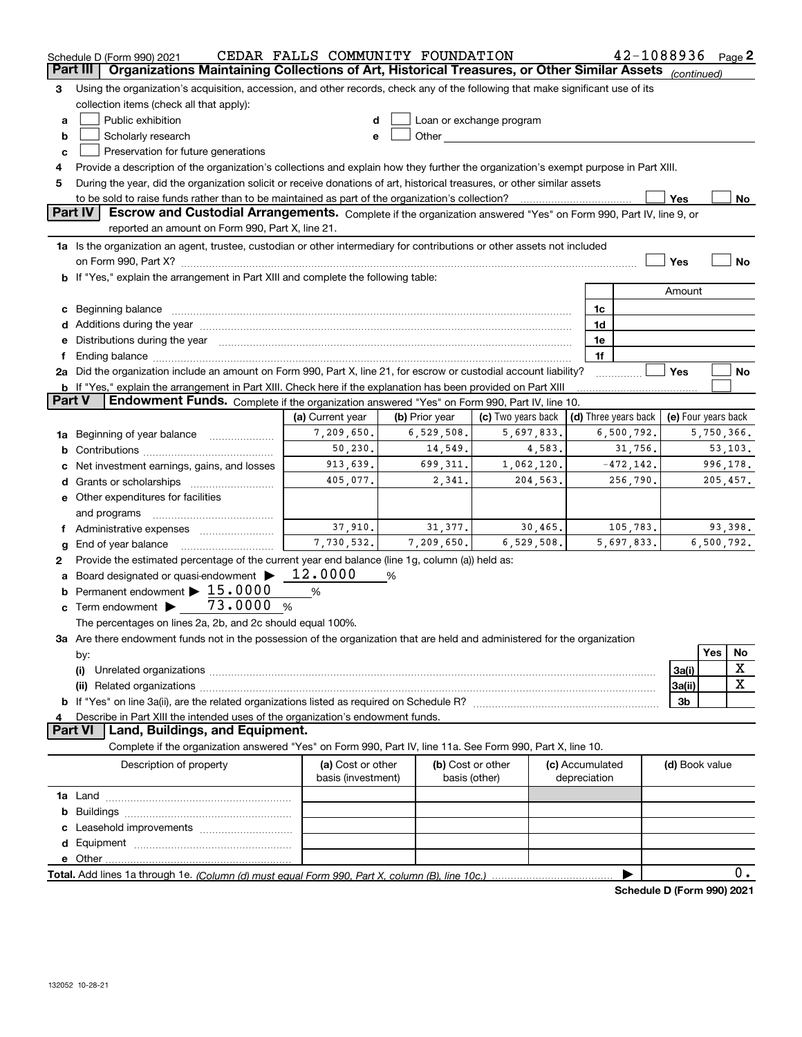|                | Schedule D (Form 990) 2021                                                                                                                                                                                                     | CEDAR FALLS COMMUNITY FOUNDATION |                |                          |  |                 | 42-1088936           |                     |            | Page $2$   |
|----------------|--------------------------------------------------------------------------------------------------------------------------------------------------------------------------------------------------------------------------------|----------------------------------|----------------|--------------------------|--|-----------------|----------------------|---------------------|------------|------------|
| Part III       | Organizations Maintaining Collections of Art, Historical Treasures, or Other Similar Assets (continued)                                                                                                                        |                                  |                |                          |  |                 |                      |                     |            |            |
| З              | Using the organization's acquisition, accession, and other records, check any of the following that make significant use of its                                                                                                |                                  |                |                          |  |                 |                      |                     |            |            |
|                | collection items (check all that apply):                                                                                                                                                                                       |                                  |                |                          |  |                 |                      |                     |            |            |
| a              | Public exhibition                                                                                                                                                                                                              | d                                |                | Loan or exchange program |  |                 |                      |                     |            |            |
| b              | Scholarly research                                                                                                                                                                                                             | e                                |                |                          |  |                 |                      |                     |            |            |
| c              | Preservation for future generations                                                                                                                                                                                            |                                  |                |                          |  |                 |                      |                     |            |            |
| 4              | Provide a description of the organization's collections and explain how they further the organization's exempt purpose in Part XIII.                                                                                           |                                  |                |                          |  |                 |                      |                     |            |            |
| 5              | During the year, did the organization solicit or receive donations of art, historical treasures, or other similar assets                                                                                                       |                                  |                |                          |  |                 |                      |                     |            |            |
|                | to be sold to raise funds rather than to be maintained as part of the organization's collection?                                                                                                                               |                                  |                |                          |  |                 |                      | Yes                 |            | No         |
| <b>Part IV</b> | Escrow and Custodial Arrangements. Complete if the organization answered "Yes" on Form 990, Part IV, line 9, or<br>reported an amount on Form 990, Part X, line 21.                                                            |                                  |                |                          |  |                 |                      |                     |            |            |
|                | 1a Is the organization an agent, trustee, custodian or other intermediary for contributions or other assets not included                                                                                                       |                                  |                |                          |  |                 |                      |                     |            |            |
|                | on Form 990, Part X? [11] matter contracts and contracts and contracts are contracted and contracts are contracted and contract of the set of the set of the set of the set of the set of the set of the set of the set of the |                                  |                |                          |  |                 |                      | Yes                 |            | No         |
|                | b If "Yes," explain the arrangement in Part XIII and complete the following table:                                                                                                                                             |                                  |                |                          |  |                 |                      |                     |            |            |
|                |                                                                                                                                                                                                                                |                                  |                |                          |  |                 |                      | Amount              |            |            |
|                | c Beginning balance<br>1c                                                                                                                                                                                                      |                                  |                |                          |  |                 |                      |                     |            |            |
|                | 1d                                                                                                                                                                                                                             |                                  |                |                          |  |                 |                      |                     |            |            |
|                | e Distributions during the year manufactured and continuum and contact the year manufactured and contact the year manufactured and contact the year manufactured and contact the year manufactured and contact the year manufa |                                  |                |                          |  | 1e              |                      |                     |            |            |
|                |                                                                                                                                                                                                                                |                                  |                |                          |  | 1f              |                      |                     |            |            |
|                | 2a Did the organization include an amount on Form 990, Part X, line 21, for escrow or custodial account liability?                                                                                                             |                                  |                |                          |  |                 |                      | Yes                 |            | No         |
|                | <b>b</b> If "Yes," explain the arrangement in Part XIII. Check here if the explanation has been provided on Part XIII                                                                                                          |                                  |                |                          |  |                 |                      |                     |            |            |
| <b>Part V</b>  | Endowment Funds. Complete if the organization answered "Yes" on Form 990, Part IV, line 10.                                                                                                                                    |                                  |                |                          |  |                 |                      |                     |            |            |
|                |                                                                                                                                                                                                                                | (a) Current year                 | (b) Prior year | (c) Two years back       |  |                 | (d) Three years back | (e) Four years back |            |            |
| 1a             | Beginning of year balance                                                                                                                                                                                                      | 7,209,650.                       | 6,529,508.     | 5,697,833.               |  | 6,500,792.      | 5,750,366.           |                     |            |            |
| b              |                                                                                                                                                                                                                                | 50, 230.                         | 14,549.        | 4,583.                   |  | 31,756.         |                      |                     |            | 53, 103.   |
|                | Net investment earnings, gains, and losses                                                                                                                                                                                     | 913,639.                         | 699, 311.      | 1,062,120.               |  | $-472, 142.$    |                      |                     |            | 996,178.   |
|                | <b>d</b> Grants or scholarships                                                                                                                                                                                                | 405,077.                         | 2,341.         | 204,563.                 |  |                 | 256,790.             |                     |            | 205,457.   |
|                | e Other expenditures for facilities                                                                                                                                                                                            |                                  |                |                          |  |                 |                      |                     |            |            |
|                | and programs                                                                                                                                                                                                                   |                                  |                |                          |  |                 |                      |                     |            |            |
|                | Administrative expenses <i></i>                                                                                                                                                                                                | 37,910.                          | 31,377.        | 30,465.                  |  |                 | 105,783.             |                     |            | 93,398.    |
| g              | End of year balance                                                                                                                                                                                                            | 7,730,532.                       | 7,209,650.     | 6,529,508.               |  |                 | 5,697,833.           |                     |            | 6,500,792. |
| 2              | Provide the estimated percentage of the current year end balance (line 1g, column (a)) held as:                                                                                                                                |                                  |                |                          |  |                 |                      |                     |            |            |
|                | Board designated or quasi-endowment >                                                                                                                                                                                          | 12.0000                          | %              |                          |  |                 |                      |                     |            |            |
|                | Permanent endowment $\blacktriangleright$ 15.0000                                                                                                                                                                              | %                                |                |                          |  |                 |                      |                     |            |            |
|                | c Term endowment $\blacktriangleright$ _ 73.0000<br>%                                                                                                                                                                          |                                  |                |                          |  |                 |                      |                     |            |            |
|                | The percentages on lines 2a, 2b, and 2c should equal 100%.                                                                                                                                                                     |                                  |                |                          |  |                 |                      |                     |            |            |
|                | 3a Are there endowment funds not in the possession of the organization that are held and administered for the organization                                                                                                     |                                  |                |                          |  |                 |                      |                     | <b>Yes</b> | No         |
|                | by:                                                                                                                                                                                                                            |                                  |                |                          |  |                 |                      |                     |            | х          |
|                | 3a(i)<br>(i)                                                                                                                                                                                                                   |                                  |                |                          |  |                 |                      |                     |            |            |
|                | x<br>3a(ii)                                                                                                                                                                                                                    |                                  |                |                          |  |                 |                      |                     |            |            |
|                |                                                                                                                                                                                                                                |                                  |                |                          |  |                 |                      | 3b                  |            |            |
|                | Describe in Part XIII the intended uses of the organization's endowment funds.<br><b>Part VI</b><br>Land, Buildings, and Equipment.                                                                                            |                                  |                |                          |  |                 |                      |                     |            |            |
|                | Complete if the organization answered "Yes" on Form 990, Part IV, line 11a. See Form 990, Part X, line 10.                                                                                                                     |                                  |                |                          |  |                 |                      |                     |            |            |
|                | Description of property                                                                                                                                                                                                        | (a) Cost or other                |                | (b) Cost or other        |  | (c) Accumulated |                      |                     |            |            |
|                |                                                                                                                                                                                                                                | basis (investment)               |                | basis (other)            |  | depreciation    |                      | (d) Book value      |            |            |
|                |                                                                                                                                                                                                                                |                                  |                |                          |  |                 |                      |                     |            |            |
|                |                                                                                                                                                                                                                                |                                  |                |                          |  |                 |                      |                     |            |            |
|                |                                                                                                                                                                                                                                |                                  |                |                          |  |                 |                      |                     |            |            |
|                |                                                                                                                                                                                                                                |                                  |                |                          |  |                 |                      |                     |            |            |
|                |                                                                                                                                                                                                                                |                                  |                |                          |  |                 |                      |                     |            |            |
|                |                                                                                                                                                                                                                                |                                  |                |                          |  |                 |                      |                     |            | 0.         |

**Schedule D (Form 990) 2021**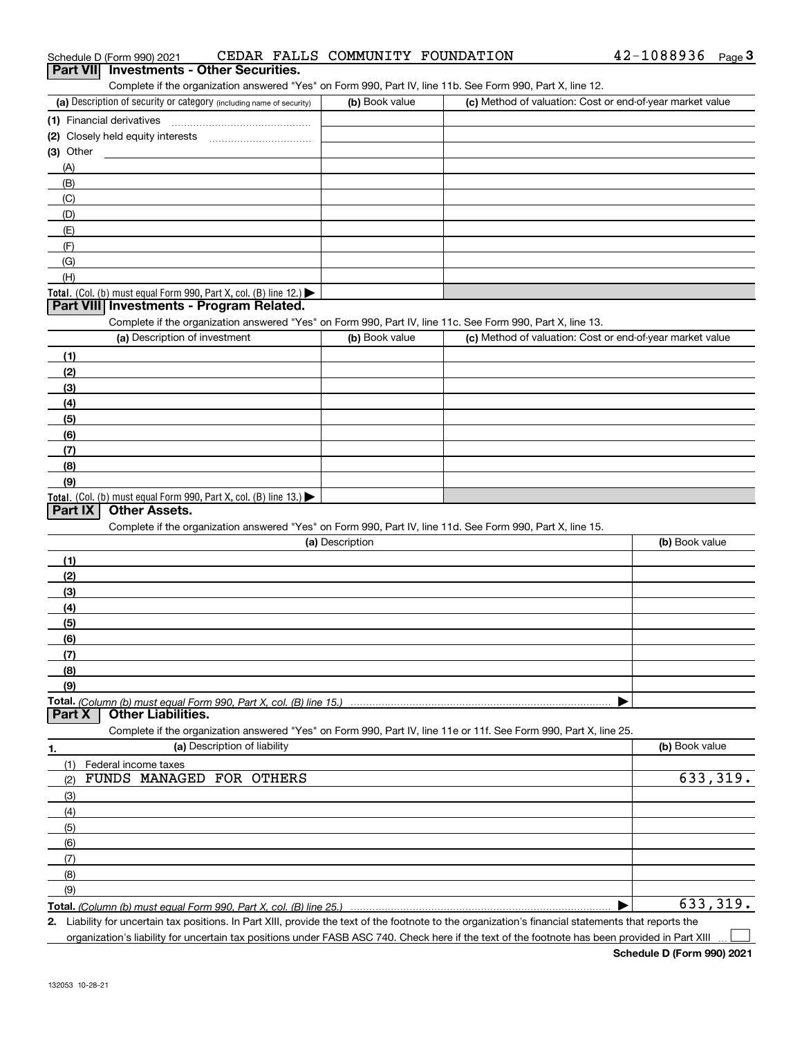| Schedule D (Form 990) 2021                                                                                        | CEDAR FALLS COMMUNITY FOUNDATION |                                                           | 42-1088936<br><u>Page</u> 3 |
|-------------------------------------------------------------------------------------------------------------------|----------------------------------|-----------------------------------------------------------|-----------------------------|
| <b>Investments - Other Securities.</b><br><b>Part VIII</b>                                                        |                                  |                                                           |                             |
| Complete if the organization answered "Yes" on Form 990, Part IV, line 11b. See Form 990, Part X, line 12.        |                                  |                                                           |                             |
| (a) Description of security or category (including name of security)                                              | (b) Book value                   | (c) Method of valuation: Cost or end-of-year market value |                             |
|                                                                                                                   |                                  |                                                           |                             |
| (2) Closely held equity interests                                                                                 |                                  |                                                           |                             |
| $(3)$ Other                                                                                                       |                                  |                                                           |                             |
| (A)<br>(B)                                                                                                        |                                  |                                                           |                             |
| (C)                                                                                                               |                                  |                                                           |                             |
| (D)                                                                                                               |                                  |                                                           |                             |
| (E)                                                                                                               |                                  |                                                           |                             |
| (F)                                                                                                               |                                  |                                                           |                             |
| (G)                                                                                                               |                                  |                                                           |                             |
| (H)                                                                                                               |                                  |                                                           |                             |
| Total. (Col. (b) must equal Form 990, Part X, col. (B) line 12.)                                                  |                                  |                                                           |                             |
| Part VIII Investments - Program Related.                                                                          |                                  |                                                           |                             |
| Complete if the organization answered "Yes" on Form 990, Part IV, line 11c. See Form 990, Part X, line 13.        |                                  |                                                           |                             |
| (a) Description of investment                                                                                     | (b) Book value                   | (c) Method of valuation: Cost or end-of-year market value |                             |
| (1)                                                                                                               |                                  |                                                           |                             |
| (2)                                                                                                               |                                  |                                                           |                             |
| (3)                                                                                                               |                                  |                                                           |                             |
| (4)                                                                                                               |                                  |                                                           |                             |
| (5)                                                                                                               |                                  |                                                           |                             |
| (6)                                                                                                               |                                  |                                                           |                             |
| (7)                                                                                                               |                                  |                                                           |                             |
| (8)                                                                                                               |                                  |                                                           |                             |
| (9)                                                                                                               |                                  |                                                           |                             |
| <b>Total.</b> (Col. (b) must equal Form 990, Part X, col. (B) line 13.)<br><b>Other Assets.</b><br>Part IX        |                                  |                                                           |                             |
| Complete if the organization answered "Yes" on Form 990, Part IV, line 11d. See Form 990, Part X, line 15.        |                                  |                                                           |                             |
|                                                                                                                   | (a) Description                  |                                                           | (b) Book value              |
| (1)                                                                                                               |                                  |                                                           |                             |
| (2)                                                                                                               |                                  |                                                           |                             |
| (3)                                                                                                               |                                  |                                                           |                             |
| (4)                                                                                                               |                                  |                                                           |                             |
| (5)                                                                                                               |                                  |                                                           |                             |
| (6)                                                                                                               |                                  |                                                           |                             |
| (7)                                                                                                               |                                  |                                                           |                             |
| (8)                                                                                                               |                                  |                                                           |                             |
| (9)                                                                                                               |                                  |                                                           |                             |
|                                                                                                                   |                                  |                                                           |                             |
| <b>Other Liabilities.</b><br>Part X                                                                               |                                  |                                                           |                             |
| Complete if the organization answered "Yes" on Form 990, Part IV, line 11e or 11f. See Form 990, Part X, line 25. |                                  |                                                           |                             |
| (a) Description of liability<br>1.                                                                                |                                  |                                                           | (b) Book value              |
| (1)<br>Federal income taxes                                                                                       |                                  |                                                           |                             |
| FUNDS MANAGED FOR OTHERS<br>(2)                                                                                   |                                  |                                                           | 633,319.                    |
| (3)                                                                                                               |                                  |                                                           |                             |
| (4)                                                                                                               |                                  |                                                           |                             |
| (5)                                                                                                               |                                  |                                                           |                             |
| (6)                                                                                                               |                                  |                                                           |                             |
| (7)                                                                                                               |                                  |                                                           |                             |
| (8)                                                                                                               |                                  |                                                           |                             |
| (9)                                                                                                               |                                  |                                                           | 633,319.                    |
|                                                                                                                   |                                  |                                                           |                             |

**2.** Liability for uncertain tax positions. In Part XIII, provide the text of the footnote to the organization's financial statements that reports the

organization's liability for uncertain tax positions under FASB ASC 740. Check here if the text of the footnote has been provided in Part XIII

42-1088936 Page 3

 $\mathcal{L}^{\text{max}}$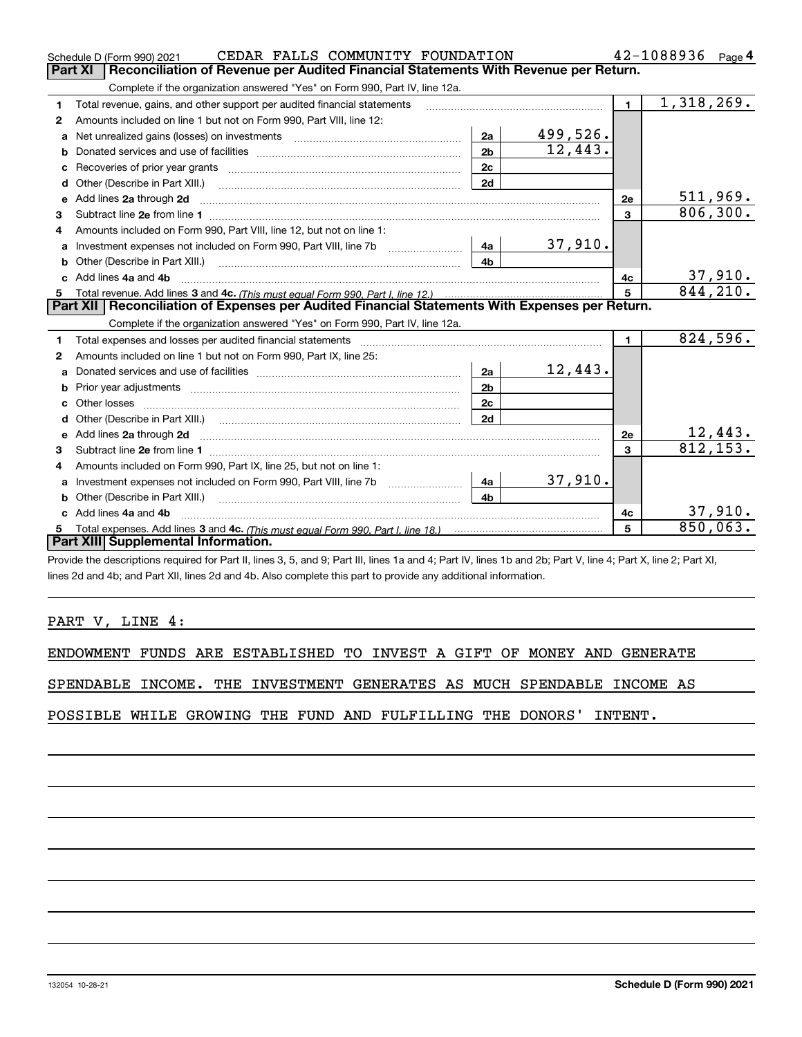|              | CEDAR FALLS COMMUNITY FOUNDATION<br>Schedule D (Form 990) 2021                                                                                                                                                                      |                |          | $42 - 1088936$ Page 4 |            |                            |  |  |  |  |
|--------------|-------------------------------------------------------------------------------------------------------------------------------------------------------------------------------------------------------------------------------------|----------------|----------|-----------------------|------------|----------------------------|--|--|--|--|
|              | Reconciliation of Revenue per Audited Financial Statements With Revenue per Return.<br><b>Part XI</b>                                                                                                                               |                |          |                       |            |                            |  |  |  |  |
|              | Complete if the organization answered "Yes" on Form 990, Part IV, line 12a.                                                                                                                                                         |                |          |                       |            |                            |  |  |  |  |
| 1            | Total revenue, gains, and other support per audited financial statements                                                                                                                                                            |                |          | $\mathbf 1$           | 1,318,269. |                            |  |  |  |  |
| $\mathbf{2}$ | Amounts included on line 1 but not on Form 990, Part VIII, line 12:                                                                                                                                                                 |                |          |                       |            |                            |  |  |  |  |
| a            |                                                                                                                                                                                                                                     | 2a             | 499,526. |                       |            |                            |  |  |  |  |
| b            |                                                                                                                                                                                                                                     | 2 <sub>b</sub> | 12,443.  |                       |            |                            |  |  |  |  |
| c            | Recoveries of prior year grants [11,111] [11] Recoveries of prior year grants [11] [11] [12] [12] [12] [12] [1                                                                                                                      | 2c             |          |                       |            |                            |  |  |  |  |
| d            | Other (Describe in Part XIII.)                                                                                                                                                                                                      | 2d             |          |                       |            |                            |  |  |  |  |
| e            | Add lines 2a through 2d                                                                                                                                                                                                             |                |          | 2e                    |            | 511,969.                   |  |  |  |  |
| 3            |                                                                                                                                                                                                                                     |                |          | $\mathbf{3}$          |            | 806, 300.                  |  |  |  |  |
|              | Amounts included on Form 990, Part VIII, line 12, but not on line 1:                                                                                                                                                                |                |          |                       |            |                            |  |  |  |  |
| a            | Investment expenses not included on Form 990, Part VIII, line 7b                                                                                                                                                                    | 4a             | 37,910.  |                       |            |                            |  |  |  |  |
|              |                                                                                                                                                                                                                                     | 4 <sub>b</sub> |          |                       |            |                            |  |  |  |  |
|              | Add lines 4a and 4b                                                                                                                                                                                                                 |                |          | 4c                    |            | $\frac{37,910}{844,210}$ . |  |  |  |  |
| 5            |                                                                                                                                                                                                                                     |                |          |                       |            |                            |  |  |  |  |
|              | Part XII   Reconciliation of Expenses per Audited Financial Statements With Expenses per Return.                                                                                                                                    |                |          |                       |            |                            |  |  |  |  |
|              | Complete if the organization answered "Yes" on Form 990, Part IV, line 12a.                                                                                                                                                         |                |          |                       |            |                            |  |  |  |  |
| 1.           |                                                                                                                                                                                                                                     |                |          | $\blacksquare$        |            | 824,596.                   |  |  |  |  |
| 2            | Amounts included on line 1 but not on Form 990, Part IX, line 25:                                                                                                                                                                   |                |          |                       |            |                            |  |  |  |  |
| a            |                                                                                                                                                                                                                                     | 2a             | 12,443.  |                       |            |                            |  |  |  |  |
| b            |                                                                                                                                                                                                                                     | 2 <sub>b</sub> |          |                       |            |                            |  |  |  |  |
| c            |                                                                                                                                                                                                                                     | 2c             |          |                       |            |                            |  |  |  |  |
|              |                                                                                                                                                                                                                                     | 2d             |          |                       |            |                            |  |  |  |  |
|              | e Add lines 2a through 2d <b>contained a contract and a contract a</b> contract a contract a contract a contract a contract a contract a contract a contract a contract a contract a contract a contract a contract a contract a co |                |          | 2e                    |            | $\frac{12,443}{812,153}$   |  |  |  |  |
| 3            |                                                                                                                                                                                                                                     |                |          | 3                     |            |                            |  |  |  |  |
| 4            | Amounts included on Form 990, Part IX, line 25, but not on line 1:                                                                                                                                                                  |                |          |                       |            |                            |  |  |  |  |
| a            |                                                                                                                                                                                                                                     | 4a             | 37,910.  |                       |            |                            |  |  |  |  |
| b            |                                                                                                                                                                                                                                     | 4 <sub>b</sub> |          |                       |            |                            |  |  |  |  |
|              | Add lines 4a and 4b                                                                                                                                                                                                                 |                |          | 4с                    |            | 37,910.                    |  |  |  |  |
|              |                                                                                                                                                                                                                                     |                |          | 5                     |            | 850,063.                   |  |  |  |  |
|              | Part XIII Supplemental Information.                                                                                                                                                                                                 |                |          |                       |            |                            |  |  |  |  |

Provide the descriptions required for Part II, lines 3, 5, and 9; Part III, lines 1a and 4; Part IV, lines 1b and 2b; Part V, line 4; Part X, line 2; Part XI, lines 2d and 4b; and Part XII, lines 2d and 4b. Also complete this part to provide any additional information.

## PART V, LINE 4:

132054 10-28-21

ENDOWMENT FUNDS ARE ESTABLISHED TO INVEST A GIFT OF MONEY AND GENERATE

SPENDABLE INCOME. THE INVESTMENT GENERATES AS MUCH SPENDABLE INCOME AS

POSSIBLE WHILE GROWING THE FUND AND FULFILLING THE DONORS' INTENT.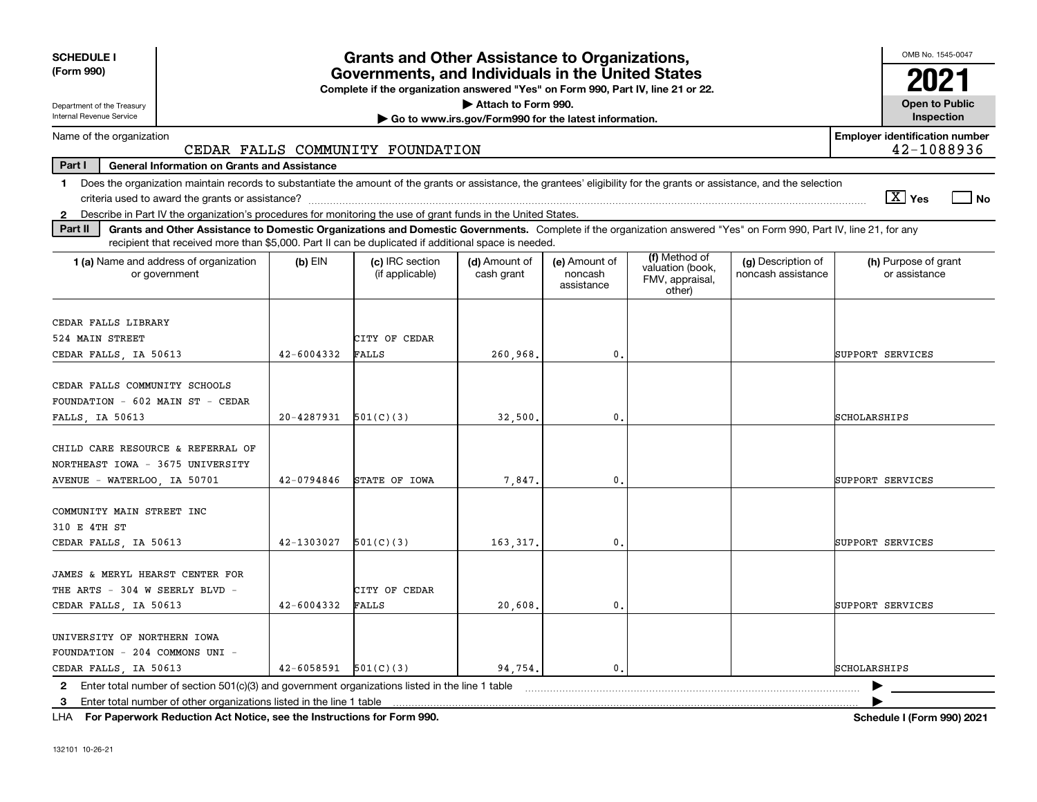| <b>SCHEDULE I</b>                                                                                                                                                                                                                                                                                              |            | <b>Grants and Other Assistance to Organizations,</b>                                                                                  |                                                       |                                        |                                                                |                                          | OMB No. 1545-0047                                   |
|----------------------------------------------------------------------------------------------------------------------------------------------------------------------------------------------------------------------------------------------------------------------------------------------------------------|------------|---------------------------------------------------------------------------------------------------------------------------------------|-------------------------------------------------------|----------------------------------------|----------------------------------------------------------------|------------------------------------------|-----------------------------------------------------|
| (Form 990)                                                                                                                                                                                                                                                                                                     |            | Governments, and Individuals in the United States<br>Complete if the organization answered "Yes" on Form 990, Part IV, line 21 or 22. |                                                       |                                        |                                                                |                                          |                                                     |
| Department of the Treasury                                                                                                                                                                                                                                                                                     |            |                                                                                                                                       | Attach to Form 990.                                   |                                        |                                                                |                                          | <b>Open to Public</b>                               |
| Internal Revenue Service                                                                                                                                                                                                                                                                                       |            |                                                                                                                                       | Go to www.irs.gov/Form990 for the latest information. |                                        |                                                                |                                          | Inspection                                          |
| Name of the organization                                                                                                                                                                                                                                                                                       |            | CEDAR FALLS COMMUNITY FOUNDATION                                                                                                      |                                                       |                                        |                                                                |                                          | <b>Employer identification number</b><br>42-1088936 |
| Part I<br><b>General Information on Grants and Assistance</b>                                                                                                                                                                                                                                                  |            |                                                                                                                                       |                                                       |                                        |                                                                |                                          |                                                     |
| Does the organization maintain records to substantiate the amount of the grants or assistance, the grantees' eligibility for the grants or assistance, and the selection<br>$\mathbf 1$                                                                                                                        |            |                                                                                                                                       |                                                       |                                        |                                                                |                                          |                                                     |
|                                                                                                                                                                                                                                                                                                                |            |                                                                                                                                       |                                                       |                                        |                                                                |                                          | $\sqrt{X}$ Yes<br>l No                              |
| Describe in Part IV the organization's procedures for monitoring the use of grant funds in the United States.<br>$\mathbf{2}$<br>Part II<br>Grants and Other Assistance to Domestic Organizations and Domestic Governments. Complete if the organization answered "Yes" on Form 990, Part IV, line 21, for any |            |                                                                                                                                       |                                                       |                                        |                                                                |                                          |                                                     |
| recipient that received more than \$5,000. Part II can be duplicated if additional space is needed.                                                                                                                                                                                                            |            |                                                                                                                                       |                                                       |                                        |                                                                |                                          |                                                     |
| 1 (a) Name and address of organization<br>or government                                                                                                                                                                                                                                                        | $(b)$ EIN  | (c) IRC section<br>(if applicable)                                                                                                    | (d) Amount of<br>cash grant                           | (e) Amount of<br>noncash<br>assistance | (f) Method of<br>valuation (book,<br>FMV, appraisal,<br>other) | (g) Description of<br>noncash assistance | (h) Purpose of grant<br>or assistance               |
| CEDAR FALLS LIBRARY                                                                                                                                                                                                                                                                                            |            |                                                                                                                                       |                                                       |                                        |                                                                |                                          |                                                     |
| 524 MAIN STREET                                                                                                                                                                                                                                                                                                |            | CITY OF CEDAR                                                                                                                         |                                                       |                                        |                                                                |                                          |                                                     |
| CEDAR FALLS, IA 50613                                                                                                                                                                                                                                                                                          | 42-6004332 | FALLS                                                                                                                                 | 260,968.                                              | 0.                                     |                                                                |                                          | SUPPORT SERVICES                                    |
| CEDAR FALLS COMMUNITY SCHOOLS<br>FOUNDATION - 602 MAIN ST - CEDAR                                                                                                                                                                                                                                              |            |                                                                                                                                       |                                                       |                                        |                                                                |                                          |                                                     |
| FALLS, IA 50613                                                                                                                                                                                                                                                                                                | 20-4287931 | 501(C)(3)                                                                                                                             | 32,500,                                               | 0.                                     |                                                                |                                          | SCHOLARSHIPS                                        |
| CHILD CARE RESOURCE & REFERRAL OF<br>NORTHEAST IOWA - 3675 UNIVERSITY                                                                                                                                                                                                                                          |            |                                                                                                                                       |                                                       |                                        |                                                                |                                          |                                                     |
| AVENUE - WATERLOO, IA 50701                                                                                                                                                                                                                                                                                    | 42-0794846 | STATE OF IOWA                                                                                                                         | 7,847.                                                | $\mathbf{0}$ .                         |                                                                |                                          | SUPPORT SERVICES                                    |
| COMMUNITY MAIN STREET INC<br>310 E 4TH ST                                                                                                                                                                                                                                                                      |            |                                                                                                                                       |                                                       |                                        |                                                                |                                          |                                                     |
| CEDAR FALLS, IA 50613                                                                                                                                                                                                                                                                                          | 42-1303027 | 501(C)(3)                                                                                                                             | 163.317.                                              | 0.                                     |                                                                |                                          | SUPPORT SERVICES                                    |
| JAMES & MERYL HEARST CENTER FOR<br>THE ARTS - 304 W SEERLY BLVD -                                                                                                                                                                                                                                              |            | CITY OF CEDAR                                                                                                                         |                                                       |                                        |                                                                |                                          |                                                     |
| CEDAR FALLS, IA 50613                                                                                                                                                                                                                                                                                          | 42-6004332 | <b>FALLS</b>                                                                                                                          | 20,608.                                               | 0.                                     |                                                                |                                          | SUPPORT SERVICES                                    |
| UNIVERSITY OF NORTHERN IOWA<br>FOUNDATION - 204 COMMONS UNI -<br>CEDAR FALLS, IA 50613                                                                                                                                                                                                                         | 42-6058591 | 501(C)(3)                                                                                                                             | 94.754.                                               | 0.                                     |                                                                |                                          | <b>SCHOLARSHIPS</b>                                 |
| Enter total number of section 501(c)(3) and government organizations listed in the line 1 table<br>$\mathbf{2}$                                                                                                                                                                                                |            |                                                                                                                                       |                                                       |                                        |                                                                |                                          |                                                     |
| Enter total number of other organizations listed in the line 1 table<br>3                                                                                                                                                                                                                                      |            |                                                                                                                                       |                                                       |                                        |                                                                |                                          |                                                     |

**For Paperwork Reduction Act Notice, see the Instructions for Form 990. Schedule I (Form 990) 2021** LHA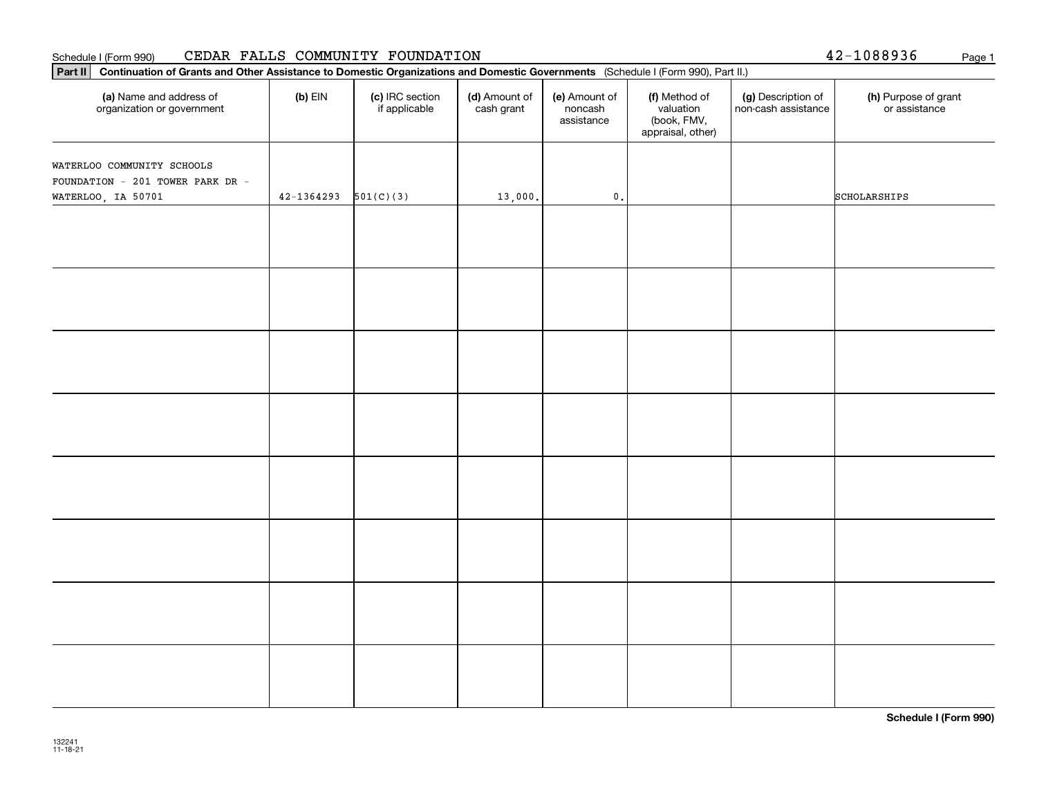#### Schedule I (Form 990) Page 1 CEDAR FALLS COMMUNITY FOUNDATION

|  |  | 42-1088936 | Page |
|--|--|------------|------|
|  |  |            |      |

| Part II   Continuation of Grants and Other Assistance to Domestic Organizations and Domestic Governments (Schedule I (Form 990), Part II.) |                |                                  |                             |                                        |                                                                |                                           |                                       |
|--------------------------------------------------------------------------------------------------------------------------------------------|----------------|----------------------------------|-----------------------------|----------------------------------------|----------------------------------------------------------------|-------------------------------------------|---------------------------------------|
| (a) Name and address of<br>organization or government                                                                                      | $(b)$ EIN      | (c) IRC section<br>if applicable | (d) Amount of<br>cash grant | (e) Amount of<br>noncash<br>assistance | (f) Method of<br>valuation<br>(book, FMV,<br>appraisal, other) | (g) Description of<br>non-cash assistance | (h) Purpose of grant<br>or assistance |
| WATERLOO COMMUNITY SCHOOLS<br>FOUNDATION - 201 TOWER PARK DR -                                                                             |                |                                  |                             |                                        |                                                                |                                           |                                       |
| WATERLOO, IA 50701                                                                                                                         | $42 - 1364293$ | 501(C)(3)                        | 13,000.                     | $\mathfrak o$ .                        |                                                                |                                           | SCHOLARSHIPS                          |
|                                                                                                                                            |                |                                  |                             |                                        |                                                                |                                           |                                       |
|                                                                                                                                            |                |                                  |                             |                                        |                                                                |                                           |                                       |
|                                                                                                                                            |                |                                  |                             |                                        |                                                                |                                           |                                       |
|                                                                                                                                            |                |                                  |                             |                                        |                                                                |                                           |                                       |
|                                                                                                                                            |                |                                  |                             |                                        |                                                                |                                           |                                       |
|                                                                                                                                            |                |                                  |                             |                                        |                                                                |                                           |                                       |
|                                                                                                                                            |                |                                  |                             |                                        |                                                                |                                           |                                       |
|                                                                                                                                            |                |                                  |                             |                                        |                                                                |                                           |                                       |

**Schedule I (Form 990)**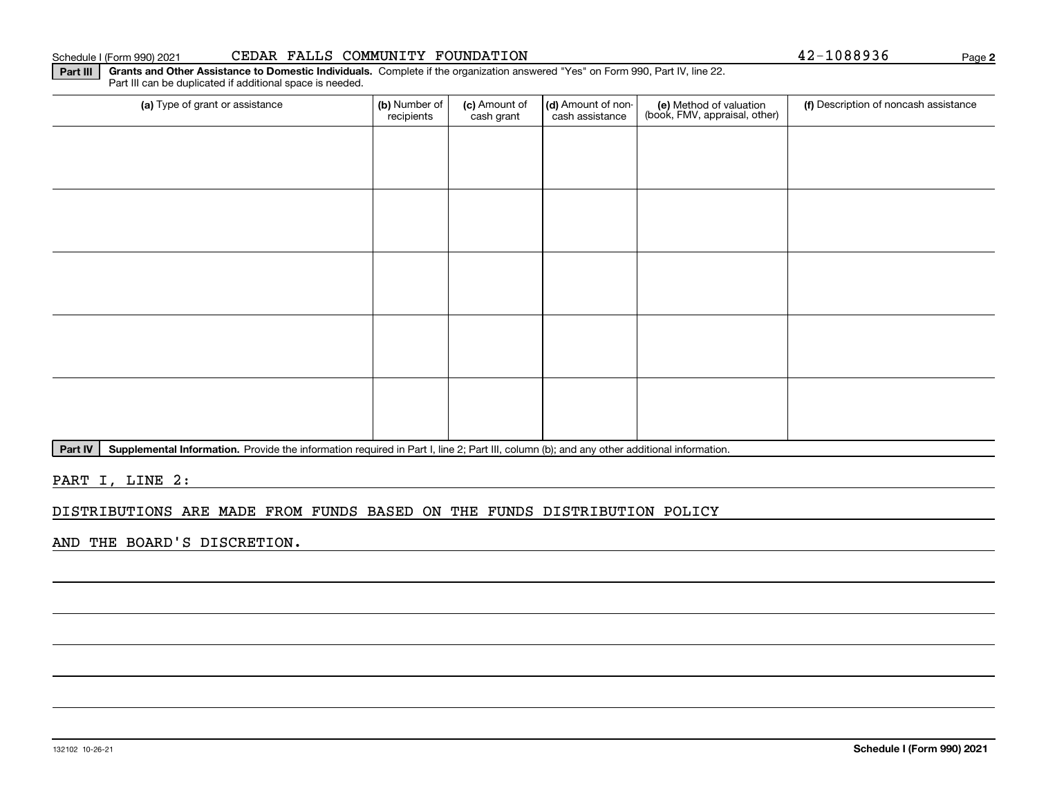#### 132102 10-26-21

| (a) Type of grant or assistance | (b) Number of<br>recipients | (c) Amount of<br>cash grant | (d) Amount of non-<br>cash assistance | (e) Method of valuation<br>(book, FMV, appraisal, other) | (f) Description of noncash assistance |
|---------------------------------|-----------------------------|-----------------------------|---------------------------------------|----------------------------------------------------------|---------------------------------------|
|                                 |                             |                             |                                       |                                                          |                                       |
|                                 |                             |                             |                                       |                                                          |                                       |
|                                 |                             |                             |                                       |                                                          |                                       |
|                                 |                             |                             |                                       |                                                          |                                       |
|                                 |                             |                             |                                       |                                                          |                                       |
|                                 |                             |                             |                                       |                                                          |                                       |
|                                 |                             |                             |                                       |                                                          |                                       |

PART I, LINE 2:

## DISTRIBUTIONS ARE MADE FROM FUNDS BASED ON THE FUNDS DISTRIBUTION POLICY

Part IV | Supplemental Information. Provide the information required in Part I, line 2; Part III, column (b); and any other additional information.

AND THE BOARD'S DISCRETION.

**2**

Schedule I (Form 990) 2021

Part III can be duplicated if additional space is needed.

| CEDAR FALLS COMMUNITY FOUNDATION |  |
|----------------------------------|--|
|----------------------------------|--|

**Part III Grants and Other Assistance to Domestic Individuals.**  Complete if the organization answered "Yes" on Form 990, Part IV, line 22.